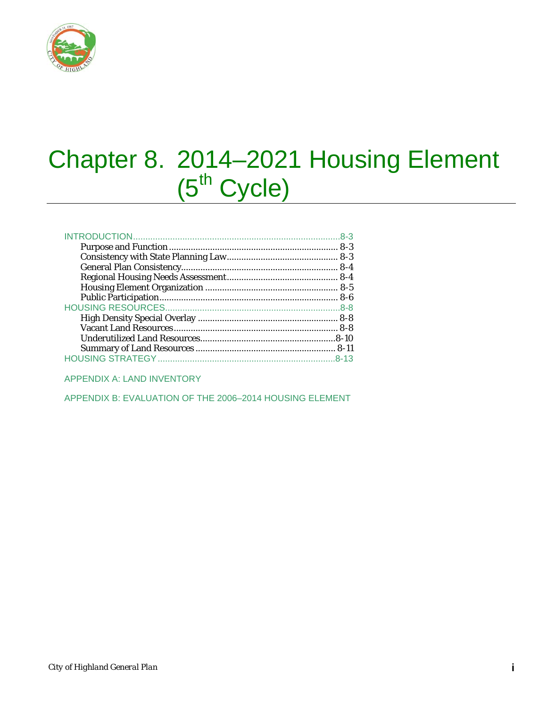

# Chapter 8. 2014–2021 Housing Element  $(5<sup>th</sup> Cycle)$

APPENDIX A: LAND INVENTORY

APPENDIX B: EVALUATION OF THE 2006–2014 HOUSING ELEMENT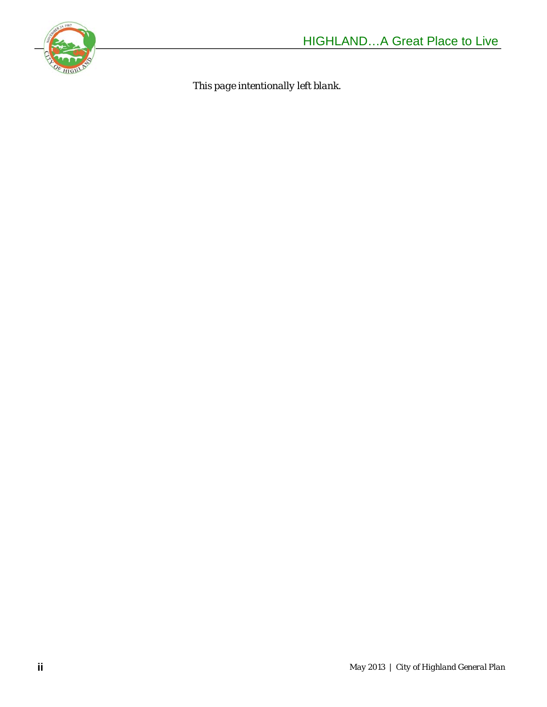

*This page intentionally left blank.*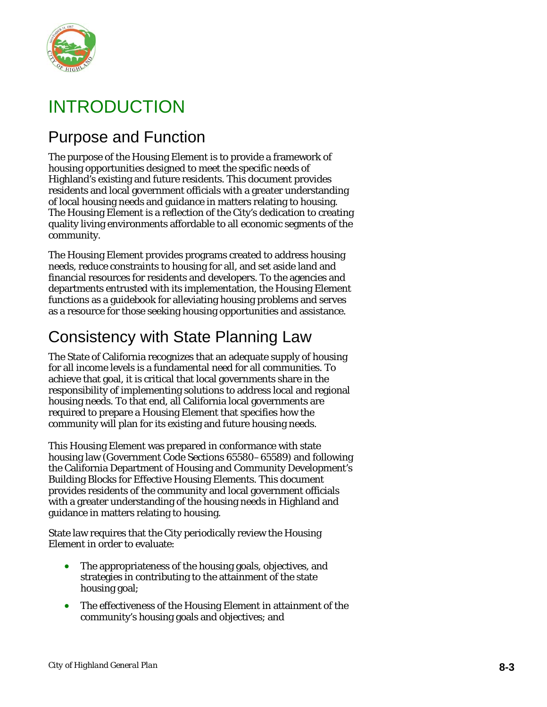

### INTRODUCTION

### Purpose and Function

The purpose of the Housing Element is to provide a framework of housing opportunities designed to meet the specific needs of Highland's existing and future residents. This document provides residents and local government officials with a greater understanding of local housing needs and guidance in matters relating to housing. The Housing Element is a reflection of the City's dedication to creating quality living environments affordable to all economic segments of the community.

The Housing Element provides programs created to address housing needs, reduce constraints to housing for all, and set aside land and financial resources for residents and developers. To the agencies and departments entrusted with its implementation, the Housing Element functions as a guidebook for alleviating housing problems and serves as a resource for those seeking housing opportunities and assistance.

### Consistency with State Planning Law

The State of California recognizes that an adequate supply of housing for all income levels is a fundamental need for all communities. To achieve that goal, it is critical that local governments share in the responsibility of implementing solutions to address local and regional housing needs. To that end, all California local governments are required to prepare a Housing Element that specifies how the community will plan for its existing and future housing needs.

This Housing Element was prepared in conformance with state housing law (Government Code Sections 65580–65589) and following the California Department of Housing and Community Development's Building Blocks for Effective Housing Elements. This document provides residents of the community and local government officials with a greater understanding of the housing needs in Highland and guidance in matters relating to housing.

State law requires that the City periodically review the Housing Element in order to evaluate:

- The appropriateness of the housing goals, objectives, and strategies in contributing to the attainment of the state housing goal;
- The effectiveness of the Housing Element in attainment of the community's housing goals and objectives; and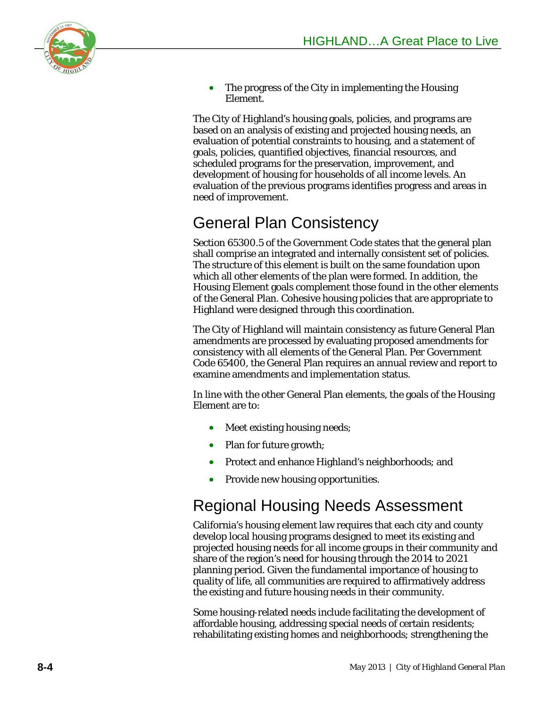

• The progress of the City in implementing the Housing Element.

The City of Highland's housing goals, policies, and programs are based on an analysis of existing and projected housing needs, an evaluation of potential constraints to housing, and a statement of goals, policies, quantified objectives, financial resources, and scheduled programs for the preservation, improvement, and development of housing for households of all income levels. An evaluation of the previous programs identifies progress and areas in need of improvement.

### General Plan Consistency

Section 65300.5 of the Government Code states that the general plan shall comprise an integrated and internally consistent set of policies. The structure of this element is built on the same foundation upon which all other elements of the plan were formed. In addition, the Housing Element goals complement those found in the other elements of the General Plan. Cohesive housing policies that are appropriate to Highland were designed through this coordination.

The City of Highland will maintain consistency as future General Plan amendments are processed by evaluating proposed amendments for consistency with all elements of the General Plan. Per Government Code 65400, the General Plan requires an annual review and report to examine amendments and implementation status.

In line with the other General Plan elements, the goals of the Housing Element are to:

- Meet existing housing needs;
- Plan for future growth;
- Protect and enhance Highland's neighborhoods; and
- Provide new housing opportunities.

### Regional Housing Needs Assessment

California's housing element law requires that each city and county develop local housing programs designed to meet its existing and projected housing needs for all income groups in their community and share of the region's need for housing through the 2014 to 2021 planning period. Given the fundamental importance of housing to quality of life, all communities are required to affirmatively address the existing and future housing needs in their community.

Some housing-related needs include facilitating the development of affordable housing, addressing special needs of certain residents; rehabilitating existing homes and neighborhoods; strengthening the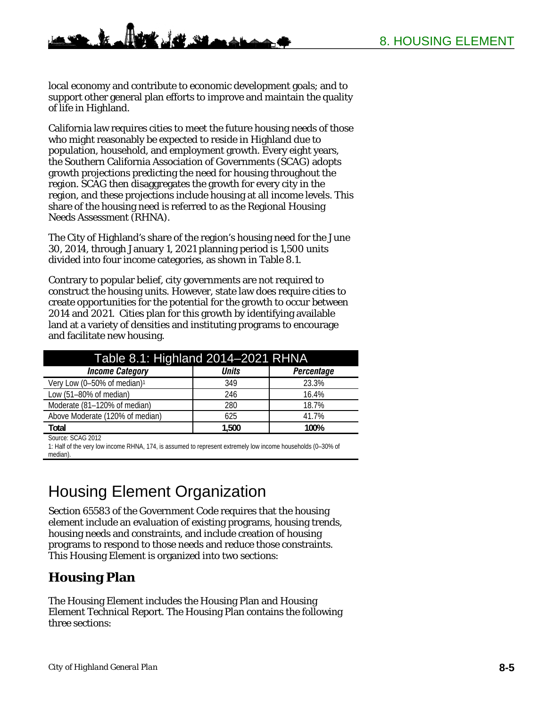local economy and contribute to economic development goals; and to support other general plan efforts to improve and maintain the quality of life in Highland.

California law requires cities to meet the future housing needs of those who might reasonably be expected to reside in Highland due to population, household, and employment growth. Every eight years, the Southern California Association of Governments (SCAG) adopts growth projections predicting the need for housing throughout the region. SCAG then disaggregates the growth for every city in the region, and these projections include housing at all income levels. This share of the housing need is referred to as the Regional Housing Needs Assessment (RHNA).

The City of Highland's share of the region's housing need for the June 30, 2014, through January 1, 2021 planning period is 1,500 units divided into four income categories, as shown in Table 8.1.

Contrary to popular belief, city governments are not required to construct the housing units. However, state law does require cities to create opportunities for the potential for the growth to occur between 2014 and 2021. Cities plan for this growth by identifying available land at a variety of densities and instituting programs to encourage and facilitate new housing.

| Table 8.1: Highland 2014–2021 RHNA      |              |                   |  |  |
|-----------------------------------------|--------------|-------------------|--|--|
| <b>Income Category</b>                  | <b>Units</b> | <b>Percentage</b> |  |  |
| Very Low (0-50% of median) <sup>1</sup> | 349          | 23.3%             |  |  |
| Low $(51-80\% \text{ of median})$       | 246          | 16.4%             |  |  |
| Moderate (81-120% of median)            | 280          | 18.7%             |  |  |
| Above Moderate (120% of median)         | 625          | 41.7%             |  |  |
| Total                                   | 1,500        | 100%              |  |  |

Source: SCAG 2012

1: Half of the very low income RHNA, 174, is assumed to represent extremely low income households (0–30% of median).

### Housing Element Organization

Section 65583 of the Government Code requires that the housing element include an evaluation of existing programs, housing trends, housing needs and constraints, and include creation of housing programs to respond to those needs and reduce those constraints. This Housing Element is organized into two sections:

### **Housing Plan**

The Housing Element includes the Housing Plan and Housing Element Technical Report. The Housing Plan contains the following three sections: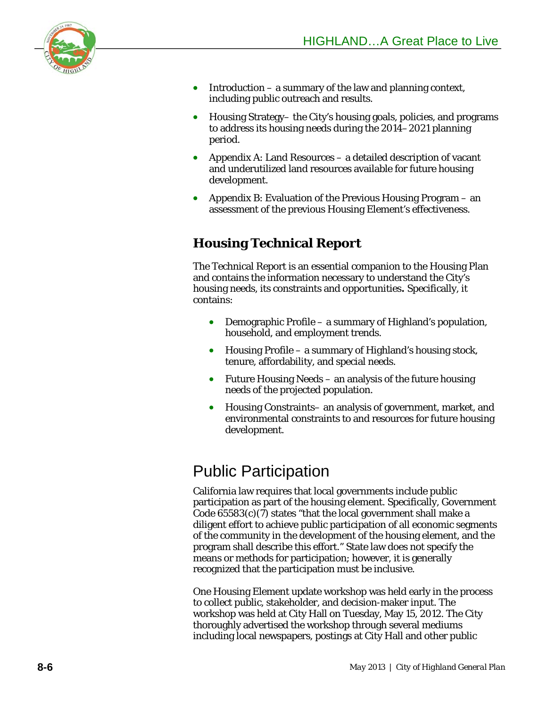

- Introduction a summary of the law and planning context, including public outreach and results.
- Housing Strategy– the City's housing goals, policies, and programs to address its housing needs during the 2014–2021 planning period.
- Appendix A: Land Resources a detailed description of vacant and underutilized land resources available for future housing development.
- Appendix B: Evaluation of the Previous Housing Program  $-$  an assessment of the previous Housing Element's effectiveness.

#### **Housing Technical Report**

The Technical Report is an essential companion to the Housing Plan and contains the information necessary to understand the City's housing needs, its constraints and opportunities**.** Specifically, it contains:

- Demographic Profile a summary of Highland's population, household, and employment trends.
- Housing Profile a summary of Highland's housing stock, tenure, affordability, and special needs.
- Future Housing Needs an analysis of the future housing needs of the projected population.
- Housing Constraints– an analysis of government, market, and environmental constraints to and resources for future housing development.

### Public Participation

California law requires that local governments include public participation as part of the housing element. Specifically, Government Code  $65583(c)(7)$  states "that the local government shall make a diligent effort to achieve public participation of all economic segments of the community in the development of the housing element, and the program shall describe this effort." State law does not specify the means or methods for participation; however, it is generally recognized that the participation must be inclusive.

One Housing Element update workshop was held early in the process to collect public, stakeholder, and decision-maker input. The workshop was held at City Hall on Tuesday, May 15, 2012. The City thoroughly advertised the workshop through several mediums including local newspapers, postings at City Hall and other public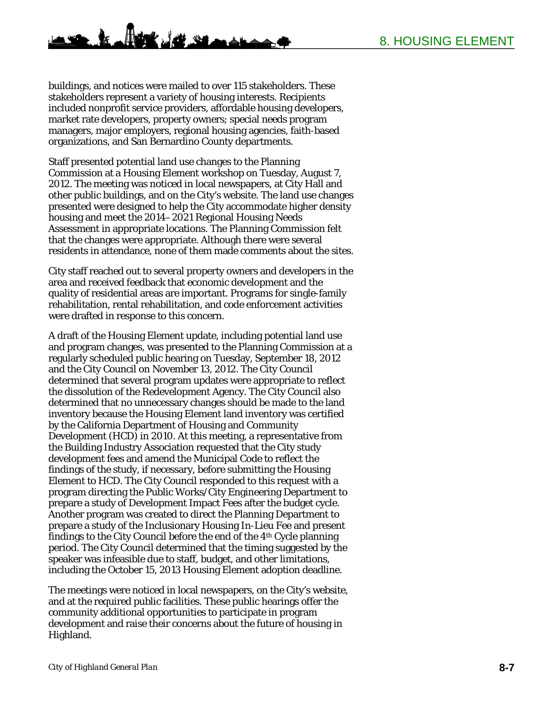buildings, and notices were mailed to over 115 stakeholders. These stakeholders represent a variety of housing interests. Recipients included nonprofit service providers, affordable housing developers, market rate developers, property owners; special needs program managers, major employers, regional housing agencies, faith-based organizations, and San Bernardino County departments.

Staff presented potential land use changes to the Planning Commission at a Housing Element workshop on Tuesday, August 7, 2012. The meeting was noticed in local newspapers, at City Hall and other public buildings, and on the City's website. The land use changes presented were designed to help the City accommodate higher density housing and meet the 2014–2021 Regional Housing Needs Assessment in appropriate locations. The Planning Commission felt that the changes were appropriate. Although there were several residents in attendance, none of them made comments about the sites.

City staff reached out to several property owners and developers in the area and received feedback that economic development and the quality of residential areas are important. Programs for single-family rehabilitation, rental rehabilitation, and code enforcement activities were drafted in response to this concern.

A draft of the Housing Element update, including potential land use and program changes, was presented to the Planning Commission at a regularly scheduled public hearing on Tuesday, September 18, 2012 and the City Council on November 13, 2012. The City Council determined that several program updates were appropriate to reflect the dissolution of the Redevelopment Agency. The City Council also determined that no unnecessary changes should be made to the land inventory because the Housing Element land inventory was certified by the California Department of Housing and Community Development (HCD) in 2010. At this meeting, a representative from the Building Industry Association requested that the City study development fees and amend the Municipal Code to reflect the findings of the study, if necessary, before submitting the Housing Element to HCD. The City Council responded to this request with a program directing the Public Works/City Engineering Department to prepare a study of Development Impact Fees after the budget cycle. Another program was created to direct the Planning Department to prepare a study of the Inclusionary Housing In-Lieu Fee and present findings to the City Council before the end of the  $4<sup>th</sup>$  Cycle planning period. The City Council determined that the timing suggested by the speaker was infeasible due to staff, budget, and other limitations, including the October 15, 2013 Housing Element adoption deadline.

The meetings were noticed in local newspapers, on the City's website, and at the required public facilities. These public hearings offer the community additional opportunities to participate in program development and raise their concerns about the future of housing in Highland.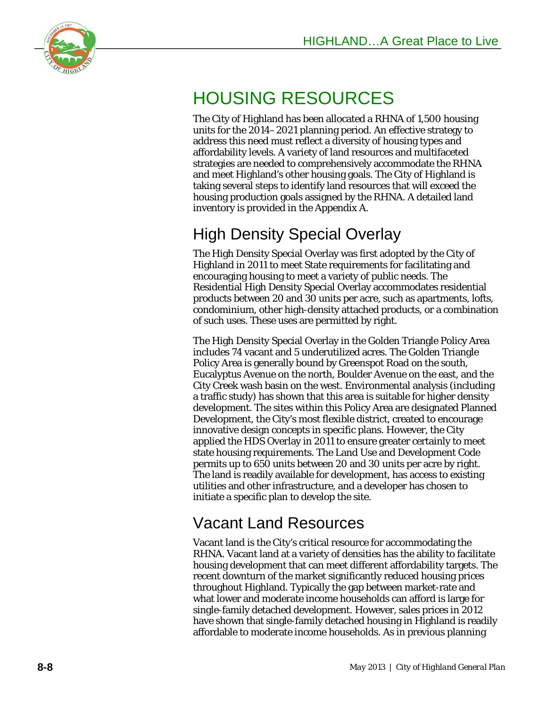

## HOUSING RESOURCES

The City of Highland has been allocated a RHNA of 1,500 housing units for the 2014–2021 planning period. An effective strategy to address this need must reflect a diversity of housing types and affordability levels. A variety of land resources and multifaceted strategies are needed to comprehensively accommodate the RHNA and meet Highland's other housing goals. The City of Highland is taking several steps to identify land resources that will exceed the housing production goals assigned by the RHNA. A detailed land inventory is provided in the Appendix A.

### High Density Special Overlay

The High Density Special Overlay was first adopted by the City of Highland in 2011 to meet State requirements for facilitating and encouraging housing to meet a variety of public needs. The Residential High Density Special Overlay accommodates residential products between 20 and 30 units per acre, such as apartments, lofts, condominium, other high-density attached products, or a combination of such uses. These uses are permitted by right.

The High Density Special Overlay in the Golden Triangle Policy Area includes 74 vacant and 5 underutilized acres. The Golden Triangle Policy Area is generally bound by Greenspot Road on the south, Eucalyptus Avenue on the north, Boulder Avenue on the east, and the City Creek wash basin on the west. Environmental analysis (including a traffic study) has shown that this area is suitable for higher density development. The sites within this Policy Area are designated Planned Development, the City's most flexible district, created to encourage innovative design concepts in specific plans. However, the City applied the HDS Overlay in 2011 to ensure greater certainly to meet state housing requirements. The Land Use and Development Code permits up to 650 units between 20 and 30 units per acre by right. The land is readily available for development, has access to existing utilities and other infrastructure, and a developer has chosen to initiate a specific plan to develop the site.

### Vacant Land Resources

Vacant land is the City's critical resource for accommodating the RHNA. Vacant land at a variety of densities has the ability to facilitate housing development that can meet different affordability targets. The recent downturn of the market significantly reduced housing prices throughout Highland. Typically the gap between market-rate and what lower and moderate income households can afford is large for single-family detached development. However, sales prices in 2012 have shown that single-family detached housing in Highland is readily affordable to moderate income households. As in previous planning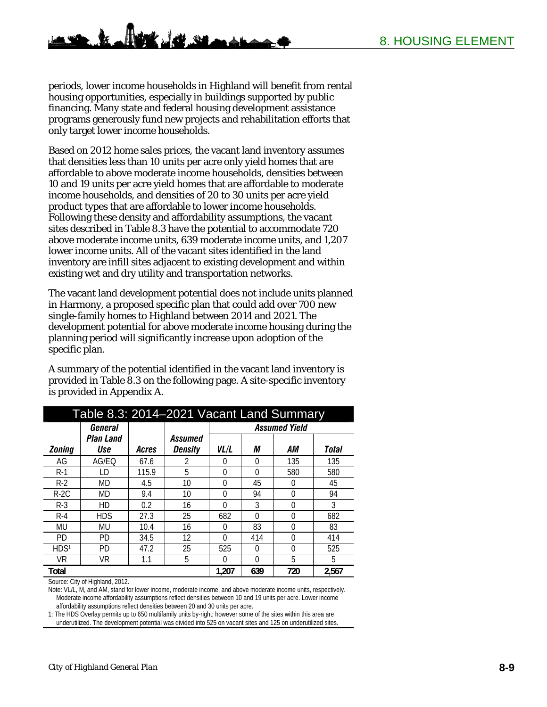periods, lower income households in Highland will benefit from rental housing opportunities, especially in buildings supported by public financing. Many state and federal housing development assistance programs generously fund new projects and rehabilitation efforts that only target lower income households.

Based on 2012 home sales prices, the vacant land inventory assumes that densities less than 10 units per acre only yield homes that are affordable to above moderate income households, densities between 10 and 19 units per acre yield homes that are affordable to moderate income households, and densities of 20 to 30 units per acre yield product types that are affordable to lower income households. Following these density and affordability assumptions, the vacant sites described in Table 8.3 have the potential to accommodate 720 above moderate income units, 639 moderate income units, and 1,207 lower income units. All of the vacant sites identified in the land inventory are infill sites adjacent to existing development and within existing wet and dry utility and transportation networks.

The vacant land development potential does not include units planned in Harmony, a proposed specific plan that could add over 700 new single-family homes to Highland between 2014 and 2021. The development potential for above moderate income housing during the planning period will significantly increase upon adoption of the specific plan.

A summary of the potential identified in the vacant land inventory is provided in Table 8.3 on the following page. A site-specific inventory is provided in Appendix A.

| Table 8.3: 2014–2021 Vacant Land Summary |                  |       |                |                      |          |          |              |
|------------------------------------------|------------------|-------|----------------|----------------------|----------|----------|--------------|
|                                          | General          |       |                | <b>Assumed Yield</b> |          |          |              |
|                                          | <b>Plan Land</b> |       | <b>Assumed</b> |                      |          |          |              |
| <b>Zoning</b>                            | Use              | Acres | Density        | VL/L                 | М        | AM       | <b>Total</b> |
| AG                                       | AG/EQ            | 67.6  | 2              | 0                    | 0        | 135      | 135          |
| $R-1$                                    | LD               | 115.9 | 5              | $\Omega$             | $\Omega$ | 580      | 580          |
| $R-2$                                    | MD               | 4.5   | 10             | $\Omega$             | 45       | 0        | 45           |
| $R-2C$                                   | MD               | 9.4   | 10             | $\Omega$             | 94       | $\theta$ | 94           |
| $R-3$                                    | HD               | 0.2   | 16             | U                    | 3        | 0        | 3            |
| $R-4$                                    | <b>HDS</b>       | 27.3  | 25             | 682                  | 0        | $\Omega$ | 682          |
| MU                                       | MU               | 10.4  | 16             | U                    | 83       | $\Omega$ | 83           |
| <b>PD</b>                                | <b>PD</b>        | 34.5  | 12             | $\Omega$             | 414      | $\Omega$ | 414          |
| HDS <sup>1</sup>                         | PD.              | 47.2  | 25             | 525                  | 0        | $\Omega$ | 525          |
| VR                                       | VR               | 1.1   | 5              | 0                    | 0        | 5        | 5            |
| Total                                    |                  |       |                | 1.207                | 639      | 720      | 2.567        |

Source: City of Highland, 2012.

Note: VL/L, M, and AM, stand for lower income, moderate income, and above moderate income units, respectively. Moderate income affordability assumptions reflect densities between 10 and 19 units per acre. Lower income affordability assumptions reflect densities between 20 and 30 units per acre.

1: The HDS Overlay permits up to 650 multifamily units by-right; however some of the sites within this area are underutilized. The development potential was divided into 525 on vacant sites and 125 on underutilized sites.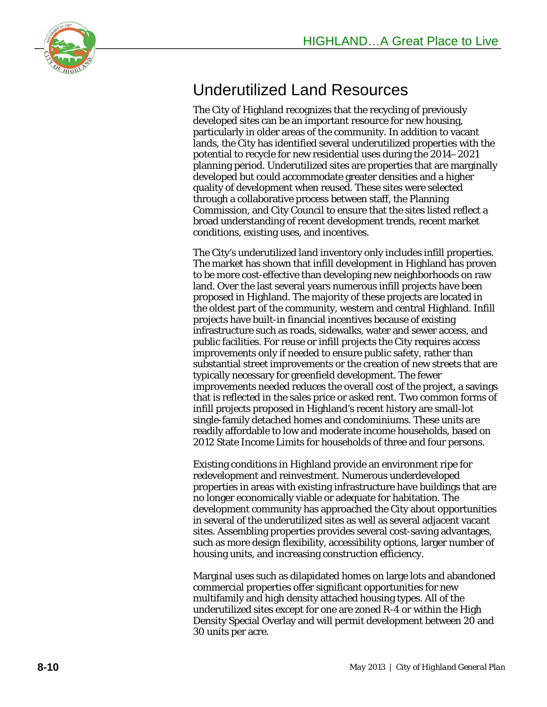

### Underutilized Land Resources

The City of Highland recognizes that the recycling of previously developed sites can be an important resource for new housing, particularly in older areas of the community. In addition to vacant lands, the City has identified several underutilized properties with the potential to recycle for new residential uses during the 2014–2021 planning period. Underutilized sites are properties that are marginally developed but could accommodate greater densities and a higher quality of development when reused. These sites were selected through a collaborative process between staff, the Planning Commission, and City Council to ensure that the sites listed reflect a broad understanding of recent development trends, recent market conditions, existing uses, and incentives.

The City's underutilized land inventory only includes infill properties. The market has shown that infill development in Highland has proven to be more cost-effective than developing new neighborhoods on raw land. Over the last several years numerous infill projects have been proposed in Highland. The majority of these projects are located in the oldest part of the community, western and central Highland. Infill projects have built-in financial incentives because of existing infrastructure such as roads, sidewalks, water and sewer access, and public facilities. For reuse or infill projects the City requires access improvements only if needed to ensure public safety, rather than substantial street improvements or the creation of new streets that are typically necessary for greenfield development. The fewer improvements needed reduces the overall cost of the project, a savings that is reflected in the sales price or asked rent. Two common forms of infill projects proposed in Highland's recent history are small-lot single-family detached homes and condominiums. These units are readily affordable to low and moderate income households, based on 2012 State Income Limits for households of three and four persons.

Existing conditions in Highland provide an environment ripe for redevelopment and reinvestment. Numerous underdeveloped properties in areas with existing infrastructure have buildings that are no longer economically viable or adequate for habitation. The development community has approached the City about opportunities in several of the underutilized sites as well as several adjacent vacant sites. Assembling properties provides several cost-saving advantages, such as more design flexibility, accessibility options, larger number of housing units, and increasing construction efficiency.

Marginal uses such as dilapidated homes on large lots and abandoned commercial properties offer significant opportunities for new multifamily and high density attached housing types. All of the underutilized sites except for one are zoned R-4 or within the High Density Special Overlay and will permit development between 20 and 30 units per acre.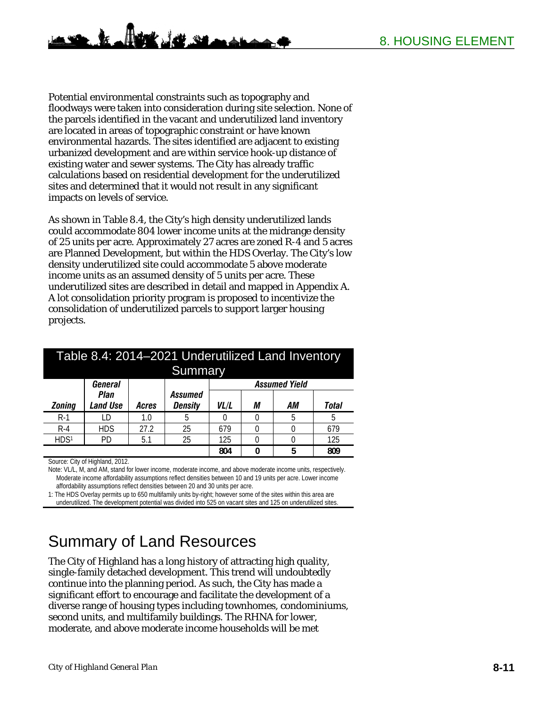WAB SA.

Potential environmental constraints such as topography and floodways were taken into consideration during site selection. None of the parcels identified in the vacant and underutilized land inventory are located in areas of topographic constraint or have known environmental hazards. The sites identified are adjacent to existing urbanized development and are within service hook-up distance of existing water and sewer systems. The City has already traffic calculations based on residential development for the underutilized sites and determined that it would not result in any significant impacts on levels of service.

As shown in Table 8.4, the City's high density underutilized lands could accommodate 804 lower income units at the midrange density of 25 units per acre. Approximately 27 acres are zoned R-4 and 5 acres are Planned Development, but within the HDS Overlay. The City's low density underutilized site could accommodate 5 above moderate income units as an assumed density of 5 units per acre. These underutilized sites are described in detail and mapped in Appendix A. A lot consolidation priority program is proposed to incentivize the consolidation of underutilized parcels to support larger housing projects.

| -<br><b>Summary</b> |                         |       |                           |                      |   |    |              |
|---------------------|-------------------------|-------|---------------------------|----------------------|---|----|--------------|
|                     | General                 |       |                           | <b>Assumed Yield</b> |   |    |              |
| <b>Zoning</b>       | <b>Plan</b><br>Land Use | Acres | Assumed<br><b>Density</b> | VL/L                 | М | AM | <b>Total</b> |
| $R-1$               |                         | 1.0   |                           |                      |   | 5  |              |
| $R-4$               | <b>HDS</b>              | 27.2  | 25                        | 679                  |   |    | 679          |
| HDS <sup>1</sup>    | ΡD                      | 5.1   | 25                        | 125                  |   |    | 125          |
|                     |                         |       |                           | 804                  |   | 5  | 809          |

## Table 8.4: 2014–2021 Underutilized Land Inventory

Source: City of Highland, 2012.

Note: VL/L, M, and AM, stand for lower income, moderate income, and above moderate income units, respectively. Moderate income affordability assumptions reflect densities between 10 and 19 units per acre. Lower income affordability assumptions reflect densities between 20 and 30 units per acre.

1: The HDS Overlay permits up to 650 multifamily units by-right; however some of the sites within this area are underutilized. The development potential was divided into 525 on vacant sites and 125 on underutilized sites.

### Summary of Land Resources

The City of Highland has a long history of attracting high quality, single-family detached development. This trend will undoubtedly continue into the planning period. As such, the City has made a significant effort to encourage and facilitate the development of a diverse range of housing types including townhomes, condominiums, second units, and multifamily buildings. The RHNA for lower, moderate, and above moderate income households will be met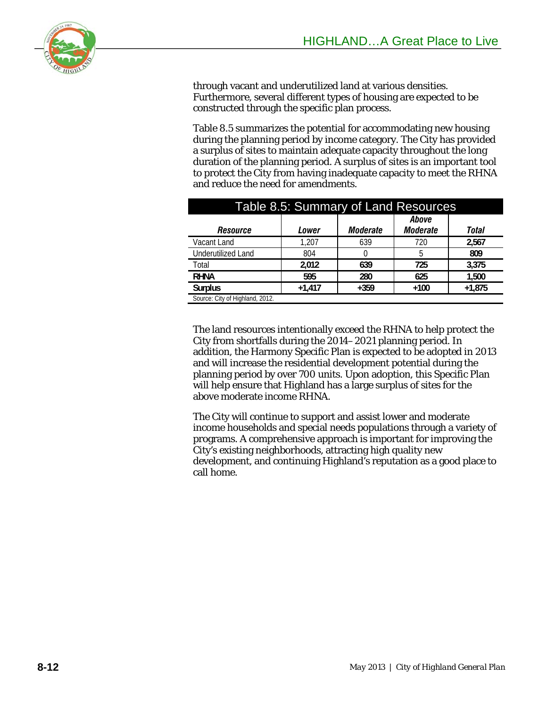

through vacant and underutilized land at various densities. Furthermore, several different types of housing are expected to be constructed through the specific plan process.

Table 8.5 summarizes the potential for accommodating new housing during the planning period by income category. The City has provided a surplus of sites to maintain adequate capacity throughout the long duration of the planning period. A surplus of sites is an important tool to protect the City from having inadequate capacity to meet the RHNA and reduce the need for amendments.

| Table 8.5: Summary of Land Resources |          |                        |                          |              |  |  |
|--------------------------------------|----------|------------------------|--------------------------|--------------|--|--|
| Resource                             | Lower    | <i><b>Moderate</b></i> | Above<br><b>Moderate</b> | <b>Total</b> |  |  |
| Vacant Land                          | 1,207    | 639                    | 720                      | 2,567        |  |  |
| Underutilized Land                   | 804      | 0                      | 5                        | 809          |  |  |
| Total                                | 2,012    | 639                    | 725                      | 3,375        |  |  |
| <b>RHNA</b>                          | 595      | 280                    | 625                      | 1,500        |  |  |
| <b>Surplus</b>                       | $+1,417$ | $+359$                 | $+100$                   | $+1,875$     |  |  |
| Source: City of Highland, 2012.      |          |                        |                          |              |  |  |

The land resources intentionally exceed the RHNA to help protect the City from shortfalls during the 2014–2021 planning period. In addition, the Harmony Specific Plan is expected to be adopted in 2013 and will increase the residential development potential during the planning period by over 700 units. Upon adoption, this Specific Plan will help ensure that Highland has a large surplus of sites for the above moderate income RHNA.

The City will continue to support and assist lower and moderate income households and special needs populations through a variety of programs. A comprehensive approach is important for improving the City's existing neighborhoods, attracting high quality new development, and continuing Highland's reputation as a good place to call home.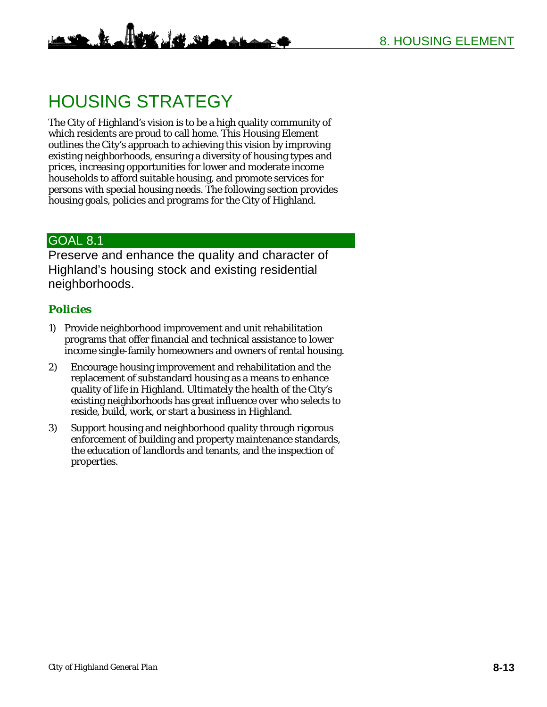### HOUSING STRATEGY

The City of Highland's vision is to be a high quality community of which residents are proud to call home. This Housing Element outlines the City's approach to achieving this vision by improving existing neighborhoods, ensuring a diversity of housing types and prices, increasing opportunities for lower and moderate income households to afford suitable housing, and promote services for persons with special housing needs. The following section provides housing goals, policies and programs for the City of Highland.

#### GOAL 8.1

Preserve and enhance the quality and character of Highland's housing stock and existing residential neighborhoods.

#### *Policies*

- 1) Provide neighborhood improvement and unit rehabilitation programs that offer financial and technical assistance to lower income single-family homeowners and owners of rental housing.
- 2) Encourage housing improvement and rehabilitation and the replacement of substandard housing as a means to enhance quality of life in Highland. Ultimately the health of the City's existing neighborhoods has great influence over who selects to reside, build, work, or start a business in Highland.
- 3) Support housing and neighborhood quality through rigorous enforcement of building and property maintenance standards, the education of landlords and tenants, and the inspection of properties.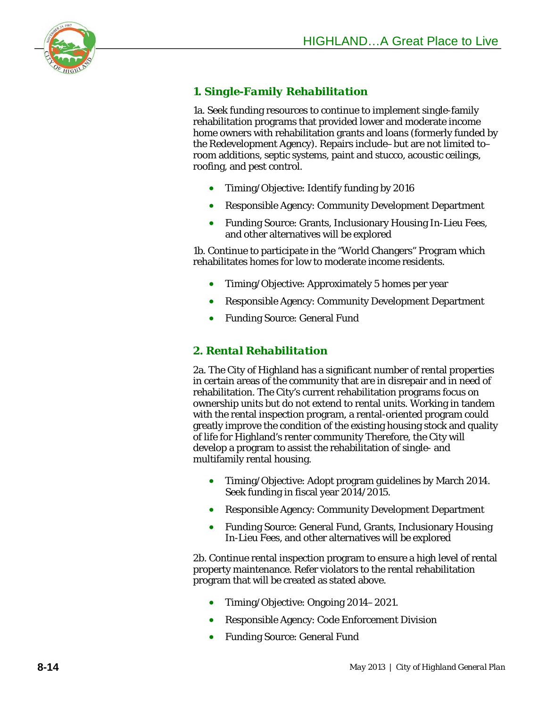

#### *1. Single-Family Rehabilitation*

1a. Seek funding resources to continue to implement single-family rehabilitation programs that provided lower and moderate income home owners with rehabilitation grants and loans (formerly funded by the Redevelopment Agency). Repairs include–but are not limited to– room additions, septic systems, paint and stucco, acoustic ceilings, roofing, and pest control.

- Timing/Objective: Identify funding by 2016
- Responsible Agency: Community Development Department
- Funding Source: Grants, Inclusionary Housing In-Lieu Fees, and other alternatives will be explored

1b. Continue to participate in the "World Changers" Program which rehabilitates homes for low to moderate income residents.

- Timing/Objective: Approximately 5 homes per year
- Responsible Agency: Community Development Department
- Funding Source: General Fund

#### *2. Rental Rehabilitation*

2a. The City of Highland has a significant number of rental properties in certain areas of the community that are in disrepair and in need of rehabilitation. The City's current rehabilitation programs focus on ownership units but do not extend to rental units. Working in tandem with the rental inspection program, a rental-oriented program could greatly improve the condition of the existing housing stock and quality of life for Highland's renter community Therefore, the City will develop a program to assist the rehabilitation of single- and multifamily rental housing.

- Timing/Objective: Adopt program guidelines by March 2014. Seek funding in fiscal year 2014/2015.
- Responsible Agency: Community Development Department
- Funding Source: General Fund, Grants, Inclusionary Housing In-Lieu Fees, and other alternatives will be explored

2b. Continue rental inspection program to ensure a high level of rental property maintenance. Refer violators to the rental rehabilitation program that will be created as stated above.

- Timing/Objective: Ongoing 2014–2021.
- Responsible Agency: Code Enforcement Division
- Funding Source: General Fund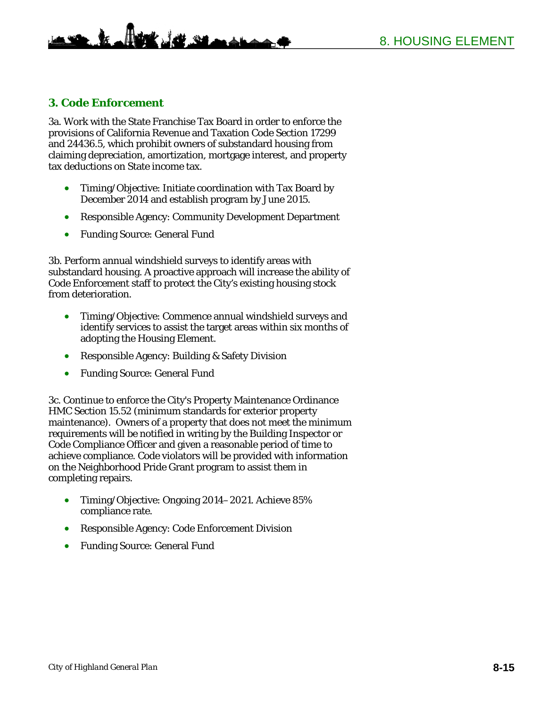

#### *3. Code Enforcement*

3a. Work with the State Franchise Tax Board in order to enforce the provisions of California Revenue and Taxation Code Section 17299 and 24436.5, which prohibit owners of substandard housing from claiming depreciation, amortization, mortgage interest, and property tax deductions on State income tax.

- Timing/Objective: Initiate coordination with Tax Board by December 2014 and establish program by June 2015.
- Responsible Agency: Community Development Department
- Funding Source: General Fund

3b. Perform annual windshield surveys to identify areas with substandard housing. A proactive approach will increase the ability of Code Enforcement staff to protect the City's existing housing stock from deterioration.

- Timing/Objective: Commence annual windshield surveys and identify services to assist the target areas within six months of adopting the Housing Element.
- Responsible Agency: Building & Safety Division
- Funding Source: General Fund

3c. Continue to enforce the City's Property Maintenance Ordinance HMC Section 15.52 (minimum standards for exterior property maintenance). Owners of a property that does not meet the minimum requirements will be notified in writing by the Building Inspector or Code Compliance Officer and given a reasonable period of time to achieve compliance. Code violators will be provided with information on the Neighborhood Pride Grant program to assist them in completing repairs.

- Timing/Objective: Ongoing 2014–2021. Achieve 85% compliance rate.
- Responsible Agency: Code Enforcement Division
- Funding Source: General Fund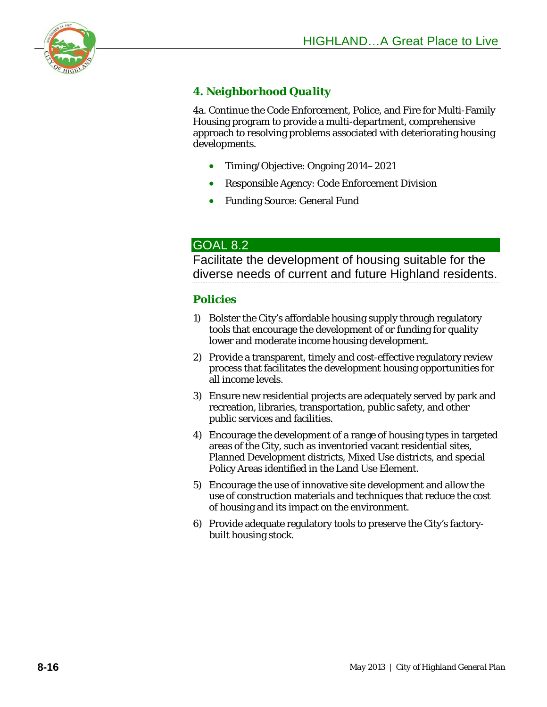



#### *4. Neighborhood Quality*

4a. Continue the Code Enforcement, Police, and Fire for Multi-Family Housing program to provide a multi-department, comprehensive approach to resolving problems associated with deteriorating housing developments.

- Timing/Objective: Ongoing 2014–2021
- Responsible Agency: Code Enforcement Division
- Funding Source: General Fund

#### GOAL 8.2

Facilitate the development of housing suitable for the diverse needs of current and future Highland residents.

#### *Policies*

- 1) Bolster the City's affordable housing supply through regulatory tools that encourage the development of or funding for quality lower and moderate income housing development.
- 2) Provide a transparent, timely and cost-effective regulatory review process that facilitates the development housing opportunities for all income levels.
- 3) Ensure new residential projects are adequately served by park and recreation, libraries, transportation, public safety, and other public services and facilities.
- 4) Encourage the development of a range of housing types in targeted areas of the City, such as inventoried vacant residential sites, Planned Development districts, Mixed Use districts, and special Policy Areas identified in the Land Use Element.
- 5) Encourage the use of innovative site development and allow the use of construction materials and techniques that reduce the cost of housing and its impact on the environment.
- 6) Provide adequate regulatory tools to preserve the City's factorybuilt housing stock.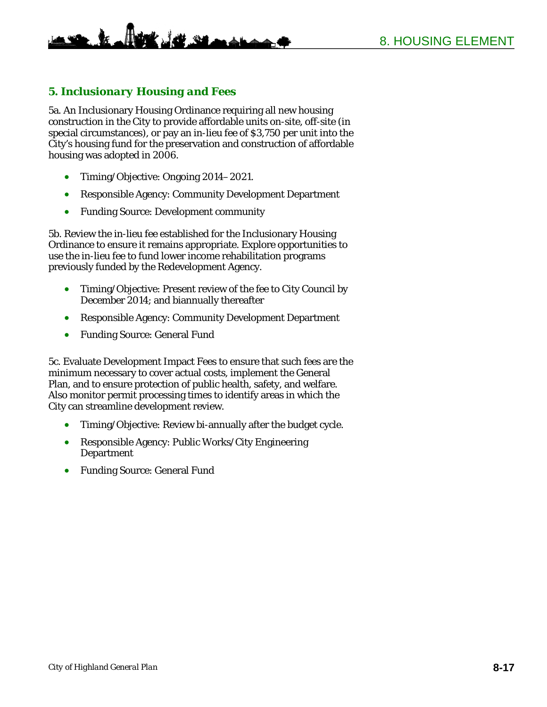

#### *5. Inclusionary Housing and Fees*

5a. An Inclusionary Housing Ordinance requiring all new housing construction in the City to provide affordable units on-site, off-site (in special circumstances), or pay an in-lieu fee of \$3,750 per unit into the City's housing fund for the preservation and construction of affordable housing was adopted in 2006.

- Timing/Objective: Ongoing 2014–2021.
- Responsible Agency: Community Development Department
- Funding Source: Development community

5b. Review the in-lieu fee established for the Inclusionary Housing Ordinance to ensure it remains appropriate. Explore opportunities to use the in-lieu fee to fund lower income rehabilitation programs previously funded by the Redevelopment Agency.

- Timing/Objective: Present review of the fee to City Council by December 2014; and biannually thereafter
- Responsible Agency: Community Development Department
- Funding Source: General Fund

5c. Evaluate Development Impact Fees to ensure that such fees are the minimum necessary to cover actual costs, implement the General Plan, and to ensure protection of public health, safety, and welfare. Also monitor permit processing times to identify areas in which the City can streamline development review.

- Timing/Objective: Review bi-annually after the budget cycle.
- Responsible Agency: Public Works/City Engineering Department
- Funding Source: General Fund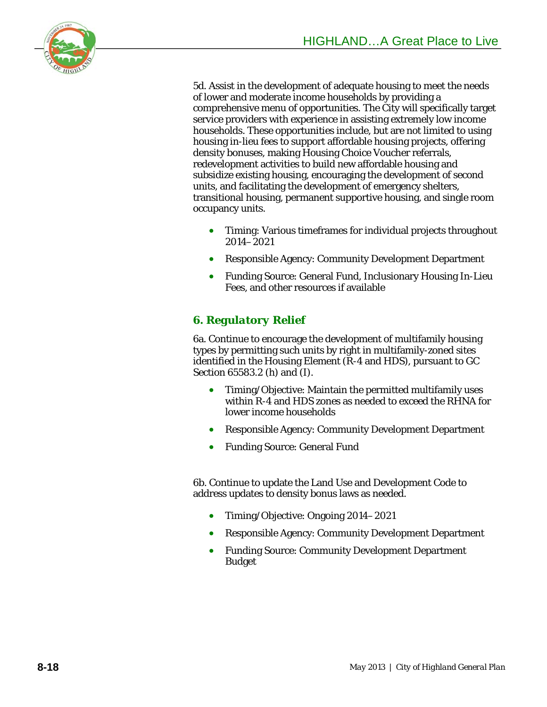

5d. Assist in the development of adequate housing to meet the needs of lower and moderate income households by providing a comprehensive menu of opportunities. The City will specifically target service providers with experience in assisting extremely low income households. These opportunities include, but are not limited to using housing in-lieu fees to support affordable housing projects, offering density bonuses, making Housing Choice Voucher referrals, redevelopment activities to build new affordable housing and subsidize existing housing, encouraging the development of second units, and facilitating the development of emergency shelters, transitional housing, permanent supportive housing, and single room occupancy units.

- Timing: Various timeframes for individual projects throughout 2014–2021
- Responsible Agency: Community Development Department
- Funding Source: General Fund, Inclusionary Housing In-Lieu Fees, and other resources if available

#### *6. Regulatory Relief*

6a. Continue to encourage the development of multifamily housing types by permitting such units by right in multifamily-zoned sites identified in the Housing Element (R-4 and HDS), pursuant to GC Section 65583.2 (h) and (I).

- Timing/Objective: Maintain the permitted multifamily uses within R-4 and HDS zones as needed to exceed the RHNA for lower income households
- Responsible Agency: Community Development Department
- Funding Source: General Fund

6b. Continue to update the Land Use and Development Code to address updates to density bonus laws as needed.

- Timing/Objective: Ongoing 2014–2021
- Responsible Agency: Community Development Department
- Funding Source: Community Development Department Budget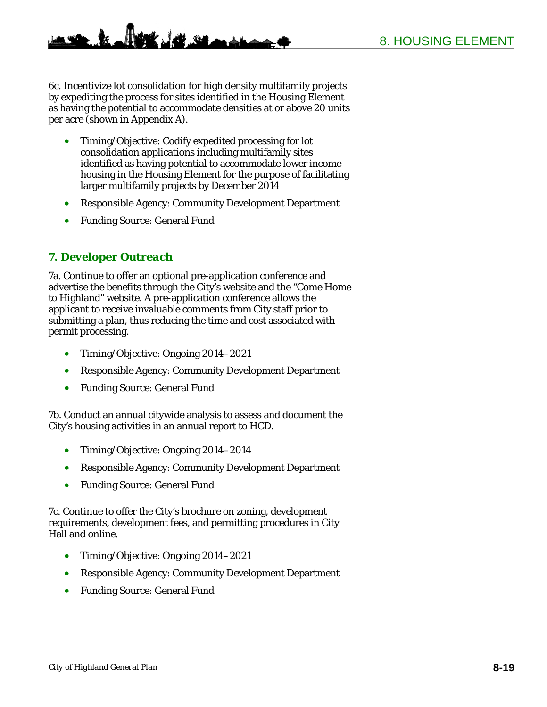

6c. Incentivize lot consolidation for high density multifamily projects by expediting the process for sites identified in the Housing Element as having the potential to accommodate densities at or above 20 units per acre (shown in Appendix A).

- Timing/Objective: Codify expedited processing for lot consolidation applications including multifamily sites identified as having potential to accommodate lower income housing in the Housing Element for the purpose of facilitating larger multifamily projects by December 2014
- Responsible Agency: Community Development Department
- Funding Source: General Fund

#### *7. Developer Outreach*

7a. Continue to offer an optional pre-application conference and advertise the benefits through the City's website and the "Come Home to Highland" website. A pre-application conference allows the applicant to receive invaluable comments from City staff prior to submitting a plan, thus reducing the time and cost associated with permit processing.

- Timing/Objective: Ongoing 2014–2021
- Responsible Agency: Community Development Department
- Funding Source: General Fund

7b. Conduct an annual citywide analysis to assess and document the City's housing activities in an annual report to HCD.

- Timing/Objective: Ongoing 2014–2014
- Responsible Agency: Community Development Department
- Funding Source: General Fund

7c. Continue to offer the City's brochure on zoning, development requirements, development fees, and permitting procedures in City Hall and online.

- Timing/Objective: Ongoing 2014–2021
- Responsible Agency: Community Development Department
- Funding Source: General Fund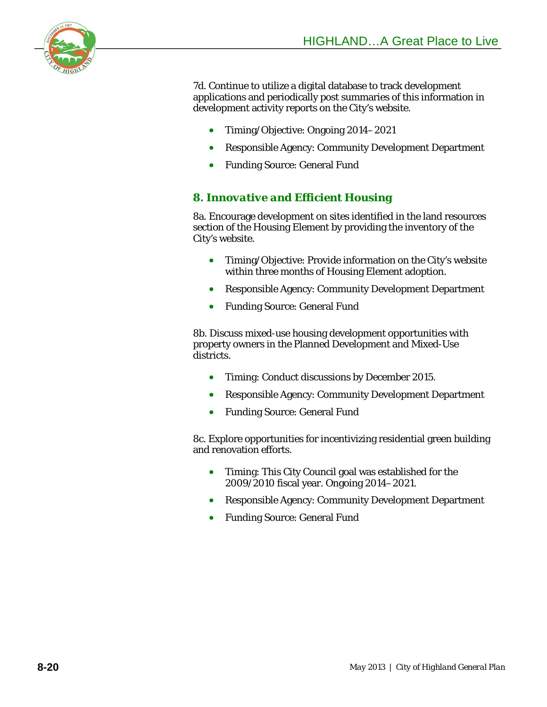

7d. Continue to utilize a digital database to track development applications and periodically post summaries of this information in development activity reports on the City's website.

- Timing/Objective: Ongoing 2014–2021
- Responsible Agency: Community Development Department
- Funding Source: General Fund

#### *8. Innovative and Efficient Housing*

8a. Encourage development on sites identified in the land resources section of the Housing Element by providing the inventory of the City's website.

- Timing/Objective: Provide information on the City's website within three months of Housing Element adoption.
- Responsible Agency: Community Development Department
- Funding Source: General Fund

8b. Discuss mixed-use housing development opportunities with property owners in the Planned Development and Mixed-Use districts.

- Timing: Conduct discussions by December 2015.
- Responsible Agency: Community Development Department
- Funding Source: General Fund

8c. Explore opportunities for incentivizing residential green building and renovation efforts.

- Timing: This City Council goal was established for the 2009/2010 fiscal year. Ongoing 2014–2021.
- Responsible Agency: Community Development Department
- Funding Source: General Fund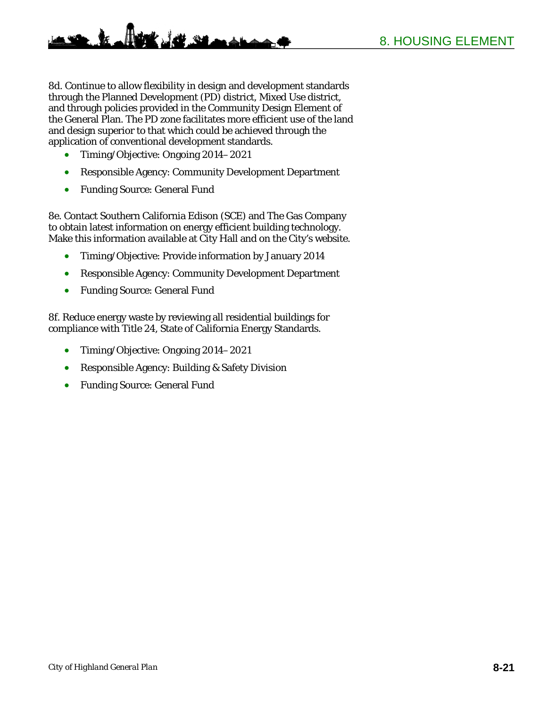

8d. Continue to allow flexibility in design and development standards through the Planned Development (PD) district, Mixed Use district, and through policies provided in the Community Design Element of the General Plan. The PD zone facilitates more efficient use of the land and design superior to that which could be achieved through the application of conventional development standards.

- Timing/Objective: Ongoing 2014–2021
- Responsible Agency: Community Development Department
- Funding Source: General Fund

8e. Contact Southern California Edison (SCE) and The Gas Company to obtain latest information on energy efficient building technology. Make this information available at City Hall and on the City's website.

- Timing/Objective: Provide information by January 2014
- Responsible Agency: Community Development Department
- Funding Source: General Fund

8f. Reduce energy waste by reviewing all residential buildings for compliance with Title 24, State of California Energy Standards.

- Timing/Objective: Ongoing 2014–2021
- Responsible Agency: Building & Safety Division
- Funding Source: General Fund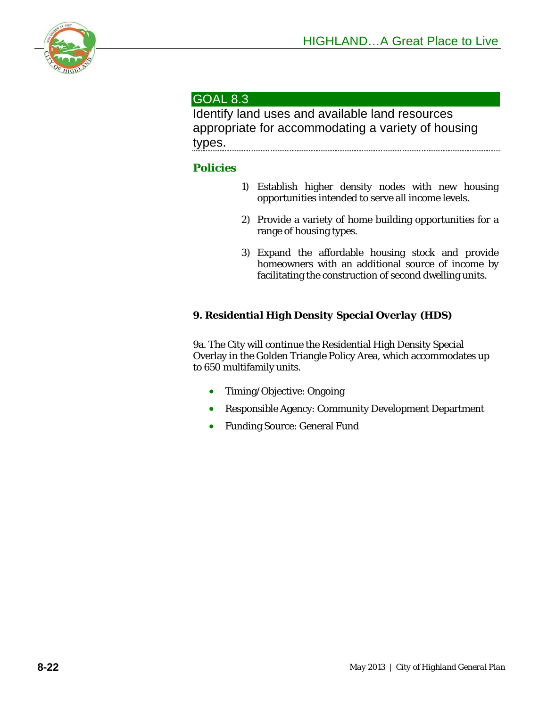

#### GOAL 8.3

Identify land uses and available land resources appropriate for accommodating a variety of housing types. 

#### *Policies*

- 1) Establish higher density nodes with new housing opportunities intended to serve all income levels.
- 2) Provide a variety of home building opportunities for a range of housing types.
- 3) Expand the affordable housing stock and provide homeowners with an additional source of income by facilitating the construction of second dwelling units.

#### *9. Residential High Density Special Overlay (HDS)*

9a. The City will continue the Residential High Density Special Overlay in the Golden Triangle Policy Area, which accommodates up to 650 multifamily units.

- Timing/Objective: Ongoing
- Responsible Agency: Community Development Department
- Funding Source: General Fund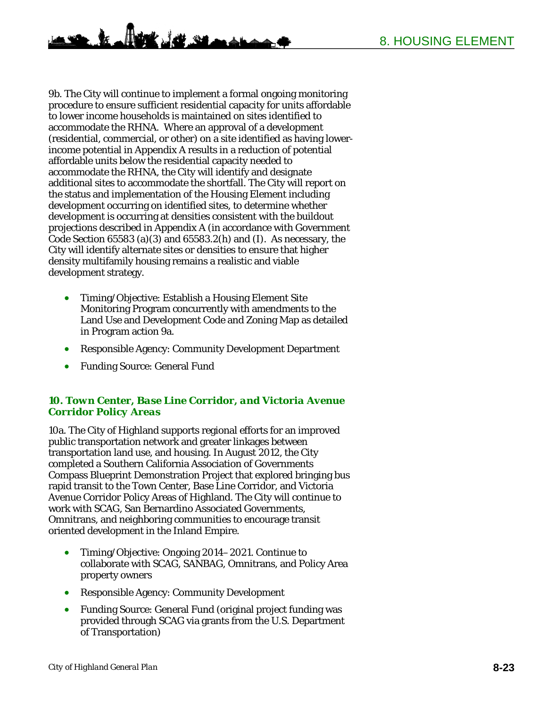**South Addition** 

9b. The City will continue to implement a formal ongoing monitoring procedure to ensure sufficient residential capacity for units affordable to lower income households is maintained on sites identified to accommodate the RHNA. Where an approval of a development (residential, commercial, or other) on a site identified as having lowerincome potential in Appendix A results in a reduction of potential affordable units below the residential capacity needed to accommodate the RHNA, the City will identify and designate additional sites to accommodate the shortfall. The City will report on the status and implementation of the Housing Element including development occurring on identified sites, to determine whether development is occurring at densities consistent with the buildout projections described in Appendix A (in accordance with Government Code Section  $65583$  (a)(3) and  $65583.2$ (h) and (I). As necessary, the City will identify alternate sites or densities to ensure that higher density multifamily housing remains a realistic and viable development strategy.

- Timing/Objective: Establish a Housing Element Site Monitoring Program concurrently with amendments to the Land Use and Development Code and Zoning Map as detailed in Program action 9a.
- Responsible Agency: Community Development Department
- Funding Source: General Fund

#### *10. Town Center, Base Line Corridor, and Victoria Avenue Corridor Policy Areas*

10a. The City of Highland supports regional efforts for an improved public transportation network and greater linkages between transportation land use, and housing. In August 2012, the City completed a Southern California Association of Governments Compass Blueprint Demonstration Project that explored bringing bus rapid transit to the Town Center, Base Line Corridor, and Victoria Avenue Corridor Policy Areas of Highland. The City will continue to work with SCAG, San Bernardino Associated Governments, Omnitrans, and neighboring communities to encourage transit oriented development in the Inland Empire.

- Timing/Objective: Ongoing 2014–2021. Continue to collaborate with SCAG, SANBAG, Omnitrans, and Policy Area property owners
- Responsible Agency: Community Development
- Funding Source: General Fund (original project funding was provided through SCAG via grants from the U.S. Department of Transportation)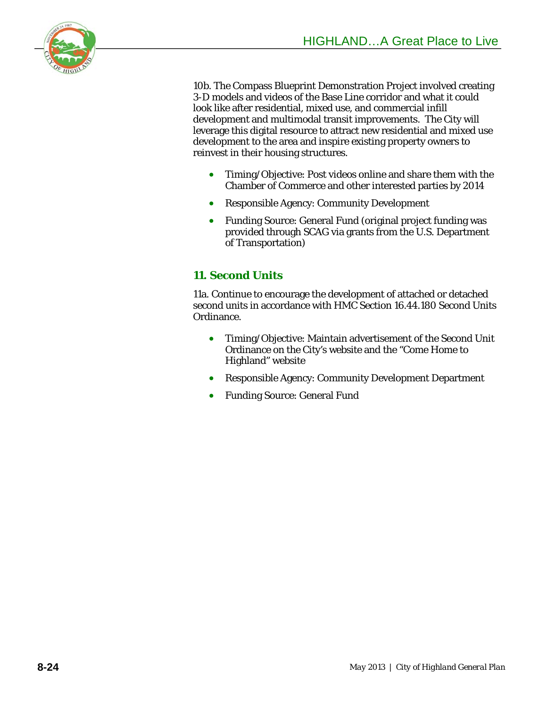

10b. The Compass Blueprint Demonstration Project involved creating 3-D models and videos of the Base Line corridor and what it could look like after residential, mixed use, and commercial infill development and multimodal transit improvements. The City will leverage this digital resource to attract new residential and mixed use development to the area and inspire existing property owners to reinvest in their housing structures.

- Timing/Objective: Post videos online and share them with the Chamber of Commerce and other interested parties by 2014
- Responsible Agency: Community Development
- Funding Source: General Fund (original project funding was provided through SCAG via grants from the U.S. Department of Transportation)

#### *11. Second Units*

11a. Continue to encourage the development of attached or detached second units in accordance with HMC Section 16.44.180 Second Units Ordinance.

- Timing/Objective: Maintain advertisement of the Second Unit Ordinance on the City's website and the "Come Home to Highland" website
- Responsible Agency: Community Development Department
- Funding Source: General Fund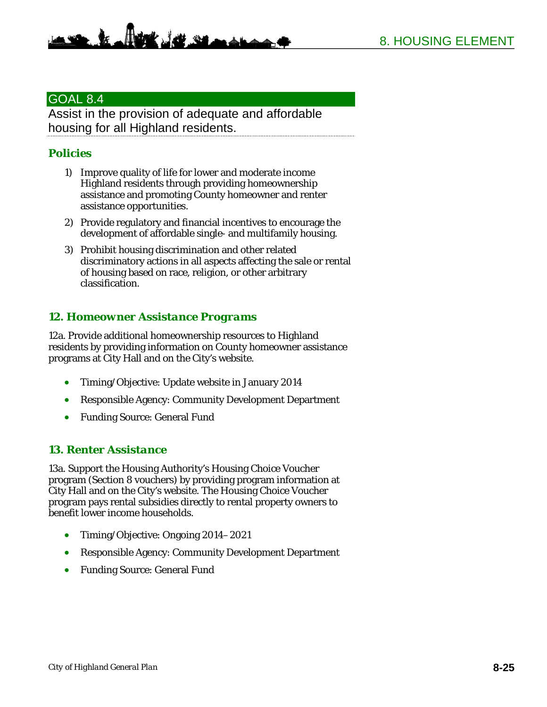#### GOAL 8.4

Assist in the provision of adequate and affordable housing for all Highland residents.

#### *Policies*

- 1) Improve quality of life for lower and moderate income Highland residents through providing homeownership assistance and promoting County homeowner and renter assistance opportunities.
- 2) Provide regulatory and financial incentives to encourage the development of affordable single- and multifamily housing.
- 3) Prohibit housing discrimination and other related discriminatory actions in all aspects affecting the sale or rental of housing based on race, religion, or other arbitrary classification.

#### *12. Homeowner Assistance Programs*

12a. Provide additional homeownership resources to Highland residents by providing information on County homeowner assistance programs at City Hall and on the City's website.

- Timing/Objective: Update website in January 2014
- Responsible Agency: Community Development Department
- Funding Source: General Fund

#### *13. Renter Assistance*

13a. Support the Housing Authority's Housing Choice Voucher program (Section 8 vouchers) by providing program information at City Hall and on the City's website. The Housing Choice Voucher program pays rental subsidies directly to rental property owners to benefit lower income households.

- Timing/Objective: Ongoing 2014–2021
- Responsible Agency: Community Development Department
- Funding Source: General Fund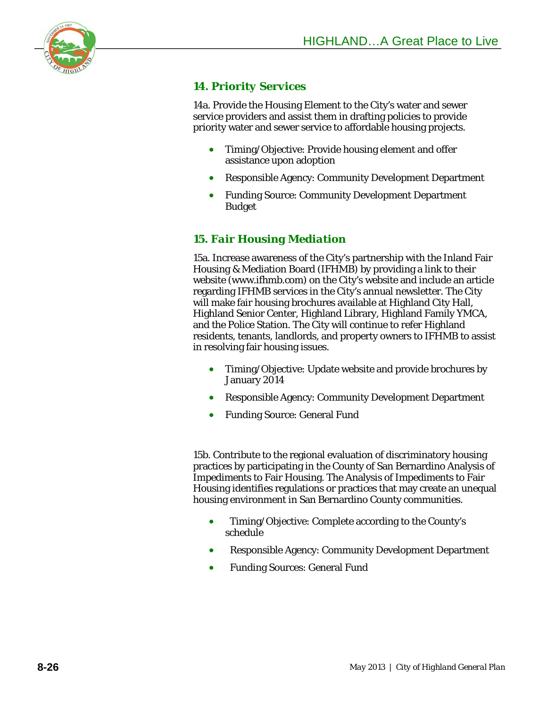

#### *14. Priority Services*

14a. Provide the Housing Element to the City's water and sewer service providers and assist them in drafting policies to provide priority water and sewer service to affordable housing projects.

- Timing/Objective: Provide housing element and offer assistance upon adoption
- Responsible Agency: Community Development Department
- Funding Source: Community Development Department Budget

#### *15. Fair Housing Mediation*

15a. Increase awareness of the City's partnership with the Inland Fair Housing & Mediation Board (IFHMB) by providing a link to their website (www.ifhmb.com) on the City's website and include an article regarding IFHMB services in the City's annual newsletter. The City will make fair housing brochures available at Highland City Hall, Highland Senior Center, Highland Library, Highland Family YMCA, and the Police Station. The City will continue to refer Highland residents, tenants, landlords, and property owners to IFHMB to assist in resolving fair housing issues.

- Timing/Objective: Update website and provide brochures by January 2014
- Responsible Agency: Community Development Department
- Funding Source: General Fund

15b. Contribute to the regional evaluation of discriminatory housing practices by participating in the County of San Bernardino Analysis of Impediments to Fair Housing. The Analysis of Impediments to Fair Housing identifies regulations or practices that may create an unequal housing environment in San Bernardino County communities.

- Timing/Objective: Complete according to the County's schedule
- Responsible Agency: Community Development Department
- Funding Sources: General Fund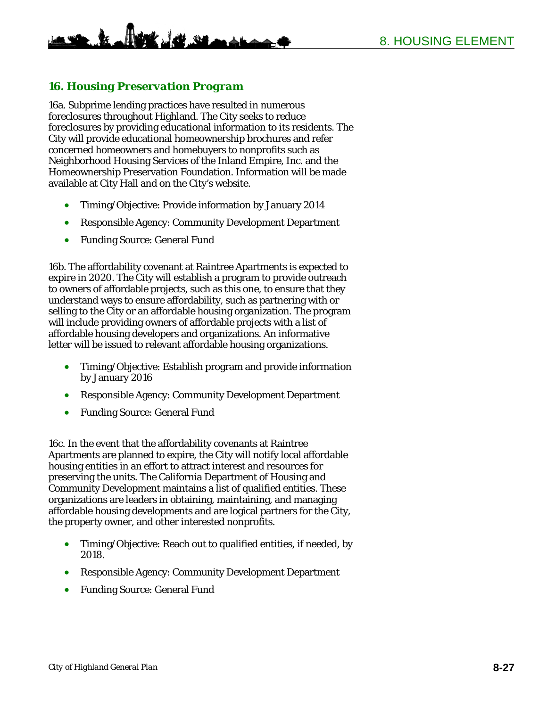8. HOUSING ELEMENT



#### *16. Housing Preservation Program*

16a. Subprime lending practices have resulted in numerous foreclosures throughout Highland. The City seeks to reduce foreclosures by providing educational information to its residents. The City will provide educational homeownership brochures and refer concerned homeowners and homebuyers to nonprofits such as Neighborhood Housing Services of the Inland Empire, Inc. and the Homeownership Preservation Foundation. Information will be made available at City Hall and on the City's website.

- Timing/Objective: Provide information by January 2014
- Responsible Agency: Community Development Department
- Funding Source: General Fund

16b. The affordability covenant at Raintree Apartments is expected to expire in 2020. The City will establish a program to provide outreach to owners of affordable projects, such as this one, to ensure that they understand ways to ensure affordability, such as partnering with or selling to the City or an affordable housing organization. The program will include providing owners of affordable projects with a list of affordable housing developers and organizations. An informative letter will be issued to relevant affordable housing organizations.

- Timing/Objective: Establish program and provide information by January 2016
- Responsible Agency: Community Development Department
- Funding Source: General Fund

16c. In the event that the affordability covenants at Raintree Apartments are planned to expire, the City will notify local affordable housing entities in an effort to attract interest and resources for preserving the units. The California Department of Housing and Community Development maintains a list of qualified entities. These organizations are leaders in obtaining, maintaining, and managing affordable housing developments and are logical partners for the City, the property owner, and other interested nonprofits.

- Timing/Objective: Reach out to qualified entities, if needed, by 2018.
- Responsible Agency: Community Development Department
- Funding Source: General Fund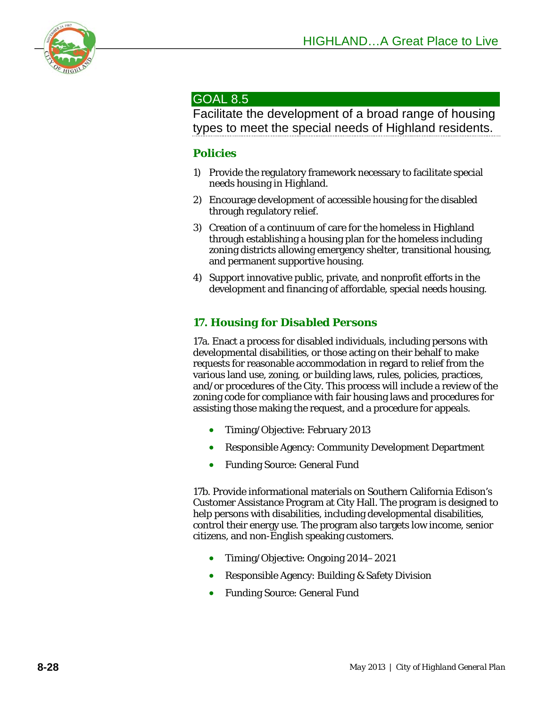

#### GOAL 8.5

Facilitate the development of a broad range of housing types to meet the special needs of Highland residents.

#### *Policies*

- 1) Provide the regulatory framework necessary to facilitate special needs housing in Highland.
- 2) Encourage development of accessible housing for the disabled through regulatory relief.
- 3) Creation of a continuum of care for the homeless in Highland through establishing a housing plan for the homeless including zoning districts allowing emergency shelter, transitional housing, and permanent supportive housing.
- 4) Support innovative public, private, and nonprofit efforts in the development and financing of affordable, special needs housing.

#### *17. Housing for Disabled Persons*

17a. Enact a process for disabled individuals, including persons with developmental disabilities, or those acting on their behalf to make requests for reasonable accommodation in regard to relief from the various land use, zoning, or building laws, rules, policies, practices, and/or procedures of the City. This process will include a review of the zoning code for compliance with fair housing laws and procedures for assisting those making the request, and a procedure for appeals.

- Timing/Objective: February 2013
- Responsible Agency: Community Development Department
- Funding Source: General Fund

17b. Provide informational materials on Southern California Edison's Customer Assistance Program at City Hall. The program is designed to help persons with disabilities, including developmental disabilities, control their energy use. The program also targets low income, senior citizens, and non-English speaking customers.

- Timing/Objective: Ongoing 2014–2021
- Responsible Agency: Building & Safety Division
- Funding Source: General Fund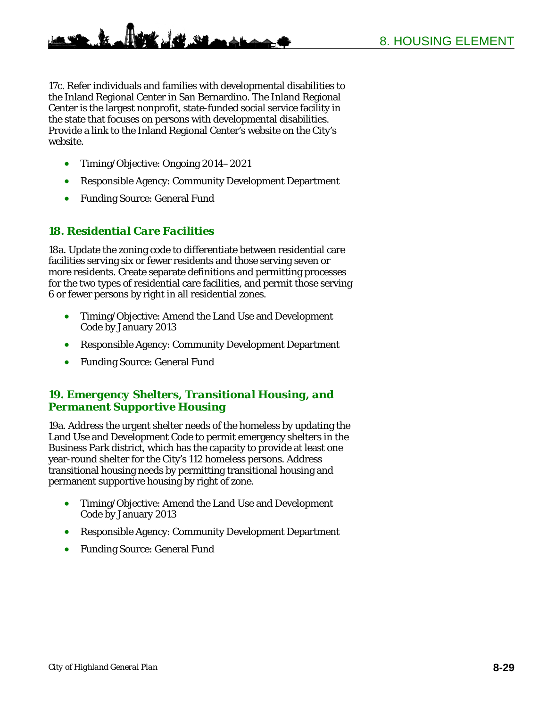

17c. Refer individuals and families with developmental disabilities to the Inland Regional Center in San Bernardino. The Inland Regional Center is the largest nonprofit, state-funded social service facility in the state that focuses on persons with developmental disabilities. Provide a link to the Inland Regional Center's website on the City's website.

- Timing/Objective: Ongoing 2014–2021
- Responsible Agency: Community Development Department
- Funding Source: General Fund

#### *18. Residential Care Facilities*

18a. Update the zoning code to differentiate between residential care facilities serving six or fewer residents and those serving seven or more residents. Create separate definitions and permitting processes for the two types of residential care facilities, and permit those serving 6 or fewer persons by right in all residential zones.

- Timing/Objective: Amend the Land Use and Development Code by January 2013
- Responsible Agency: Community Development Department
- Funding Source: General Fund

#### *19. Emergency Shelters, Transitional Housing, and Permanent Supportive Housing*

19a. Address the urgent shelter needs of the homeless by updating the Land Use and Development Code to permit emergency shelters in the Business Park district, which has the capacity to provide at least one year-round shelter for the City's 112 homeless persons. Address transitional housing needs by permitting transitional housing and permanent supportive housing by right of zone.

- Timing/Objective: Amend the Land Use and Development Code by January 2013
- Responsible Agency: Community Development Department
- Funding Source: General Fund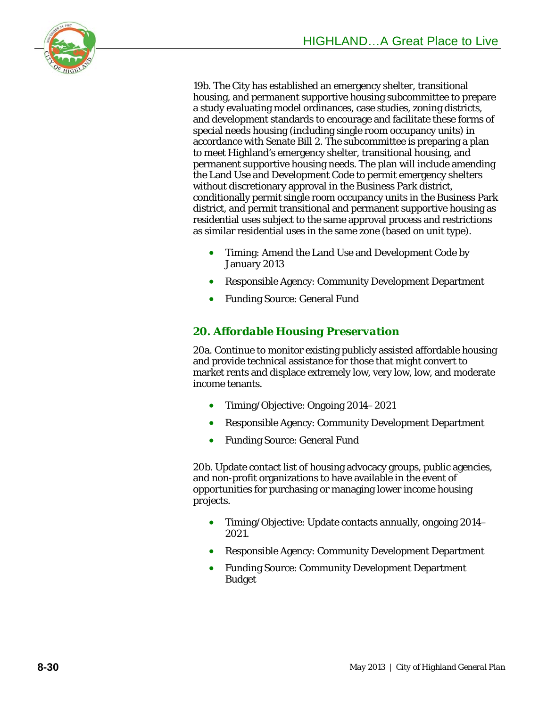

19b. The City has established an emergency shelter, transitional housing, and permanent supportive housing subcommittee to prepare a study evaluating model ordinances, case studies, zoning districts, and development standards to encourage and facilitate these forms of special needs housing (including single room occupancy units) in accordance with Senate Bill 2. The subcommittee is preparing a plan to meet Highland's emergency shelter, transitional housing, and permanent supportive housing needs. The plan will include amending the Land Use and Development Code to permit emergency shelters without discretionary approval in the Business Park district, conditionally permit single room occupancy units in the Business Park district, and permit transitional and permanent supportive housing as residential uses subject to the same approval process and restrictions as similar residential uses in the same zone (based on unit type).

- Timing: Amend the Land Use and Development Code by January 2013
- Responsible Agency: Community Development Department
- Funding Source: General Fund

#### *20. Affordable Housing Preservation*

20a. Continue to monitor existing publicly assisted affordable housing and provide technical assistance for those that might convert to market rents and displace extremely low, very low, low, and moderate income tenants.

- Timing/Objective: Ongoing 2014–2021
- Responsible Agency: Community Development Department
- Funding Source: General Fund

20b. Update contact list of housing advocacy groups, public agencies, and non-profit organizations to have available in the event of opportunities for purchasing or managing lower income housing projects.

- Timing/Objective: Update contacts annually, ongoing 2014– 2021.
- Responsible Agency: Community Development Department
- Funding Source: Community Development Department Budget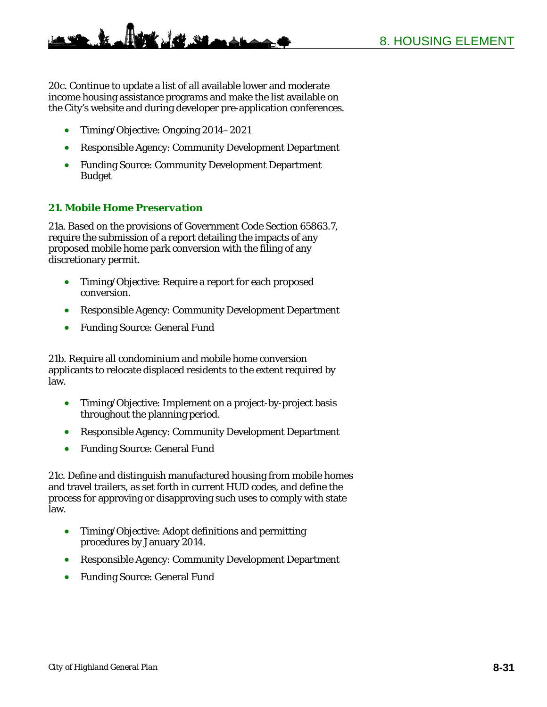

20c. Continue to update a list of all available lower and moderate income housing assistance programs and make the list available on the City's website and during developer pre-application conferences.

- Timing/Objective: Ongoing 2014–2021
- Responsible Agency: Community Development Department
- Funding Source: Community Development Department Budget

#### *21. Mobile Home Preservation*

21a. Based on the provisions of Government Code Section 65863.7, require the submission of a report detailing the impacts of any proposed mobile home park conversion with the filing of any discretionary permit.

- Timing/Objective: Require a report for each proposed conversion.
- Responsible Agency: Community Development Department
- Funding Source: General Fund

21b. Require all condominium and mobile home conversion applicants to relocate displaced residents to the extent required by  $law.$ 

- Timing/Objective: Implement on a project-by-project basis throughout the planning period.
- Responsible Agency: Community Development Department
- Funding Source: General Fund

21c. Define and distinguish manufactured housing from mobile homes and travel trailers, as set forth in current HUD codes, and define the process for approving or disapproving such uses to comply with state law.

- Timing/Objective: Adopt definitions and permitting procedures by January 2014.
- Responsible Agency: Community Development Department
- Funding Source: General Fund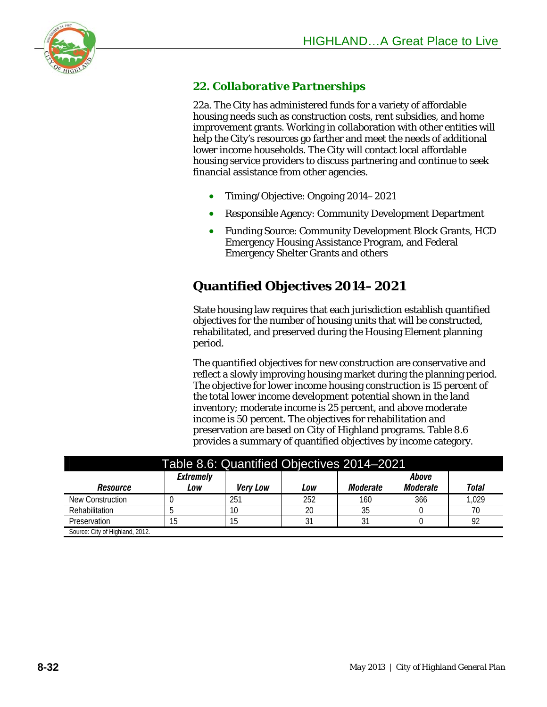

#### *22. Collaborative Partnerships*

22a. The City has administered funds for a variety of affordable housing needs such as construction costs, rent subsidies, and home improvement grants. Working in collaboration with other entities will help the City's resources go farther and meet the needs of additional lower income households. The City will contact local affordable housing service providers to discuss partnering and continue to seek financial assistance from other agencies.

- Timing/Objective: Ongoing 2014–2021
- Responsible Agency: Community Development Department
- Funding Source: Community Development Block Grants, HCD Emergency Housing Assistance Program, and Federal Emergency Shelter Grants and others

#### **Quantified Objectives 2014–2021**

State housing law requires that each jurisdiction establish quantified objectives for the number of housing units that will be constructed, rehabilitated, and preserved during the Housing Element planning period.

The quantified objectives for new construction are conservative and reflect a slowly improving housing market during the planning period. The objective for lower income housing construction is 15 percent of the total lower income development potential shown in the land inventory; moderate income is 25 percent, and above moderate income is 50 percent. The objectives for rehabilitation and preservation are based on City of Highland programs. Table 8.6 provides a summary of quantified objectives by income category.

| Table 8.6: Quantified Objectives 2014–2021                                                                                          |    |     |     |     |     |       |  |  |
|-------------------------------------------------------------------------------------------------------------------------------------|----|-----|-----|-----|-----|-------|--|--|
| <b>Extremely</b><br>Above<br><i><b>Moderate</b></i><br>Total<br><i><b>Moderate</b></i><br><i>Verv Low</i><br>Resource<br>Low<br>Low |    |     |     |     |     |       |  |  |
| New Construction                                                                                                                    |    | 251 | 252 | 160 | 366 | 1,029 |  |  |
| Rehabilitation                                                                                                                      |    | 10  | 20  | 35  |     | 70    |  |  |
| Preservation                                                                                                                        | 15 | 15  |     | 21  |     | 92    |  |  |
| Source: City of Highland, 2012.                                                                                                     |    |     |     |     |     |       |  |  |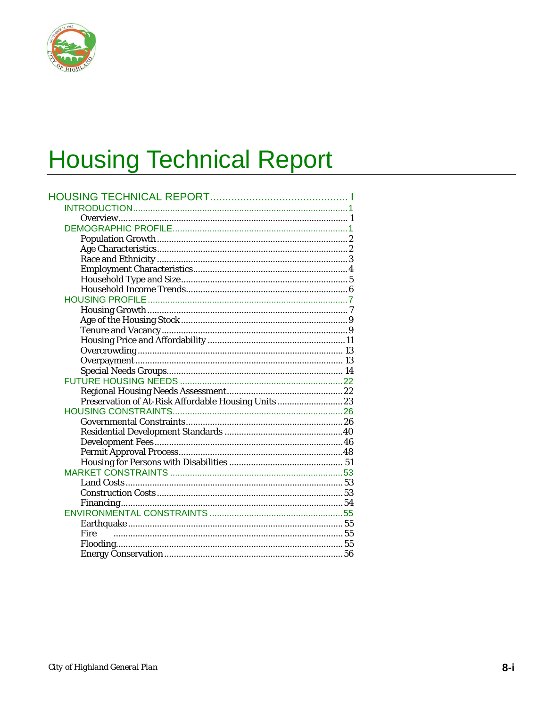

## **Housing Technical Report**

| Preservation of At-Risk Affordable Housing Units  23 |  |
|------------------------------------------------------|--|
|                                                      |  |
|                                                      |  |
|                                                      |  |
|                                                      |  |
|                                                      |  |
|                                                      |  |
|                                                      |  |
|                                                      |  |
|                                                      |  |
|                                                      |  |
|                                                      |  |
|                                                      |  |
| <b>Fire</b>                                          |  |
|                                                      |  |
|                                                      |  |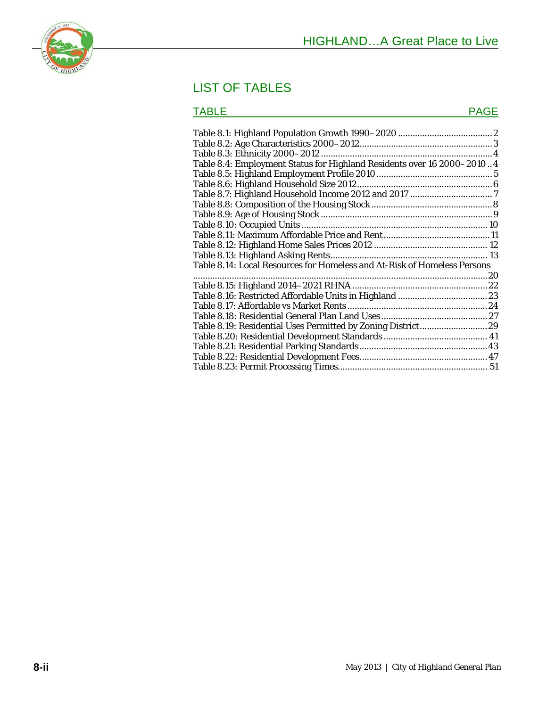

#### LIST OF TABLES

#### TABLE PAGE

| Table 8.4: Employment Status for Highland Residents over 16 2000-20104   |  |
|--------------------------------------------------------------------------|--|
|                                                                          |  |
|                                                                          |  |
|                                                                          |  |
|                                                                          |  |
|                                                                          |  |
|                                                                          |  |
|                                                                          |  |
|                                                                          |  |
|                                                                          |  |
| Table 8.14: Local Resources for Homeless and At-Risk of Homeless Persons |  |
|                                                                          |  |
|                                                                          |  |
|                                                                          |  |
|                                                                          |  |
|                                                                          |  |
|                                                                          |  |
|                                                                          |  |
|                                                                          |  |
|                                                                          |  |
|                                                                          |  |
|                                                                          |  |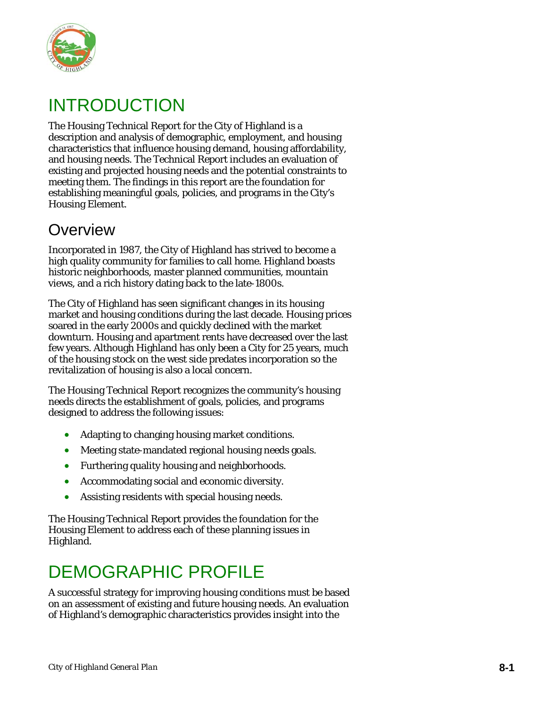

### INTRODUCTION

The Housing Technical Report for the City of Highland is a description and analysis of demographic, employment, and housing characteristics that influence housing demand, housing affordability, and housing needs. The Technical Report includes an evaluation of existing and projected housing needs and the potential constraints to meeting them. The findings in this report are the foundation for establishing meaningful goals, policies, and programs in the City's Housing Element.

### **Overview**

Incorporated in 1987, the City of Highland has strived to become a high quality community for families to call home. Highland boasts historic neighborhoods, master planned communities, mountain views, and a rich history dating back to the late-1800s.

The City of Highland has seen significant changes in its housing market and housing conditions during the last decade. Housing prices soared in the early 2000s and quickly declined with the market downturn. Housing and apartment rents have decreased over the last few years. Although Highland has only been a City for 25 years, much of the housing stock on the west side predates incorporation so the revitalization of housing is also a local concern.

The Housing Technical Report recognizes the community's housing needs directs the establishment of goals, policies, and programs designed to address the following issues:

- Adapting to changing housing market conditions.
- Meeting state-mandated regional housing needs goals.
- Furthering quality housing and neighborhoods.
- Accommodating social and economic diversity.
- Assisting residents with special housing needs.

The Housing Technical Report provides the foundation for the Housing Element to address each of these planning issues in Highland.

### DEMOGRAPHIC PROFILE

A successful strategy for improving housing conditions must be based on an assessment of existing and future housing needs. An evaluation of Highland's demographic characteristics provides insight into the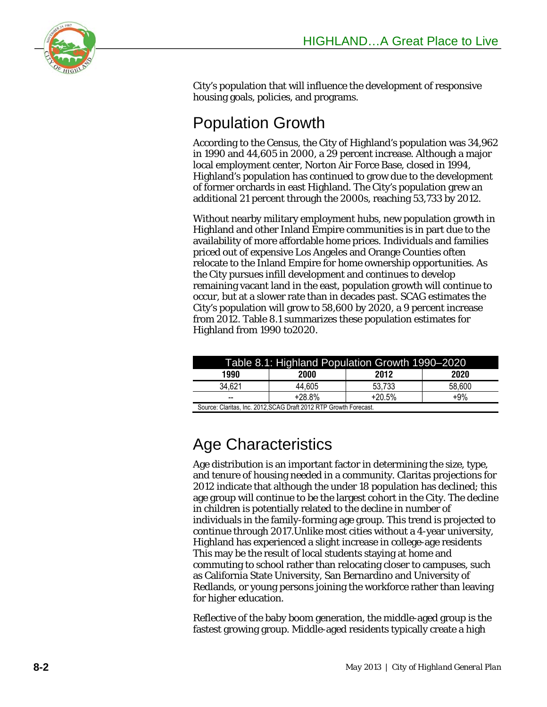

City's population that will influence the development of responsive housing goals, policies, and programs.

### Population Growth

According to the Census, the City of Highland's population was 34,962 in 1990 and 44,605 in 2000, a 29 percent increase. Although a major local employment center, Norton Air Force Base, closed in 1994, Highland's population has continued to grow due to the development of former orchards in east Highland. The City's population grew an additional 21 percent through the 2000s, reaching 53,733 by 2012.

Without nearby military employment hubs, new population growth in Highland and other Inland Empire communities is in part due to the availability of more affordable home prices. Individuals and families priced out of expensive Los Angeles and Orange Counties often relocate to the Inland Empire for home ownership opportunities. As the City pursues infill development and continues to develop remaining vacant land in the east, population growth will continue to occur, but at a slower rate than in decades past. SCAG estimates the City's population will grow to 58,600 by 2020, a 9 percent increase from 2012. Table 8.1 summarizes these population estimates for Highland from 1990 to2020.

| Table 8.1: Highland Population Growth 1990–2020                   |          |          |        |  |  |
|-------------------------------------------------------------------|----------|----------|--------|--|--|
| 1990                                                              | 2000     | 2012     | 2020   |  |  |
| 34.621                                                            | 44.605   | 53.733   | 58,600 |  |  |
| $- -$                                                             | $+28.8%$ | $+20.5%$ | $+9%$  |  |  |
| Source: Claritas, Inc. 2012, SCAG Draft 2012 RTP Growth Forecast. |          |          |        |  |  |

### Age Characteristics

Age distribution is an important factor in determining the size, type, and tenure of housing needed in a community. Claritas projections for 2012 indicate that although the under 18 population has declined; this age group will continue to be the largest cohort in the City. The decline in children is potentially related to the decline in number of individuals in the family-forming age group. This trend is projected to continue through 2017.Unlike most cities without a 4-year university, Highland has experienced a slight increase in college-age residents This may be the result of local students staying at home and commuting to school rather than relocating closer to campuses, such as California State University, San Bernardino and University of Redlands, or young persons joining the workforce rather than leaving for higher education.

Reflective of the baby boom generation, the middle-aged group is the fastest growing group. Middle-aged residents typically create a high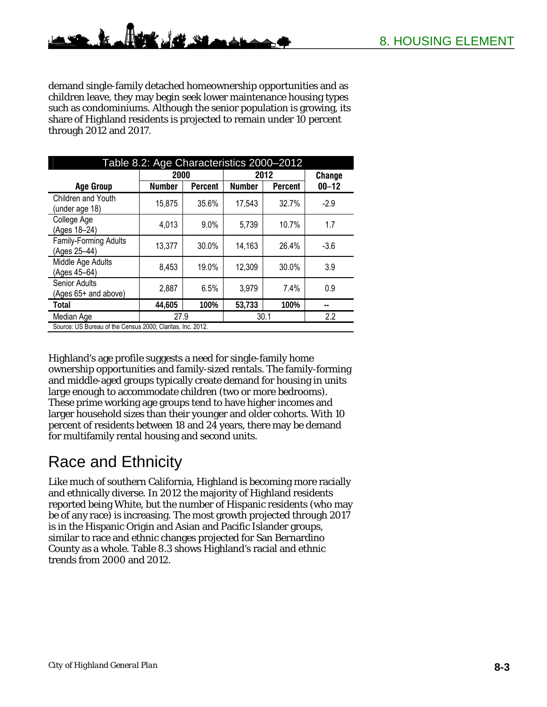demand single-family detached homeownership opportunities and as children leave, they may begin seek lower maintenance housing types such as condominiums. Although the senior population is growing, its share of Highland residents is projected to remain under 10 percent through 2012 and 2017.

| Table 8.2: Age Characteristics 2000-2012                   |               |                |               |                |               |  |
|------------------------------------------------------------|---------------|----------------|---------------|----------------|---------------|--|
|                                                            | 2000          |                | 2012          |                | <b>Change</b> |  |
| <b>Age Group</b>                                           | <b>Number</b> | <b>Percent</b> | <b>Number</b> | <b>Percent</b> | $00 - 12$     |  |
| Children and Youth<br>(under age 18)                       | 15,875        | 35.6%          | 17,543        | 32.7%          | $-2.9$        |  |
| College Age<br>(Ages 18-24)                                | 4,013         | $9.0\%$        | 5,739         | 10.7%          | 1.7           |  |
| Family-Forming Adults<br>(Ages 25-44)                      | 13,377        | 30.0%          | 14,163        | 26.4%          | $-3.6$        |  |
| Middle Age Adults<br>(Ages 45-64)                          | 8,453         | 19.0%          | 12,309        | 30.0%          | 3.9           |  |
| <b>Senior Adults</b><br>(Ages 65+ and above)               | 2,887         | 6.5%           | 3,979         | 7.4%           | 0.9           |  |
| Total                                                      | 44,605        | 100%           | 53,733        | 100%           | --            |  |
| Median Age                                                 |               | 27.9<br>30.1   |               |                | 2.2           |  |
| Source: US Bureau of the Census 2000; Claritas, Inc. 2012. |               |                |               |                |               |  |

Highland's age profile suggests a need for single-family home ownership opportunities and family-sized rentals. The family-forming and middle-aged groups typically create demand for housing in units large enough to accommodate children (two or more bedrooms). These prime working age groups tend to have higher incomes and larger household sizes than their younger and older cohorts. With 10 percent of residents between 18 and 24 years, there may be demand for multifamily rental housing and second units.

## Race and Ethnicity

Like much of southern California, Highland is becoming more racially and ethnically diverse. In 2012 the majority of Highland residents reported being White, but the number of Hispanic residents (who may be of any race) is increasing. The most growth projected through 2017 is in the Hispanic Origin and Asian and Pacific Islander groups, similar to race and ethnic changes projected for San Bernardino County as a whole. Table 8.3 shows Highland's racial and ethnic trends from 2000 and 2012.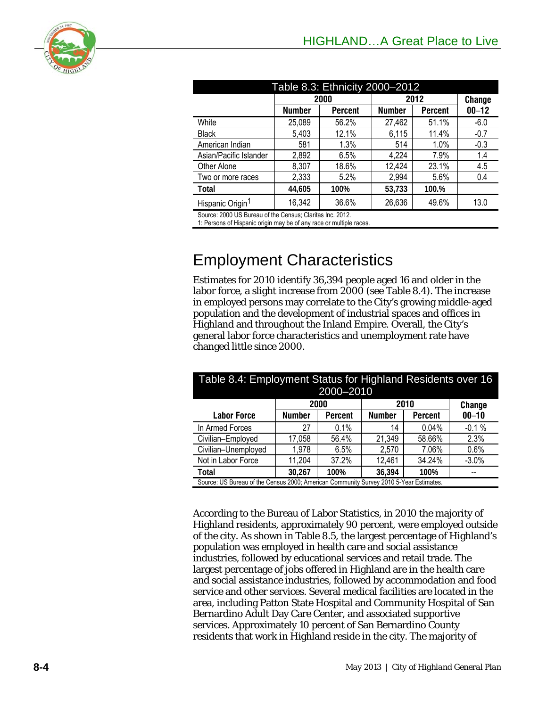

| Table 8.3: Ethnicity 2000-2012 |               |                |               |                |           |  |
|--------------------------------|---------------|----------------|---------------|----------------|-----------|--|
|                                |               | 2000           |               | 2012           |           |  |
|                                | <b>Number</b> | <b>Percent</b> | <b>Number</b> | <b>Percent</b> | $00 - 12$ |  |
| White                          | 25,089        | 56.2%          | 27,462        | 51.1%          | $-6.0$    |  |
| <b>Black</b>                   | 5,403         | 12.1%          | 6,115         | 11.4%          | $-0.7$    |  |
| American Indian                | 581           | 1.3%           | 514           | 1.0%           | $-0.3$    |  |
| Asian/Pacific Islander         | 2,892         | 6.5%           | 4,224         | 7.9%           | 1.4       |  |
| Other Alone                    | 8,307         | 18.6%          | 12,424        | 23.1%          | 4.5       |  |
| Two or more races              | 2,333         | 5.2%           | 2,994         | 5.6%           | 0.4       |  |
| Total                          | 44,605        | 100%           | 53,733        | 100.%          |           |  |
| Hispanic Origin <sup>1</sup>   | 16,342        | 36.6%          | 26,636        | 49.6%          | 13.0      |  |

Source: 2000 US Bureau of the Census; Claritas Inc. 2012.

1: Persons of Hispanic origin may be of any race or multiple races.

## Employment Characteristics

Estimates for 2010 identify 36,394 people aged 16 and older in the labor force, a slight increase from 2000 (see Table 8.4). The increase in employed persons may correlate to the City's growing middle-aged population and the development of industrial spaces and offices in Highland and throughout the Inland Empire. Overall, the City's general labor force characteristics and unemployment rate have changed little since 2000.

| Table 8.4: Employment Status for Highland Residents over 16<br>2000-2010               |                        |                |               |                |           |  |
|----------------------------------------------------------------------------------------|------------------------|----------------|---------------|----------------|-----------|--|
|                                                                                        | 2000<br>2010<br>Change |                |               |                |           |  |
| <b>Labor Force</b>                                                                     | <b>Number</b>          | <b>Percent</b> | <b>Number</b> | <b>Percent</b> | $00 - 10$ |  |
| In Armed Forces                                                                        | 27                     | 0.1%           | 14            | 0.04%          | $-0.1%$   |  |
| Civilian-Employed                                                                      | 17,058                 | 56.4%          | 21,349        | 58.66%         | 2.3%      |  |
| Civilian-Unemployed                                                                    | 1,978                  | 6.5%           | 2,570         | 7.06%          | 0.6%      |  |
| Not in Labor Force                                                                     | 11,204                 | 37.2%          | 12,461        | 34.24%         | $-3.0%$   |  |
| Total                                                                                  | 30,267                 | 100%           | 36,394        | 100%           |           |  |
| Source: US Bureau of the Census 2000; American Community Survey 2010 5-Year Estimates. |                        |                |               |                |           |  |

According to the Bureau of Labor Statistics, in 2010 the majority of Highland residents, approximately 90 percent, were employed outside of the city. As shown in Table 8.5, the largest percentage of Highland's population was employed in health care and social assistance industries, followed by educational services and retail trade. The largest percentage of jobs offered in Highland are in the health care and social assistance industries, followed by accommodation and food service and other services. Several medical facilities are located in the area, including Patton State Hospital and Community Hospital of San Bernardino Adult Day Care Center, and associated supportive services. Approximately 10 percent of San Bernardino County residents that work in Highland reside in the city. The majority of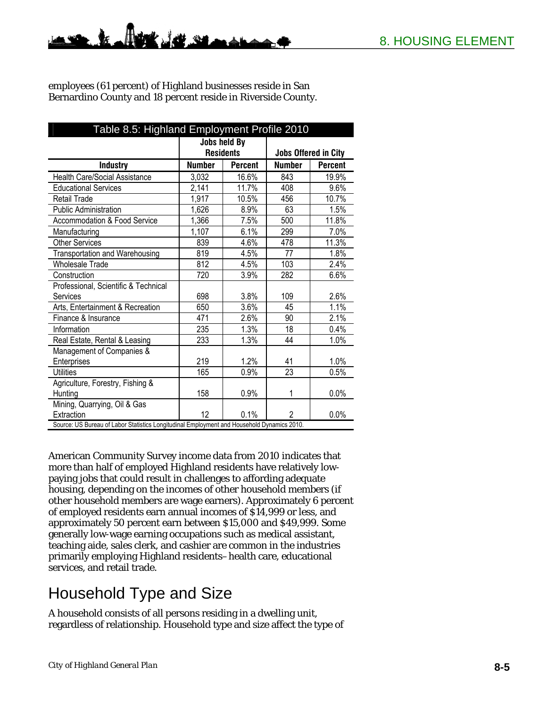**State of the Common State of the Common State Association** 

employees (61 percent) of Highland businesses reside in San Bernardino County and 18 percent reside in Riverside County.

| Table 8.5: Highland Employment Profile 2010                                                |                                 |                     |               |                             |
|--------------------------------------------------------------------------------------------|---------------------------------|---------------------|---------------|-----------------------------|
|                                                                                            |                                 | <b>Jobs held By</b> |               |                             |
|                                                                                            | <b>Residents</b>                |                     |               | <b>Jobs Offered in City</b> |
| <b>Industry</b>                                                                            | <b>Number</b><br><b>Percent</b> |                     | <b>Number</b> | <b>Percent</b>              |
| Health Care/Social Assistance                                                              | 3,032                           | 16.6%               | 843           | 19.9%                       |
| <b>Educational Services</b>                                                                | 2,141                           | 11.7%               | 408           | 9.6%                        |
| <b>Retail Trade</b>                                                                        | 1,917                           | 10.5%               | 456           | 10.7%                       |
| <b>Public Administration</b>                                                               | 1,626                           | 8.9%                | 63            | 1.5%                        |
| <b>Accommodation &amp; Food Service</b>                                                    | 1,366                           | 7.5%                | 500           | 11.8%                       |
| Manufacturing                                                                              | 1,107                           | 6.1%                | 299           | 7.0%                        |
| <b>Other Services</b>                                                                      | 839                             | 4.6%                | 478           | 11.3%                       |
| Transportation and Warehousing                                                             | 819                             | 4.5%                | 77            | 1.8%                        |
| <b>Wholesale Trade</b>                                                                     | 812                             | 4.5%                | 103           | 2.4%                        |
| Construction                                                                               | 720                             | 3.9%                | 282           | 6.6%                        |
| Professional, Scientific & Technical                                                       |                                 |                     |               |                             |
| Services                                                                                   | 698                             | 3.8%                | 109           | 2.6%                        |
| Arts, Entertainment & Recreation                                                           | 650                             | 3.6%                | 45            | 1.1%                        |
| Finance & Insurance                                                                        | 471                             | 2.6%                | 90            | 2.1%                        |
| Information                                                                                | 235                             | 1.3%                | 18            | 0.4%                        |
| Real Estate, Rental & Leasing                                                              | 233                             | 1.3%                | 44            | 1.0%                        |
| Management of Companies &                                                                  |                                 |                     |               |                             |
| Enterprises                                                                                | 219                             | 1.2%                | 41            | 1.0%                        |
| Utilities                                                                                  | 165                             | 0.9%                | 23            | 0.5%                        |
| Agriculture, Forestry, Fishing &                                                           |                                 |                     |               |                             |
| Hunting                                                                                    | 158                             | 0.9%                | 1             | 0.0%                        |
| Mining, Quarrying, Oil & Gas                                                               |                                 |                     |               |                             |
| Extraction                                                                                 | 12                              | 0.1%                | 2             | 0.0%                        |
| Source: US Bureau of Labor Statistics Longitudinal Employment and Household Dynamics 2010. |                                 |                     |               |                             |

American Community Survey income data from 2010 indicates that more than half of employed Highland residents have relatively lowpaying jobs that could result in challenges to affording adequate housing, depending on the incomes of other household members (if other household members are wage earners). Approximately 6 percent of employed residents earn annual incomes of \$14,999 or less, and approximately 50 percent earn between \$15,000 and \$49,999. Some generally low-wage earning occupations such as medical assistant, teaching aide, sales clerk, and cashier are common in the industries primarily employing Highland residents–health care, educational services, and retail trade.

## Household Type and Size

A household consists of all persons residing in a dwelling unit, regardless of relationship. Household type and size affect the type of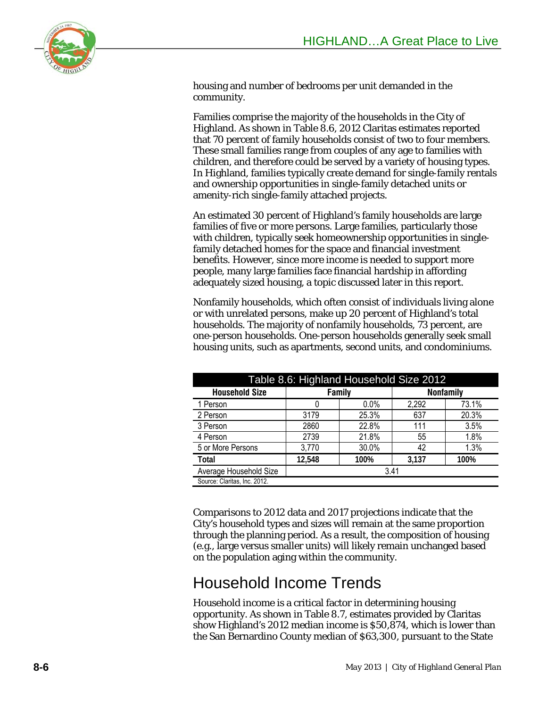

housing and number of bedrooms per unit demanded in the community.

Families comprise the majority of the households in the City of Highland. As shown in Table 8.6, 2012 Claritas estimates reported that 70 percent of family households consist of two to four members. These small families range from couples of any age to families with children, and therefore could be served by a variety of housing types. In Highland, families typically create demand for single-family rentals and ownership opportunities in single-family detached units or amenity-rich single-family attached projects.

An estimated 30 percent of Highland's family households are large families of five or more persons. Large families, particularly those with children, typically seek homeownership opportunities in singlefamily detached homes for the space and financial investment benefits. However, since more income is needed to support more people, many large families face financial hardship in affording adequately sized housing, a topic discussed later in this report.

Nonfamily households, which often consist of individuals living alone or with unrelated persons, make up 20 percent of Highland's total households. The majority of nonfamily households, 73 percent, are one-person households. One-person households generally seek small housing units, such as apartments, second units, and condominiums.

| Table 8.6: Highland Household Size 2012 |               |       |       |                  |
|-----------------------------------------|---------------|-------|-------|------------------|
| <b>Household Size</b>                   | <b>Family</b> |       |       | <b>Nonfamily</b> |
| 1 Person                                | 0             | 0.0%  | 2,292 | 73.1%            |
| 2 Person                                | 3179          | 25.3% | 637   | 20.3%            |
| 3 Person                                | 2860          | 22.8% | 111   | 3.5%             |
| 4 Person                                | 2739          | 21.8% | 55    | 1.8%             |
| 5 or More Persons                       | 3,770         | 30.0% | 42    | 1.3%             |
| <b>Total</b>                            | 12,548        | 100%  | 3,137 | 100%             |
| Average Household Size                  | 3.41          |       |       |                  |
| Source: Claritas, Inc. 2012.            |               |       |       |                  |

Comparisons to 2012 data and 2017 projections indicate that the City's household types and sizes will remain at the same proportion through the planning period. As a result, the composition of housing (e.g., large versus smaller units) will likely remain unchanged based on the population aging within the community.

## Household Income Trends

Household income is a critical factor in determining housing opportunity. As shown in Table 8.7, estimates provided by Claritas show Highland's 2012 median income is \$50,874, which is lower than the San Bernardino County median of \$63,300, pursuant to the State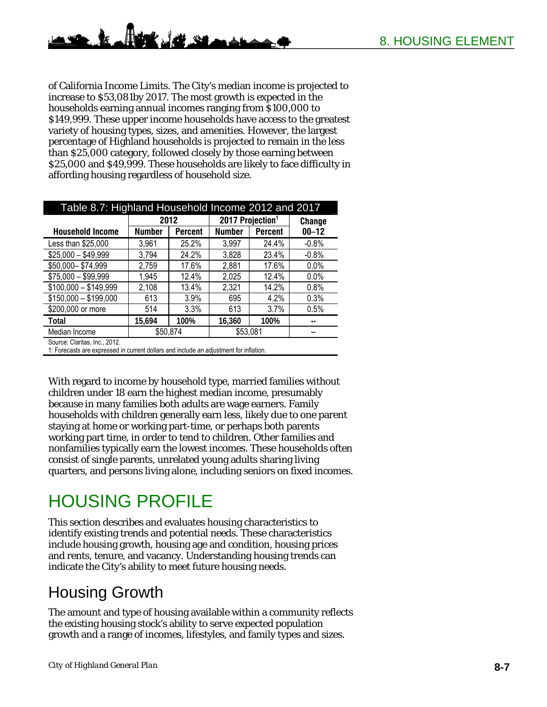**The finish det service** 

of California Income Limits. The City's median income is projected to increase to \$53,081by 2017. The most growth is expected in the households earning annual incomes ranging from \$100,000 to \$149,999. These upper income households have access to the greatest variety of housing types, sizes, and amenities. However, the largest percentage of Highland households is projected to remain in the less than \$25,000 category, followed closely by those earning between \$25,000 and \$49,999. These households are likely to face difficulty in affording housing regardless of household size.

| Table 8.7: Highland Household Income 2012 and 2017 |               |                |                              |                |           |
|----------------------------------------------------|---------------|----------------|------------------------------|----------------|-----------|
|                                                    |               | 2012           | 2017 Projection <sup>1</sup> |                | Change    |
| <b>Household Income</b>                            | <b>Number</b> | <b>Percent</b> | <b>Number</b>                | <b>Percent</b> | $00 - 12$ |
| Less than \$25,000                                 | 3,961         | 25.2%          | 3,997                        | 24.4%          | $-0.8%$   |
| $$25,000 - $49,999$                                | 3,794         | 24.2%          | 3,828                        | 23.4%          | $-0.8%$   |
| \$50,000-\$74,999                                  | 2,759         | 17.6%          | 2,881                        | 17.6%          | 0.0%      |
| $$75,000 - $99,999$                                | 1,945         | 12.4%          | 2,025                        | 12.4%          | 0.0%      |
| $$100,000 - $149,999$                              | 2,108         | 13.4%          | 2,321                        | 14.2%          | 0.8%      |
| $$150,000 - $199,000$                              | 613           | 3.9%           | 695                          | 4.2%           | 0.3%      |
| \$200,000 or more                                  | 514           | 3.3%           | 613                          | 3.7%           | 0.5%      |
| Total                                              | 15,694        | 100%           | 16,360                       | 100%           | --        |
| Median Income                                      |               | \$50,874       | \$53,081                     |                | --        |
| Source: Claritas, Inc., 2012.                      |               |                |                              |                |           |

1: Forecasts are expressed in current dollars and include an adjustment for inflation.

With regard to income by household type, married families without children under 18 earn the highest median income, presumably because in many families both adults are wage earners. Family households with children generally earn less, likely due to one parent staying at home or working part-time, or perhaps both parents working part time, in order to tend to children. Other families and nonfamilies typically earn the lowest incomes. These households often consist of single parents, unrelated young adults sharing living quarters, and persons living alone, including seniors on fixed incomes.

# HOUSING PROFILE

This section describes and evaluates housing characteristics to identify existing trends and potential needs. These characteristics include housing growth, housing age and condition, housing prices and rents, tenure, and vacancy. Understanding housing trends can indicate the City's ability to meet future housing needs.

## Housing Growth

The amount and type of housing available within a community reflects the existing housing stock's ability to serve expected population growth and a range of incomes, lifestyles, and family types and sizes.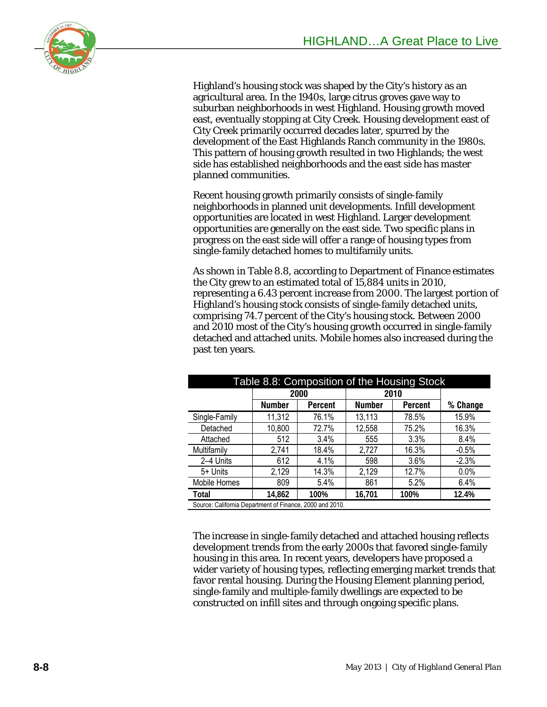

Highland's housing stock was shaped by the City's history as an agricultural area. In the 1940s, large citrus groves gave way to suburban neighborhoods in west Highland. Housing growth moved east, eventually stopping at City Creek. Housing development east of City Creek primarily occurred decades later, spurred by the development of the East Highlands Ranch community in the 1980s. This pattern of housing growth resulted in two Highlands; the west side has established neighborhoods and the east side has master planned communities.

Recent housing growth primarily consists of single-family neighborhoods in planned unit developments. Infill development opportunities are located in west Highland. Larger development opportunities are generally on the east side. Two specific plans in progress on the east side will offer a range of housing types from single-family detached homes to multifamily units.

As shown in Table 8.8, according to Department of Finance estimates the City grew to an estimated total of 15,884 units in 2010, representing a 6.43 percent increase from 2000. The largest portion of Highland's housing stock consists of single-family detached units, comprising 74.7 percent of the City's housing stock. Between 2000 and 2010 most of the City's housing growth occurred in single-family detached and attached units. Mobile homes also increased during the past ten years.

| Table 8.8: Composition of the Housing Stock              |               |                |               |                |          |
|----------------------------------------------------------|---------------|----------------|---------------|----------------|----------|
|                                                          | 2000          |                |               | 2010           |          |
|                                                          | <b>Number</b> | <b>Percent</b> | <b>Number</b> | <b>Percent</b> | % Change |
| Single-Family                                            | 11,312        | 76.1%          | 13,113        | 78.5%          | 15.9%    |
| Detached                                                 | 10,800        | 72.7%          | 12,558        | 75.2%          | 16.3%    |
| Attached                                                 | 512           | 3.4%           | 555           | 3.3%           | 8.4%     |
| Multifamily                                              | 2,741         | 18.4%          | 2,727         | 16.3%          | $-0.5%$  |
| 2-4 Units                                                | 612           | 4.1%           | 598           | 3.6%           | $-2.3%$  |
| 5+ Units                                                 | 2,129         | 14.3%          | 2,129         | 12.7%          | 0.0%     |
| Mobile Homes                                             | 809           | 5.4%           | 861           | 5.2%           | 6.4%     |
| Total                                                    | 14,862        | 100%           | 16,701        | 100%           | 12.4%    |
| Source: California Department of Finance, 2000 and 2010. |               |                |               |                |          |

The increase in single-family detached and attached housing reflects development trends from the early 2000s that favored single-family housing in this area. In recent years, developers have proposed a wider variety of housing types, reflecting emerging market trends that favor rental housing. During the Housing Element planning period, single-family and multiple-family dwellings are expected to be constructed on infill sites and through ongoing specific plans.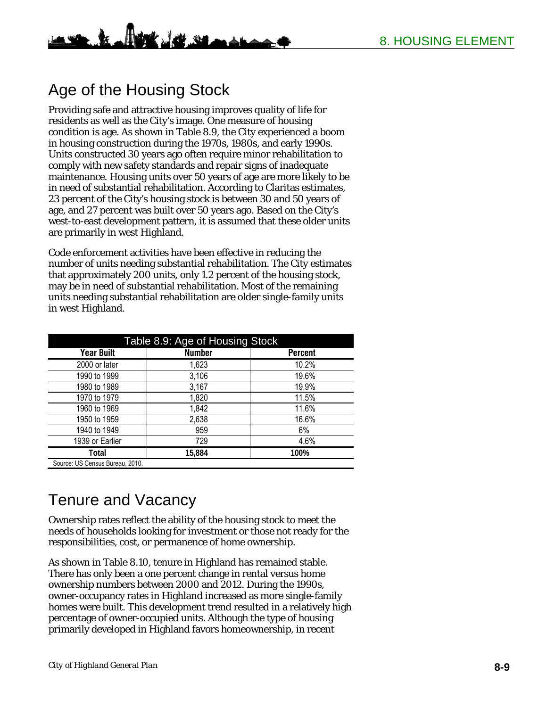## Age of the Housing Stock

Providing safe and attractive housing improves quality of life for residents as well as the City's image. One measure of housing condition is age. As shown in Table 8.9, the City experienced a boom in housing construction during the 1970s, 1980s, and early 1990s. Units constructed 30 years ago often require minor rehabilitation to comply with new safety standards and repair signs of inadequate maintenance. Housing units over 50 years of age are more likely to be in need of substantial rehabilitation. According to Claritas estimates, 23 percent of the City's housing stock is between 30 and 50 years of age, and 27 percent was built over 50 years ago. Based on the City's west-to-east development pattern, it is assumed that these older units are primarily in west Highland.

Code enforcement activities have been effective in reducing the number of units needing substantial rehabilitation. The City estimates that approximately 200 units, only 1.2 percent of the housing stock, may be in need of substantial rehabilitation. Most of the remaining units needing substantial rehabilitation are older single-family units in west Highland.

| Table 8.9: Age of Housing Stock |               |                |  |  |  |
|---------------------------------|---------------|----------------|--|--|--|
| <b>Year Built</b>               | <b>Number</b> | <b>Percent</b> |  |  |  |
| 2000 or later                   | 1,623         | 10.2%          |  |  |  |
| 1990 to 1999                    | 3,106         | 19.6%          |  |  |  |
| 1980 to 1989                    | 3,167         | 19.9%          |  |  |  |
| 1970 to 1979                    | 1,820         | 11.5%          |  |  |  |
| 1960 to 1969                    | 1,842         | 11.6%          |  |  |  |
| 1950 to 1959                    | 2,638         | 16.6%          |  |  |  |
| 1940 to 1949                    | 959           | 6%             |  |  |  |
| 1939 or Earlier                 | 729           | 4.6%           |  |  |  |
| Total                           | 15,884        | 100%           |  |  |  |
| Source: US Census Bureau, 2010. |               |                |  |  |  |

## Tenure and Vacancy

Ownership rates reflect the ability of the housing stock to meet the needs of households looking for investment or those not ready for the responsibilities, cost, or permanence of home ownership.

As shown in Table 8.10, tenure in Highland has remained stable. There has only been a one percent change in rental versus home ownership numbers between 2000 and 2012. During the 1990s, owner-occupancy rates in Highland increased as more single-family homes were built. This development trend resulted in a relatively high percentage of owner-occupied units. Although the type of housing primarily developed in Highland favors homeownership, in recent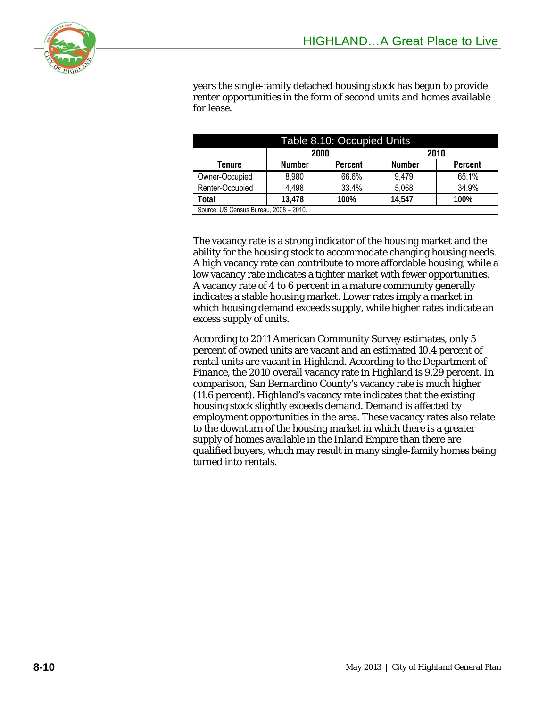

years the single-family detached housing stock has begun to provide renter opportunities in the form of second units and homes available for lease.

| Table 8.10: Occupied Units                |                                        |                |               |                |  |  |
|-------------------------------------------|----------------------------------------|----------------|---------------|----------------|--|--|
|                                           | 2000                                   | 2010           |               |                |  |  |
| Tenure                                    | <b>Number</b>                          | <b>Percent</b> | <b>Number</b> | <b>Percent</b> |  |  |
| Owner-Occupied                            | 8,980                                  | 66.6%          | 9,479         | 65.1%          |  |  |
| Renter-Occupied                           | 4,498                                  | 33.4%          | 5,068         | 34.9%          |  |  |
| 13,478<br>100%<br>100%<br>Total<br>14.547 |                                        |                |               |                |  |  |
|                                           | Source: US Census Bureau, 2008 - 2010. |                |               |                |  |  |

The vacancy rate is a strong indicator of the housing market and the ability for the housing stock to accommodate changing housing needs. A high vacancy rate can contribute to more affordable housing, while a low vacancy rate indicates a tighter market with fewer opportunities. A vacancy rate of 4 to 6 percent in a mature community generally indicates a stable housing market. Lower rates imply a market in which housing demand exceeds supply, while higher rates indicate an excess supply of units.

According to 2011 American Community Survey estimates, only 5 percent of owned units are vacant and an estimated 10.4 percent of rental units are vacant in Highland. According to the Department of Finance, the 2010 overall vacancy rate in Highland is 9.29 percent. In comparison, San Bernardino County's vacancy rate is much higher (11.6 percent). Highland's vacancy rate indicates that the existing housing stock slightly exceeds demand. Demand is affected by employment opportunities in the area. These vacancy rates also relate to the downturn of the housing market in which there is a greater supply of homes available in the Inland Empire than there are qualified buyers, which may result in many single-family homes being turned into rentals.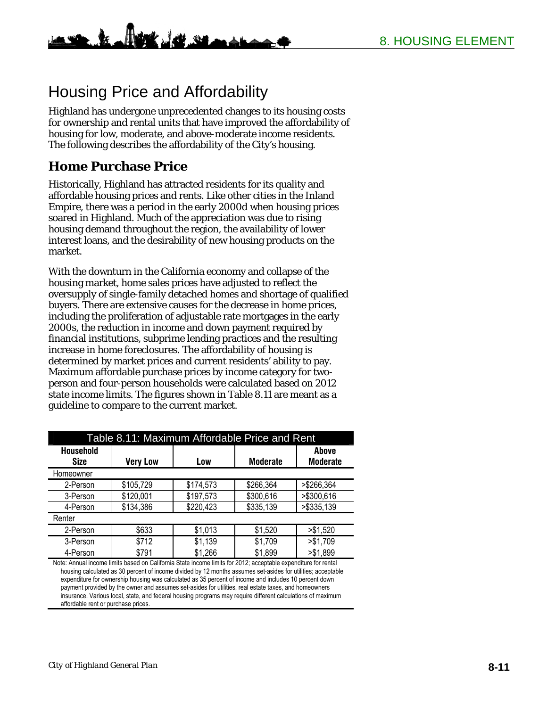## Housing Price and Affordability

Highland has undergone unprecedented changes to its housing costs for ownership and rental units that have improved the affordability of housing for low, moderate, and above-moderate income residents. The following describes the affordability of the City's housing.

### **Home Purchase Price**

Historically, Highland has attracted residents for its quality and affordable housing prices and rents. Like other cities in the Inland Empire, there was a period in the early 2000d when housing prices soared in Highland. Much of the appreciation was due to rising housing demand throughout the region, the availability of lower interest loans, and the desirability of new housing products on the market.

With the downturn in the California economy and collapse of the housing market, home sales prices have adjusted to reflect the oversupply of single-family detached homes and shortage of qualified buyers. There are extensive causes for the decrease in home prices, including the proliferation of adjustable rate mortgages in the early 2000s, the reduction in income and down payment required by financial institutions, subprime lending practices and the resulting increase in home foreclosures. The affordability of housing is determined by market prices and current residents' ability to pay. Maximum affordable purchase prices by income category for twoperson and four-person households were calculated based on 2012 state income limits. The figures shown in Table 8.11 are meant as a guideline to compare to the current market.

| Table 8.11: Maximum Affordable Price and Rent |                 |           |                 |                          |  |
|-----------------------------------------------|-----------------|-----------|-----------------|--------------------------|--|
| <b>Household</b><br>Size                      | <b>Very Low</b> | Low       | <b>Moderate</b> | Above<br><b>Moderate</b> |  |
| Homeowner                                     |                 |           |                 |                          |  |
| 2-Person                                      | \$105,729       | \$174,573 | \$266,364       | >\$266,364               |  |
| 3-Person                                      | \$120,001       | \$197,573 | \$300,616       | >\$300,616               |  |
| 4-Person                                      | \$134,386       | \$220,423 | \$335,139       | > \$335,139              |  |
| Renter                                        |                 |           |                 |                          |  |
| 2-Person                                      | \$633           | \$1,013   | \$1,520         | > \$1,520                |  |
| 3-Person                                      | \$712           | \$1,139   | \$1,709         | > \$1,709                |  |
| 4-Person                                      | \$791           | \$1,266   | \$1,899         | > \$1,899                |  |

Note: Annual income limits based on California State income limits for 2012; acceptable expenditure for rental housing calculated as 30 percent of income divided by 12 months assumes set-asides for utilities; acceptable expenditure for ownership housing was calculated as 35 percent of income and includes 10 percent down payment provided by the owner and assumes set-asides for utilities, real estate taxes, and homeowners insurance. Various local, state, and federal housing programs may require different calculations of maximum affordable rent or purchase prices.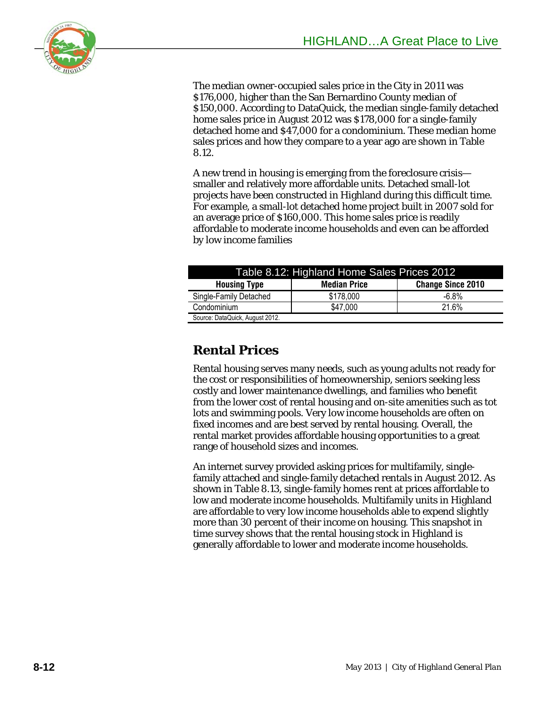

The median owner-occupied sales price in the City in 2011 was \$176,000, higher than the San Bernardino County median of \$150,000. According to DataQuick, the median single-family detached home sales price in August 2012 was \$178,000 for a single-family detached home and \$47,000 for a condominium. These median home sales prices and how they compare to a year ago are shown in Table 8.12.

A new trend in housing is emerging from the foreclosure crisis smaller and relatively more affordable units. Detached small-lot projects have been constructed in Highland during this difficult time. For example, a small-lot detached home project built in 2007 sold for an average price of \$160,000. This home sales price is readily affordable to moderate income households and even can be afforded by low income families

| Table 8.12: Highland Home Sales Prices 2012                            |           |          |  |  |  |
|------------------------------------------------------------------------|-----------|----------|--|--|--|
| <b>Change Since 2010</b><br><b>Housing Type</b><br><b>Median Price</b> |           |          |  |  |  |
| Single-Family Detached                                                 | \$178,000 | $-6.8\%$ |  |  |  |
| Condominium                                                            | \$47,000  | 21.6%    |  |  |  |
| Source: DataQuick, August 2012.                                        |           |          |  |  |  |

### **Rental Prices**

Rental housing serves many needs, such as young adults not ready for the cost or responsibilities of homeownership, seniors seeking less costly and lower maintenance dwellings, and families who benefit from the lower cost of rental housing and on-site amenities such as tot lots and swimming pools. Very low income households are often on fixed incomes and are best served by rental housing. Overall, the rental market provides affordable housing opportunities to a great range of household sizes and incomes.

An internet survey provided asking prices for multifamily, singlefamily attached and single-family detached rentals in August 2012. As shown in Table 8.13, single-family homes rent at prices affordable to low and moderate income households. Multifamily units in Highland are affordable to very low income households able to expend slightly more than 30 percent of their income on housing. This snapshot in time survey shows that the rental housing stock in Highland is generally affordable to lower and moderate income households.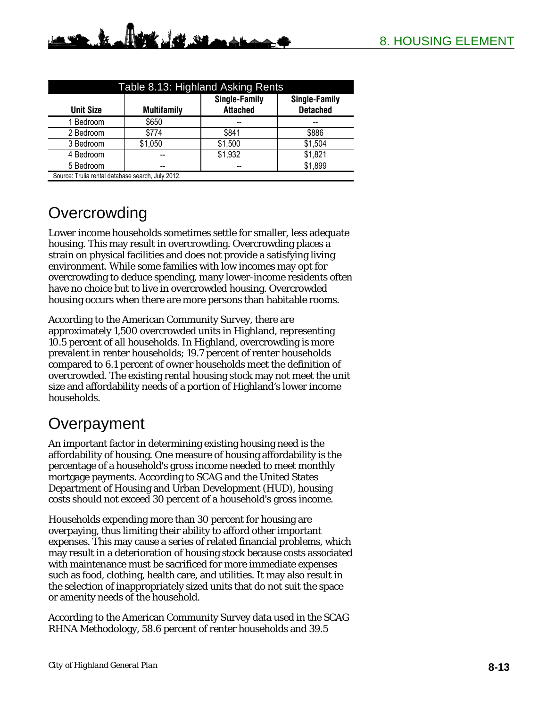| Table 8.13: Highland Asking Rents                 |                    |                                         |                                         |  |  |  |
|---------------------------------------------------|--------------------|-----------------------------------------|-----------------------------------------|--|--|--|
| <b>Unit Size</b>                                  | <b>Multifamily</b> | <b>Single-Family</b><br><b>Attached</b> | <b>Single-Family</b><br><b>Detached</b> |  |  |  |
| 1 Bedroom                                         | \$650              |                                         |                                         |  |  |  |
| 2 Bedroom                                         | \$774              | \$841                                   | \$886                                   |  |  |  |
| 3 Bedroom                                         | \$1,050            | \$1,500                                 | \$1,504                                 |  |  |  |
| 4 Bedroom                                         | --                 | \$1,932                                 | \$1,821                                 |  |  |  |
| 5 Bedroom                                         | --                 |                                         | \$1,899                                 |  |  |  |
| Source: Trulia rental database search, July 2012. |                    |                                         |                                         |  |  |  |

## **Overcrowding**

Lower income households sometimes settle for smaller, less adequate housing. This may result in overcrowding. Overcrowding places a strain on physical facilities and does not provide a satisfying living environment. While some families with low incomes may opt for overcrowding to deduce spending, many lower-income residents often have no choice but to live in overcrowded housing. Overcrowded housing occurs when there are more persons than habitable rooms.

According to the American Community Survey, there are approximately 1,500 overcrowded units in Highland, representing 10.5 percent of all households. In Highland, overcrowding is more prevalent in renter households; 19.7 percent of renter households compared to 6.1 percent of owner households meet the definition of overcrowded. The existing rental housing stock may not meet the unit size and affordability needs of a portion of Highland's lower income households.

## **Overpayment**

An important factor in determining existing housing need is the affordability of housing. One measure of housing affordability is the percentage of a household's gross income needed to meet monthly mortgage payments. According to SCAG and the United States Department of Housing and Urban Development (HUD), housing costs should not exceed 30 percent of a household's gross income.

Households expending more than 30 percent for housing are overpaying, thus limiting their ability to afford other important expenses. This may cause a series of related financial problems, which may result in a deterioration of housing stock because costs associated with maintenance must be sacrificed for more immediate expenses such as food, clothing, health care, and utilities. It may also result in the selection of inappropriately sized units that do not suit the space or amenity needs of the household.

According to the American Community Survey data used in the SCAG RHNA Methodology, 58.6 percent of renter households and 39.5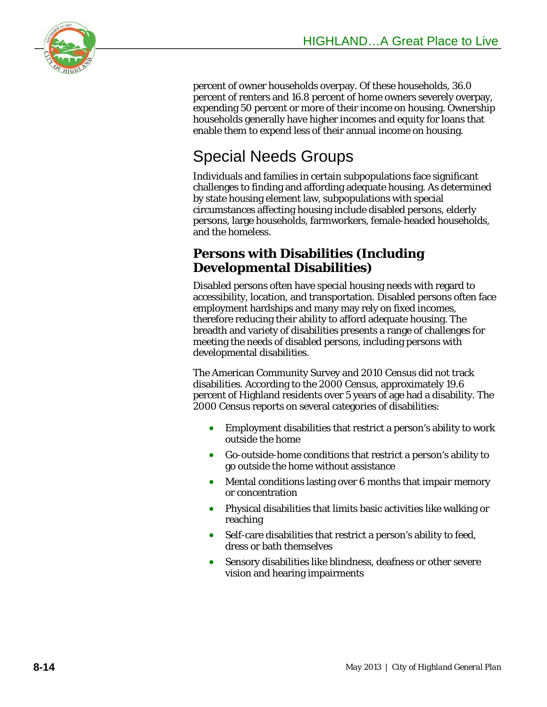

percent of owner households overpay. Of these households, 36.0 percent of renters and 16.8 percent of home owners severely overpay, expending 50 percent or more of their income on housing. Ownership households generally have higher incomes and equity for loans that enable them to expend less of their annual income on housing.

## Special Needs Groups

Individuals and families in certain subpopulations face significant challenges to finding and affording adequate housing. As determined by state housing element law, subpopulations with special circumstances affecting housing include disabled persons, elderly persons, large households, farmworkers, female-headed households, and the homeless.

### **Persons with Disabilities (Including Developmental Disabilities)**

Disabled persons often have special housing needs with regard to accessibility, location, and transportation. Disabled persons often face employment hardships and many may rely on fixed incomes, therefore reducing their ability to afford adequate housing. The breadth and variety of disabilities presents a range of challenges for meeting the needs of disabled persons, including persons with developmental disabilities.

The American Community Survey and 2010 Census did not track disabilities. According to the 2000 Census, approximately 19.6 percent of Highland residents over 5 years of age had a disability. The 2000 Census reports on several categories of disabilities:

- Employment disabilities that restrict a person's ability to work outside the home
- Go-outside-home conditions that restrict a person's ability to go outside the home without assistance
- Mental conditions lasting over 6 months that impair memory or concentration
- Physical disabilities that limits basic activities like walking or reaching
- Self-care disabilities that restrict a person's ability to feed, dress or bath themselves
- Sensory disabilities like blindness, deafness or other severe vision and hearing impairments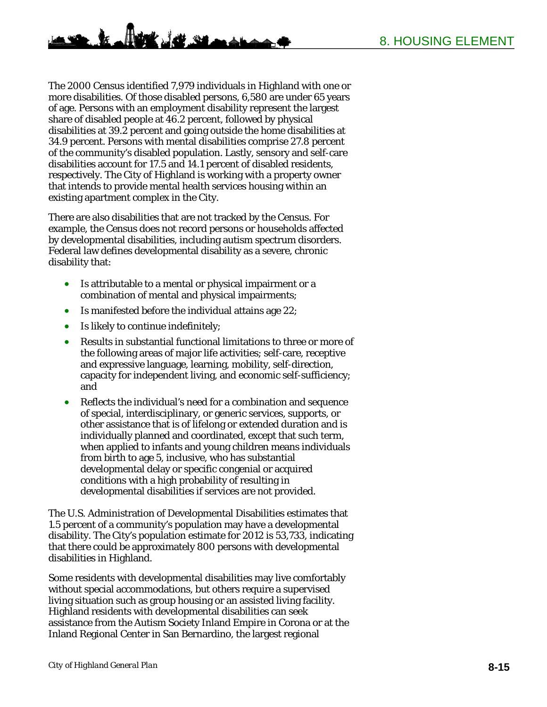

The 2000 Census identified 7,979 individuals in Highland with one or more disabilities. Of those disabled persons, 6,580 are under 65 years of age. Persons with an employment disability represent the largest share of disabled people at 46.2 percent, followed by physical disabilities at 39.2 percent and going outside the home disabilities at 34.9 percent. Persons with mental disabilities comprise 27.8 percent of the community's disabled population. Lastly, sensory and self-care disabilities account for 17.5 and 14.1 percent of disabled residents, respectively. The City of Highland is working with a property owner that intends to provide mental health services housing within an existing apartment complex in the City.

There are also disabilities that are not tracked by the Census. For example, the Census does not record persons or households affected by developmental disabilities, including autism spectrum disorders. Federal law defines developmental disability as a severe, chronic disability that:

- Is attributable to a mental or physical impairment or a combination of mental and physical impairments;
- Is manifested before the individual attains age 22;
- Is likely to continue indefinitely;
- Results in substantial functional limitations to three or more of the following areas of major life activities; self-care, receptive and expressive language, learning, mobility, self-direction, capacity for independent living, and economic self-sufficiency; and
- Reflects the individual's need for a combination and sequence of special, interdisciplinary, or generic services, supports, or other assistance that is of lifelong or extended duration and is individually planned and coordinated, except that such term, when applied to infants and young children means individuals from birth to age 5, inclusive, who has substantial developmental delay or specific congenial or acquired conditions with a high probability of resulting in developmental disabilities if services are not provided.

The U.S. Administration of Developmental Disabilities estimates that 1.5 percent of a community's population may have a developmental disability. The City's population estimate for 2012 is 53,733, indicating that there could be approximately 800 persons with developmental disabilities in Highland.

Some residents with developmental disabilities may live comfortably without special accommodations, but others require a supervised living situation such as group housing or an assisted living facility. Highland residents with developmental disabilities can seek assistance from the Autism Society Inland Empire in Corona or at the Inland Regional Center in San Bernardino, the largest regional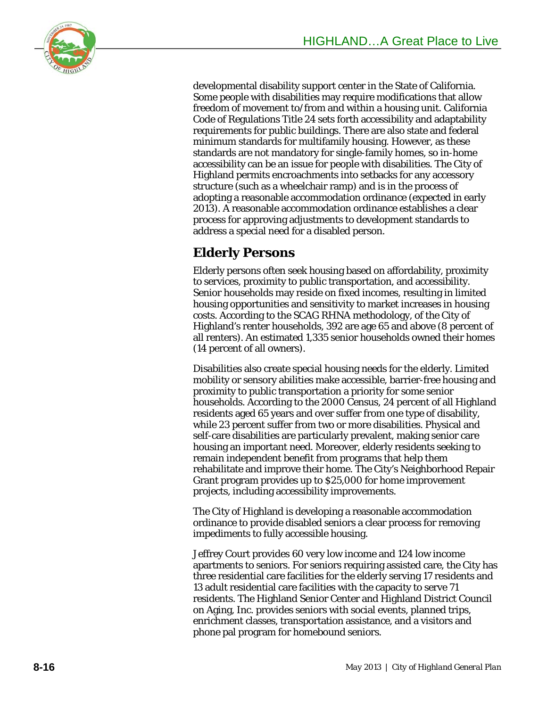

developmental disability support center in the State of California. Some people with disabilities may require modifications that allow freedom of movement to/from and within a housing unit. California Code of Regulations Title 24 sets forth accessibility and adaptability requirements for public buildings. There are also state and federal minimum standards for multifamily housing. However, as these standards are not mandatory for single-family homes, so in-home accessibility can be an issue for people with disabilities. The City of Highland permits encroachments into setbacks for any accessory structure (such as a wheelchair ramp) and is in the process of adopting a reasonable accommodation ordinance (expected in early 2013). A reasonable accommodation ordinance establishes a clear process for approving adjustments to development standards to address a special need for a disabled person.

### **Elderly Persons**

Elderly persons often seek housing based on affordability, proximity to services, proximity to public transportation, and accessibility. Senior households may reside on fixed incomes, resulting in limited housing opportunities and sensitivity to market increases in housing costs. According to the SCAG RHNA methodology, of the City of Highland's renter households, 392 are age 65 and above (8 percent of all renters). An estimated 1,335 senior households owned their homes (14 percent of all owners).

Disabilities also create special housing needs for the elderly. Limited mobility or sensory abilities make accessible, barrier-free housing and proximity to public transportation a priority for some senior households. According to the 2000 Census, 24 percent of all Highland residents aged 65 years and over suffer from one type of disability, while 23 percent suffer from two or more disabilities. Physical and self-care disabilities are particularly prevalent, making senior care housing an important need. Moreover, elderly residents seeking to remain independent benefit from programs that help them rehabilitate and improve their home. The City's Neighborhood Repair Grant program provides up to \$25,000 for home improvement projects, including accessibility improvements.

The City of Highland is developing a reasonable accommodation ordinance to provide disabled seniors a clear process for removing impediments to fully accessible housing.

Jeffrey Court provides 60 very low income and 124 low income apartments to seniors. For seniors requiring assisted care, the City has three residential care facilities for the elderly serving 17 residents and 13 adult residential care facilities with the capacity to serve 71 residents. The Highland Senior Center and Highland District Council on Aging, Inc. provides seniors with social events, planned trips, enrichment classes, transportation assistance, and a visitors and phone pal program for homebound seniors.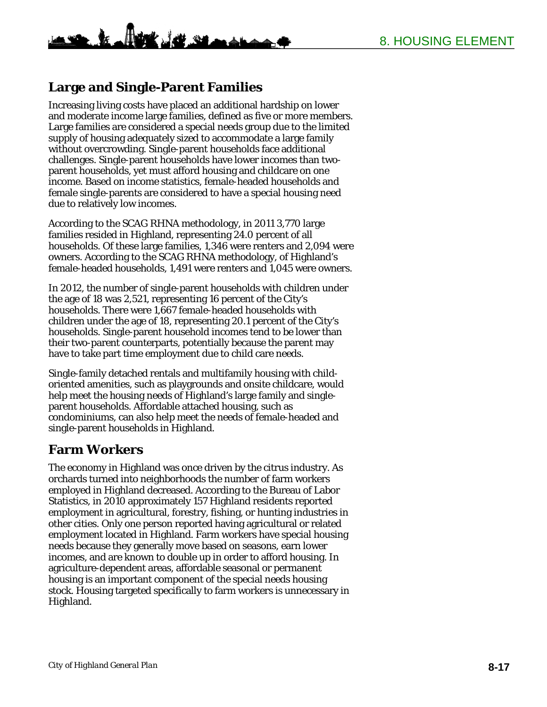

### **Large and Single-Parent Families**

Increasing living costs have placed an additional hardship on lower and moderate income large families, defined as five or more members. Large families are considered a special needs group due to the limited supply of housing adequately sized to accommodate a large family without overcrowding. Single-parent households face additional challenges. Single-parent households have lower incomes than twoparent households, yet must afford housing and childcare on one income. Based on income statistics, female-headed households and female single-parents are considered to have a special housing need due to relatively low incomes.

According to the SCAG RHNA methodology, in 2011 3,770 large families resided in Highland, representing 24.0 percent of all households. Of these large families, 1,346 were renters and 2,094 were owners. According to the SCAG RHNA methodology, of Highland's female-headed households, 1,491 were renters and 1,045 were owners.

In 2012, the number of single-parent households with children under the age of 18 was 2,521, representing 16 percent of the City's households. There were 1,667 female-headed households with children under the age of 18, representing 20.1 percent of the City's households. Single-parent household incomes tend to be lower than their two-parent counterparts, potentially because the parent may have to take part time employment due to child care needs.

Single-family detached rentals and multifamily housing with childoriented amenities, such as playgrounds and onsite childcare, would help meet the housing needs of Highland's large family and singleparent households. Affordable attached housing, such as condominiums, can also help meet the needs of female-headed and single-parent households in Highland.

#### **Farm Workers**

The economy in Highland was once driven by the citrus industry. As orchards turned into neighborhoods the number of farm workers employed in Highland decreased. According to the Bureau of Labor Statistics, in 2010 approximately 157 Highland residents reported employment in agricultural, forestry, fishing, or hunting industries in other cities. Only one person reported having agricultural or related employment located in Highland. Farm workers have special housing needs because they generally move based on seasons, earn lower incomes, and are known to double up in order to afford housing. In agriculture-dependent areas, affordable seasonal or permanent housing is an important component of the special needs housing stock. Housing targeted specifically to farm workers is unnecessary in Highland.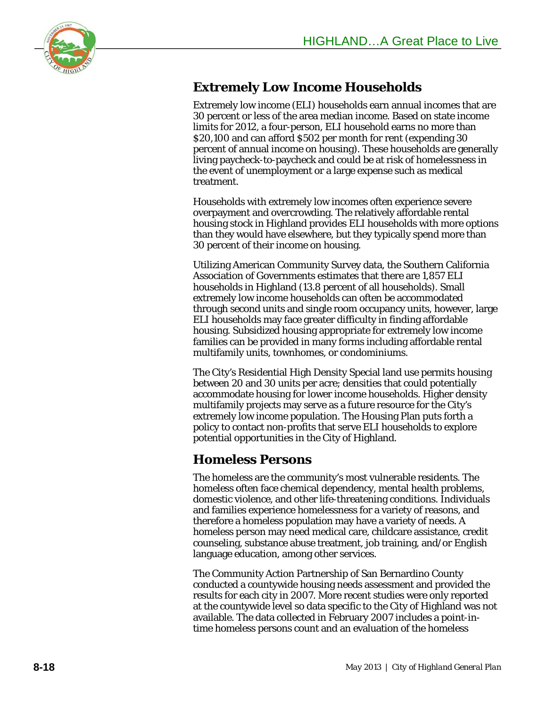

### **Extremely Low Income Households**

Extremely low income (ELI) households earn annual incomes that are 30 percent or less of the area median income. Based on state income limits for 2012, a four-person, ELI household earns no more than \$20,100 and can afford \$502 per month for rent (expending 30 percent of annual income on housing). These households are generally living paycheck-to-paycheck and could be at risk of homelessness in the event of unemployment or a large expense such as medical treatment.

Households with extremely low incomes often experience severe overpayment and overcrowding. The relatively affordable rental housing stock in Highland provides ELI households with more options than they would have elsewhere, but they typically spend more than 30 percent of their income on housing.

Utilizing American Community Survey data, the Southern California Association of Governments estimates that there are 1,857 ELI households in Highland (13.8 percent of all households). Small extremely low income households can often be accommodated through second units and single room occupancy units, however, large ELI households may face greater difficulty in finding affordable housing. Subsidized housing appropriate for extremely low income families can be provided in many forms including affordable rental multifamily units, townhomes, or condominiums.

The City's Residential High Density Special land use permits housing between 20 and 30 units per acre; densities that could potentially accommodate housing for lower income households. Higher density multifamily projects may serve as a future resource for the City's extremely low income population. The Housing Plan puts forth a policy to contact non-profits that serve ELI households to explore potential opportunities in the City of Highland.

#### **Homeless Persons**

The homeless are the community's most vulnerable residents. The homeless often face chemical dependency, mental health problems, domestic violence, and other life-threatening conditions. Individuals and families experience homelessness for a variety of reasons, and therefore a homeless population may have a variety of needs. A homeless person may need medical care, childcare assistance, credit counseling, substance abuse treatment, job training, and/or English language education, among other services.

The Community Action Partnership of San Bernardino County conducted a countywide housing needs assessment and provided the results for each city in 2007. More recent studies were only reported at the countywide level so data specific to the City of Highland was not available. The data collected in February 2007 includes a point-intime homeless persons count and an evaluation of the homeless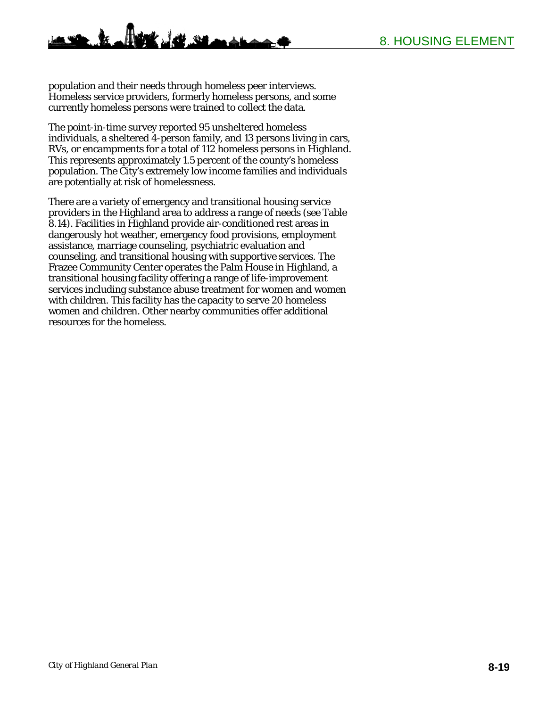population and their needs through homeless peer interviews. Homeless service providers, formerly homeless persons, and some currently homeless persons were trained to collect the data.

The point-in-time survey reported 95 unsheltered homeless individuals, a sheltered 4-person family, and 13 persons living in cars, RVs, or encampments for a total of 112 homeless persons in Highland. This represents approximately 1.5 percent of the county's homeless population. The City's extremely low income families and individuals are potentially at risk of homelessness.

There are a variety of emergency and transitional housing service providers in the Highland area to address a range of needs (see Table 8.14). Facilities in Highland provide air-conditioned rest areas in dangerously hot weather, emergency food provisions, employment assistance, marriage counseling, psychiatric evaluation and counseling, and transitional housing with supportive services. The Frazee Community Center operates the Palm House in Highland, a transitional housing facility offering a range of life-improvement services including substance abuse treatment for women and women with children. This facility has the capacity to serve 20 homeless women and children. Other nearby communities offer additional resources for the homeless.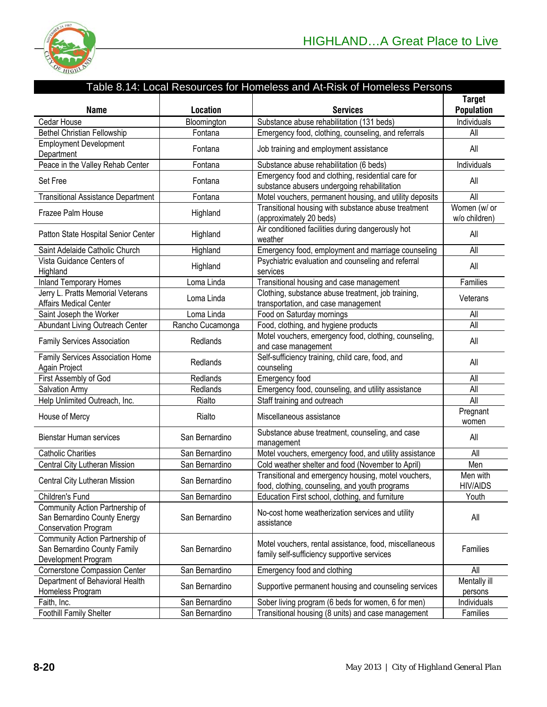

|                                                                                                |                                    | Table 8.14: Local Resources for Homeless and At-Risk of Homeless Persons                              |                                    |  |
|------------------------------------------------------------------------------------------------|------------------------------------|-------------------------------------------------------------------------------------------------------|------------------------------------|--|
| Name                                                                                           | <b>Location</b><br><b>Services</b> |                                                                                                       | <b>Target</b><br><b>Population</b> |  |
| Cedar House                                                                                    | Bloomington                        | Substance abuse rehabilitation (131 beds)                                                             | Individuals                        |  |
| <b>Bethel Christian Fellowship</b>                                                             | Fontana                            | Emergency food, clothing, counseling, and referrals                                                   | All                                |  |
| <b>Employment Development</b><br>Department                                                    | Fontana                            | Job training and employment assistance                                                                | All                                |  |
| Peace in the Valley Rehab Center                                                               | Fontana                            | Substance abuse rehabilitation (6 beds)                                                               | Individuals                        |  |
| Set Free                                                                                       | Fontana                            | Emergency food and clothing, residential care for<br>substance abusers undergoing rehabilitation      | All                                |  |
| <b>Transitional Assistance Department</b>                                                      | Fontana                            | Motel vouchers, permanent housing, and utility deposits                                               | All                                |  |
| Frazee Palm House                                                                              | Highland                           | Transitional housing with substance abuse treatment<br>(approximately 20 beds)                        | Women (w/ or<br>w/o children)      |  |
| Patton State Hospital Senior Center                                                            | Highland                           | Air conditioned facilities during dangerously hot<br>weather                                          | All                                |  |
| Saint Adelaide Catholic Church                                                                 | Highland                           | Emergency food, employment and marriage counseling                                                    | All                                |  |
| Vista Guidance Centers of<br>Highland                                                          | Highland                           | Psychiatric evaluation and counseling and referral<br>services                                        | All                                |  |
| <b>Inland Temporary Homes</b>                                                                  | Loma Linda                         | Transitional housing and case management                                                              | Families                           |  |
| Jerry L. Pratts Memorial Veterans<br><b>Affairs Medical Center</b>                             | Loma Linda                         | Clothing, substance abuse treatment, job training,<br>transportation, and case management             | Veterans                           |  |
| Saint Joseph the Worker                                                                        | Loma Linda                         | Food on Saturday mornings                                                                             | All                                |  |
| Abundant Living Outreach Center                                                                | Rancho Cucamonga                   | Food, clothing, and hygiene products                                                                  | All                                |  |
| <b>Family Services Association</b>                                                             | <b>Redlands</b>                    | Motel vouchers, emergency food, clothing, counseling,<br>and case management                          | All                                |  |
| Family Services Association Home<br>Again Project                                              | Redlands                           | Self-sufficiency training, child care, food, and<br>counseling                                        | All                                |  |
| First Assembly of God                                                                          | Redlands                           | Emergency food                                                                                        | All                                |  |
| Salvation Army                                                                                 | Redlands                           | Emergency food, counseling, and utility assistance                                                    | All                                |  |
| Help Unlimited Outreach, Inc.                                                                  | Rialto                             | Staff training and outreach                                                                           | All                                |  |
| House of Mercy                                                                                 | Rialto                             | Miscellaneous assistance                                                                              | Pregnant<br>women                  |  |
| <b>Bienstar Human services</b>                                                                 | San Bernardino                     | Substance abuse treatment, counseling, and case<br>management                                         | All                                |  |
| <b>Catholic Charities</b>                                                                      | San Bernardino                     | Motel vouchers, emergency food, and utility assistance                                                | All                                |  |
| Central City Lutheran Mission                                                                  | San Bernardino                     | Cold weather shelter and food (November to April)                                                     | Men                                |  |
| Central City Lutheran Mission                                                                  | San Bernardino                     | Transitional and emergency housing, motel vouchers,<br>food, clothing, counseling, and youth programs | Men with<br><b>HIV/AIDS</b>        |  |
| Children's Fund                                                                                | San Bernardino                     | Education First school, clothing, and furniture                                                       | Youth                              |  |
| Community Action Partnership of<br>San Bernardino County Energy<br><b>Conservation Program</b> | San Bernardino                     | No-cost home weatherization services and utility<br>assistance                                        | All                                |  |
| Community Action Partnership of<br>San Bernardino County Family<br>Development Program         | San Bernardino                     | Motel vouchers, rental assistance, food, miscellaneous<br>family self-sufficiency supportive services | Families                           |  |
| <b>Cornerstone Compassion Center</b>                                                           | San Bernardino                     | Emergency food and clothing                                                                           | All                                |  |
| Department of Behavioral Health<br>Homeless Program                                            | San Bernardino                     | Supportive permanent housing and counseling services                                                  | Mentally ill<br>persons            |  |
| Faith, Inc.                                                                                    | San Bernardino                     | Sober living program (6 beds for women, 6 for men)                                                    | Individuals                        |  |
| Foothill Family Shelter                                                                        | San Bernardino                     | Transitional housing (8 units) and case management                                                    | Families                           |  |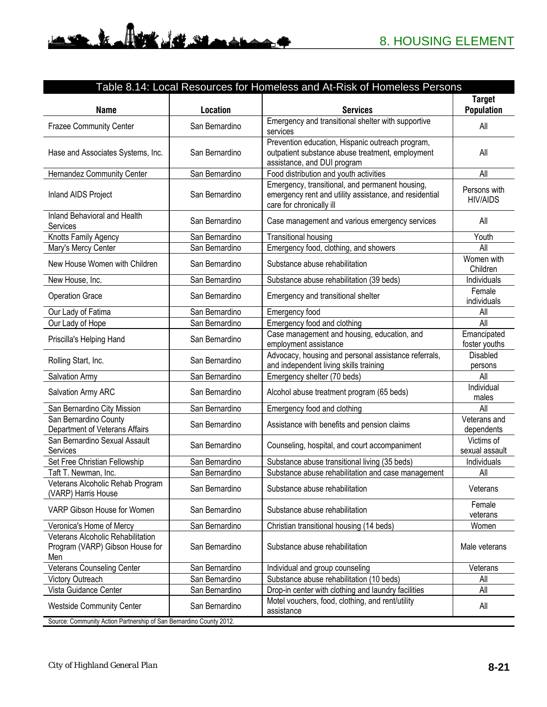| 1000 to 1000 100 2000 to 1000 |  |  |  |  |
|-------------------------------|--|--|--|--|
|-------------------------------|--|--|--|--|

| Table 8.14: Local Resources for Homeless and At-Risk of Homeless Persons    |                 |                                                                                                                                       |                                    |  |  |  |
|-----------------------------------------------------------------------------|-----------------|---------------------------------------------------------------------------------------------------------------------------------------|------------------------------------|--|--|--|
| <b>Name</b>                                                                 | <b>Location</b> | <b>Services</b>                                                                                                                       | <b>Target</b><br><b>Population</b> |  |  |  |
| Frazee Community Center                                                     | San Bernardino  | Emergency and transitional shelter with supportive<br>services                                                                        | All                                |  |  |  |
| Hase and Associates Systems, Inc.                                           | San Bernardino  | Prevention education, Hispanic outreach program,<br>outpatient substance abuse treatment, employment<br>assistance, and DUI program   | All                                |  |  |  |
| Hernandez Community Center                                                  | San Bernardino  | Food distribution and youth activities                                                                                                | All                                |  |  |  |
| Inland AIDS Project                                                         | San Bernardino  | Emergency, transitional, and permanent housing,<br>emergency rent and utility assistance, and residential<br>care for chronically ill | Persons with<br><b>HIV/AIDS</b>    |  |  |  |
| Inland Behavioral and Health<br>Services                                    | San Bernardino  | Case management and various emergency services                                                                                        | All                                |  |  |  |
| Knotts Family Agency                                                        | San Bernardino  | <b>Transitional housing</b>                                                                                                           | Youth                              |  |  |  |
| Mary's Mercy Center                                                         | San Bernardino  | Emergency food, clothing, and showers                                                                                                 | All                                |  |  |  |
| New House Women with Children                                               | San Bernardino  | Substance abuse rehabilitation                                                                                                        | Women with<br>Children             |  |  |  |
| New House, Inc.                                                             | San Bernardino  | Substance abuse rehabilitation (39 beds)                                                                                              | Individuals                        |  |  |  |
| <b>Operation Grace</b>                                                      | San Bernardino  | Emergency and transitional shelter                                                                                                    | Female<br>individuals              |  |  |  |
| Our Lady of Fatima                                                          | San Bernardino  | Emergency food                                                                                                                        | All                                |  |  |  |
| Our Lady of Hope                                                            | San Bernardino  | Emergency food and clothing                                                                                                           | All                                |  |  |  |
| Priscilla's Helping Hand                                                    | San Bernardino  | Case management and housing, education, and<br>employment assistance                                                                  | Emancipated<br>foster youths       |  |  |  |
| Rolling Start, Inc.                                                         | San Bernardino  | Advocacy, housing and personal assistance referrals,<br>and independent living skills training                                        | Disabled<br>persons                |  |  |  |
| Salvation Army                                                              | San Bernardino  | Emergency shelter (70 beds)                                                                                                           | All                                |  |  |  |
| Salvation Army ARC                                                          | San Bernardino  | Alcohol abuse treatment program (65 beds)                                                                                             | Individual<br>males                |  |  |  |
| San Bernardino City Mission                                                 | San Bernardino  | Emergency food and clothing                                                                                                           | All                                |  |  |  |
| San Bernardino County<br>Department of Veterans Affairs                     | San Bernardino  | Assistance with benefits and pension claims                                                                                           | Veterans and<br>dependents         |  |  |  |
| San Bernardino Sexual Assault<br>Services                                   | San Bernardino  | Counseling, hospital, and court accompaniment                                                                                         | Victims of<br>sexual assault       |  |  |  |
| Set Free Christian Fellowship                                               | San Bernardino  | Substance abuse transitional living (35 beds)                                                                                         | Individuals                        |  |  |  |
| Taft T. Newman, Inc.                                                        | San Bernardino  | Substance abuse rehabilitation and case management                                                                                    | All                                |  |  |  |
| Veterans Alcoholic Rehab Program<br>(VARP) Harris House                     | San Bernardino  | Substance abuse rehabilitation                                                                                                        | Veterans                           |  |  |  |
| VARP Gibson House for Women                                                 | San Bernardino  | Substance abuse rehabilitation                                                                                                        | Female<br>veterans                 |  |  |  |
| Veronica's Home of Mercy                                                    | San Bernardino  | Christian transitional housing (14 beds)                                                                                              | Women                              |  |  |  |
| Veterans Alcoholic Rehabilitation<br>Program (VARP) Gibson House for<br>Men | San Bernardino  | Substance abuse rehabilitation                                                                                                        | Male veterans                      |  |  |  |
| Veterans Counseling Center                                                  | San Bernardino  | Individual and group counseling                                                                                                       | Veterans                           |  |  |  |
| Victory Outreach                                                            | San Bernardino  | Substance abuse rehabilitation (10 beds)                                                                                              | All                                |  |  |  |
| Vista Guidance Center                                                       | San Bernardino  | Drop-in center with clothing and laundry facilities                                                                                   | All                                |  |  |  |
| <b>Westside Community Center</b>                                            | San Bernardino  | Motel vouchers, food, clothing, and rent/utility<br>assistance                                                                        | All                                |  |  |  |
| Source: Community Action Partnership of San Bernardino County 2012.         |                 |                                                                                                                                       |                                    |  |  |  |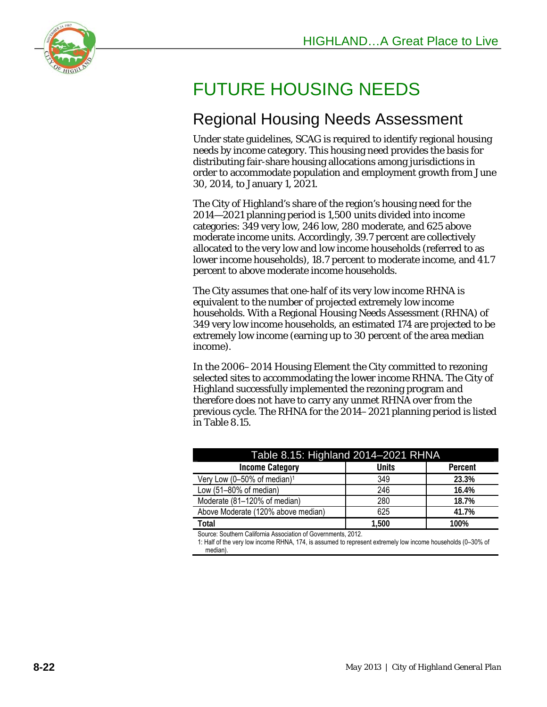

# FUTURE HOUSING NEEDS

## Regional Housing Needs Assessment

Under state guidelines, SCAG is required to identify regional housing needs by income category. This housing need provides the basis for distributing fair-share housing allocations among jurisdictions in order to accommodate population and employment growth from June 30, 2014, to January 1, 2021.

The City of Highland's share of the region's housing need for the 2014—2021 planning period is 1,500 units divided into income categories: 349 very low, 246 low, 280 moderate, and 625 above moderate income units. Accordingly, 39.7 percent are collectively allocated to the very low and low income households (referred to as lower income households), 18.7 percent to moderate income, and 41.7 percent to above moderate income households.

The City assumes that one-half of its very low income RHNA is equivalent to the number of projected extremely low income households. With a Regional Housing Needs Assessment (RHNA) of 349 very low income households, an estimated 174 are projected to be extremely low income (earning up to 30 percent of the area median income).

In the 2006–2014 Housing Element the City committed to rezoning selected sites to accommodating the lower income RHNA. The City of Highland successfully implemented the rezoning program and therefore does not have to carry any unmet RHNA over from the previous cycle. The RHNA for the 2014–2021 planning period is listed in Table 8.15.

| Table 8.15: Highland 2014–2021 RHNA     |              |                |  |  |  |  |
|-----------------------------------------|--------------|----------------|--|--|--|--|
| <b>Income Category</b>                  | <b>Units</b> | <b>Percent</b> |  |  |  |  |
| Very Low (0-50% of median) <sup>1</sup> | 349          | 23.3%          |  |  |  |  |
| Low (51-80% of median)                  | 246          | 16.4%          |  |  |  |  |
| Moderate (81-120% of median)            | 280          | 18.7%          |  |  |  |  |
| Above Moderate (120% above median)      | 625          | 41.7%          |  |  |  |  |
| Total                                   | 1,500        | 100%           |  |  |  |  |

Source: Southern California Association of Governments, 2012.

1: Half of the very low income RHNA, 174, is assumed to represent extremely low income households (0–30% of median).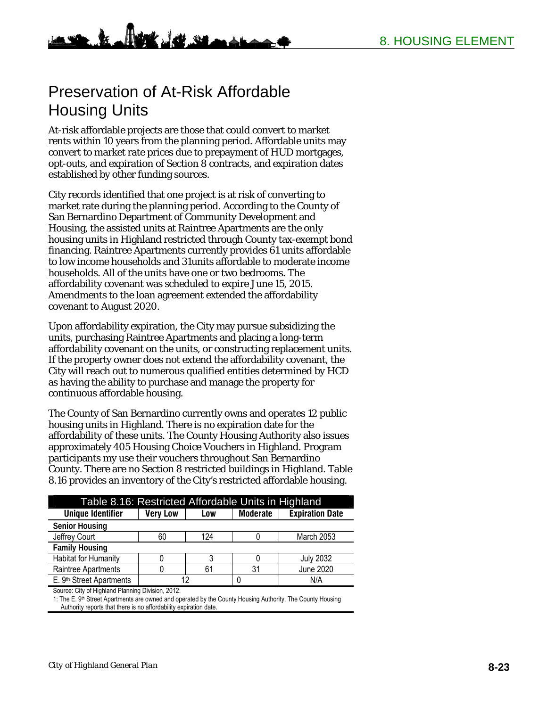## Preservation of At-Risk Affordable Housing Units

At-risk affordable projects are those that could convert to market rents within 10 years from the planning period. Affordable units may convert to market rate prices due to prepayment of HUD mortgages, opt-outs, and expiration of Section 8 contracts, and expiration dates established by other funding sources.

City records identified that one project is at risk of converting to market rate during the planning period. According to the County of San Bernardino Department of Community Development and Housing, the assisted units at Raintree Apartments are the only housing units in Highland restricted through County tax-exempt bond financing. Raintree Apartments currently provides 61 units affordable to low income households and 31units affordable to moderate income households. All of the units have one or two bedrooms. The affordability covenant was scheduled to expire June 15, 2015. Amendments to the loan agreement extended the affordability covenant to August 2020.

Upon affordability expiration, the City may pursue subsidizing the units, purchasing Raintree Apartments and placing a long-term affordability covenant on the units, or constructing replacement units. If the property owner does not extend the affordability covenant, the City will reach out to numerous qualified entities determined by HCD as having the ability to purchase and manage the property for continuous affordable housing.

The County of San Bernardino currently owns and operates 12 public housing units in Highland. There is no expiration date for the affordability of these units. The County Housing Authority also issues approximately 405 Housing Choice Vouchers in Highland. Program participants my use their vouchers throughout San Bernardino County. There are no Section 8 restricted buildings in Highland. Table 8.16 provides an inventory of the City's restricted affordable housing.

| Table 8.16: Restricted Affordable Units in Highland |                    |     |                 |                        |  |  |  |
|-----------------------------------------------------|--------------------|-----|-----------------|------------------------|--|--|--|
| <b>Unique Identifier</b>                            | <b>Very Low</b>    | Low | <b>Moderate</b> | <b>Expiration Date</b> |  |  |  |
| <b>Senior Housing</b>                               |                    |     |                 |                        |  |  |  |
| Jeffrey Court                                       | 60                 | 124 |                 | March 2053             |  |  |  |
| <b>Family Housing</b>                               |                    |     |                 |                        |  |  |  |
| Habitat for Humanity                                |                    |     |                 | <b>July 2032</b>       |  |  |  |
| Raintree Apartments                                 |                    | 61  | 31              | <b>June 2020</b>       |  |  |  |
| E. 9th Street Apartments                            | 12                 |     |                 | N/A                    |  |  |  |
|                                                     | .<br>$\sim$ $\sim$ |     |                 |                        |  |  |  |

Source: City of Highland Planning Division, 2012.

1: The E. 9<sup>th</sup> Street Apartments are owned and operated by the County Housing Authority. The County Housing Authority reports that there is no affordability expiration date.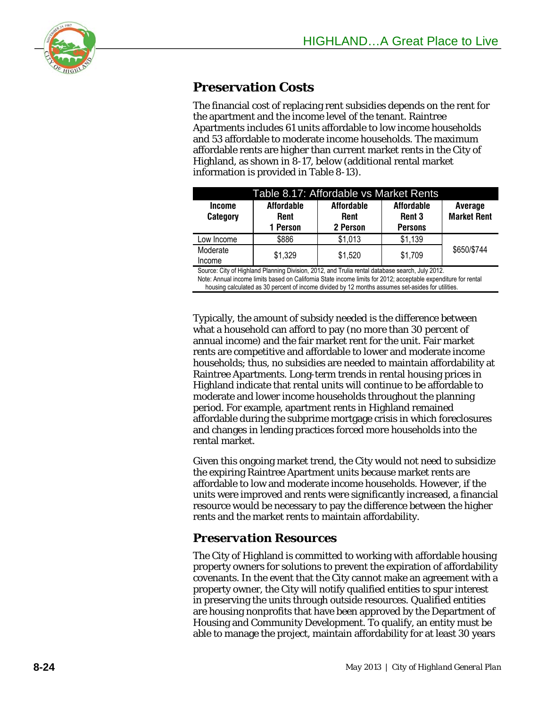

### **Preservation Costs**

The financial cost of replacing rent subsidies depends on the rent for the apartment and the income level of the tenant. Raintree Apartments includes 61 units affordable to low income households and 53 affordable to moderate income households. The maximum affordable rents are higher than current market rents in the City of Highland, as shown in 8-17, below (additional rental market information is provided in Table 8-13).

| Table 8.17: Affordable vs Market Rents |                                       |                                       |         |                               |  |  |  |
|----------------------------------------|---------------------------------------|---------------------------------------|---------|-------------------------------|--|--|--|
| <b>Income</b><br>Category              | <b>Affordable</b><br>Rent<br>1 Person | <b>Affordable</b><br>Rent<br>2 Person |         | Average<br><b>Market Rent</b> |  |  |  |
| Low Income                             | \$886                                 | \$1,013                               | \$1,139 |                               |  |  |  |
| Moderate<br>Income                     | \$1,329                               | \$1,520                               | \$1,709 | \$650/\$744                   |  |  |  |

Source: City of Highland Planning Division, 2012, and Trulia rental database search, July 2012. Note: Annual income limits based on California State income limits for 2012; acceptable expenditure for rental housing calculated as 30 percent of income divided by 12 months assumes set-asides for utilities.

Typically, the amount of subsidy needed is the difference between what a household can afford to pay (no more than 30 percent of annual income) and the fair market rent for the unit. Fair market rents are competitive and affordable to lower and moderate income households; thus, no subsidies are needed to maintain affordability at Raintree Apartments. Long-term trends in rental housing prices in Highland indicate that rental units will continue to be affordable to moderate and lower income households throughout the planning period. For example, apartment rents in Highland remained affordable during the subprime mortgage crisis in which foreclosures and changes in lending practices forced more households into the rental market.

Given this ongoing market trend, the City would not need to subsidize the expiring Raintree Apartment units because market rents are affordable to low and moderate income households. However, if the units were improved and rents were significantly increased, a financial resource would be necessary to pay the difference between the higher rents and the market rents to maintain affordability.

#### *Preservation Resources*

The City of Highland is committed to working with affordable housing property owners for solutions to prevent the expiration of affordability covenants. In the event that the City cannot make an agreement with a property owner, the City will notify qualified entities to spur interest in preserving the units through outside resources. Qualified entities are housing nonprofits that have been approved by the Department of Housing and Community Development. To qualify, an entity must be able to manage the project, maintain affordability for at least 30 years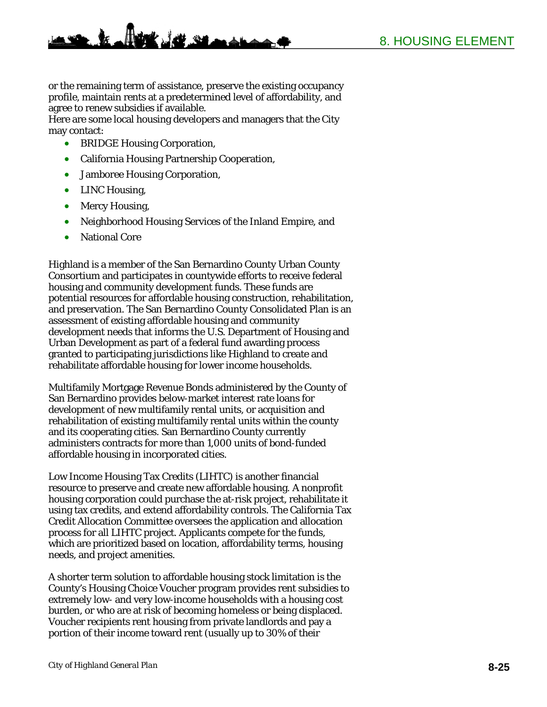

or the remaining term of assistance, preserve the existing occupancy profile, maintain rents at a predetermined level of affordability, and agree to renew subsidies if available.

Here are some local housing developers and managers that the City may contact:

- BRIDGE Housing Corporation,
- California Housing Partnership Cooperation,
- Jamboree Housing Corporation,
- LINC Housing,
- Mercy Housing,
- Neighborhood Housing Services of the Inland Empire, and
- National Core

Highland is a member of the San Bernardino County Urban County Consortium and participates in countywide efforts to receive federal housing and community development funds. These funds are potential resources for affordable housing construction, rehabilitation, and preservation. The San Bernardino County Consolidated Plan is an assessment of existing affordable housing and community development needs that informs the U.S. Department of Housing and Urban Development as part of a federal fund awarding process granted to participating jurisdictions like Highland to create and rehabilitate affordable housing for lower income households.

Multifamily Mortgage Revenue Bonds administered by the County of San Bernardino provides below-market interest rate loans for development of new multifamily rental units, or acquisition and rehabilitation of existing multifamily rental units within the county and its cooperating cities. San Bernardino County currently administers contracts for more than 1,000 units of bond-funded affordable housing in incorporated cities.

Low Income Housing Tax Credits (LIHTC) is another financial resource to preserve and create new affordable housing. A nonprofit housing corporation could purchase the at-risk project, rehabilitate it using tax credits, and extend affordability controls. The California Tax Credit Allocation Committee oversees the application and allocation process for all LIHTC project. Applicants compete for the funds, which are prioritized based on location, affordability terms, housing needs, and project amenities.

A shorter term solution to affordable housing stock limitation is the County's Housing Choice Voucher program provides rent subsidies to extremely low- and very low-income households with a housing cost burden, or who are at risk of becoming homeless or being displaced. Voucher recipients rent housing from private landlords and pay a portion of their income toward rent (usually up to 30% of their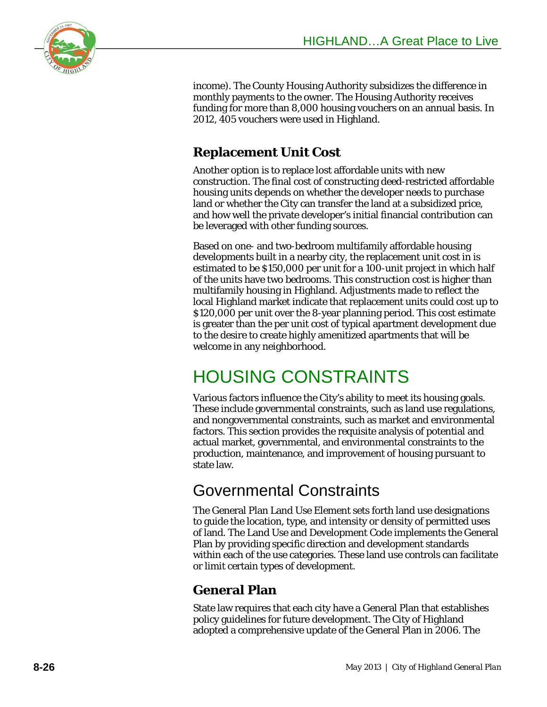



income). The County Housing Authority subsidizes the difference in monthly payments to the owner. The Housing Authority receives funding for more than 8,000 housing vouchers on an annual basis. In 2012, 405 vouchers were used in Highland.

## **Replacement Unit Cost**

Another option is to replace lost affordable units with new construction. The final cost of constructing deed-restricted affordable housing units depends on whether the developer needs to purchase land or whether the City can transfer the land at a subsidized price, and how well the private developer's initial financial contribution can be leveraged with other funding sources.

Based on one- and two-bedroom multifamily affordable housing developments built in a nearby city, the replacement unit cost in is estimated to be \$150,000 per unit for a 100-unit project in which half of the units have two bedrooms. This construction cost is higher than multifamily housing in Highland. Adjustments made to reflect the local Highland market indicate that replacement units could cost up to \$120,000 per unit over the 8-year planning period. This cost estimate is greater than the per unit cost of typical apartment development due to the desire to create highly amenitized apartments that will be welcome in any neighborhood.

# HOUSING CONSTRAINTS

Various factors influence the City's ability to meet its housing goals. These include governmental constraints, such as land use regulations, and nongovernmental constraints, such as market and environmental factors. This section provides the requisite analysis of potential and actual market, governmental, and environmental constraints to the production, maintenance, and improvement of housing pursuant to state law.

## Governmental Constraints

The General Plan Land Use Element sets forth land use designations to guide the location, type, and intensity or density of permitted uses of land. The Land Use and Development Code implements the General Plan by providing specific direction and development standards within each of the use categories. These land use controls can facilitate or limit certain types of development.

### **General Plan**

State law requires that each city have a General Plan that establishes policy guidelines for future development. The City of Highland adopted a comprehensive update of the General Plan in 2006. The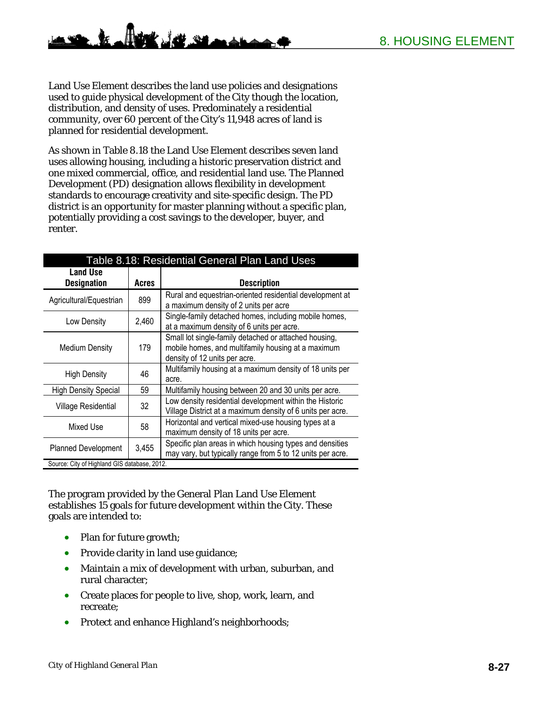Land Use Element describes the land use policies and designations used to guide physical development of the City though the location, distribution, and density of uses. Predominately a residential community, over 60 percent of the City's 11,948 acres of land is planned for residential development.

As shown in Table 8.18 the Land Use Element describes seven land uses allowing housing, including a historic preservation district and one mixed commercial, office, and residential land use. The Planned Development (PD) designation allows flexibility in development standards to encourage creativity and site-specific design. The PD district is an opportunity for master planning without a specific plan, potentially providing a cost savings to the developer, buyer, and renter.

| Table 8.18: Residential General Plan Land Uses |       |                                                                                                                                              |  |  |  |
|------------------------------------------------|-------|----------------------------------------------------------------------------------------------------------------------------------------------|--|--|--|
| <b>Land Use</b><br><b>Designation</b>          | Acres | <b>Description</b>                                                                                                                           |  |  |  |
| Agricultural/Equestrian                        | 899   | Rural and equestrian-oriented residential development at<br>a maximum density of 2 units per acre                                            |  |  |  |
| Low Density                                    | 2,460 | Single-family detached homes, including mobile homes,<br>at a maximum density of 6 units per acre.                                           |  |  |  |
| Medium Density                                 | 179   | Small lot single-family detached or attached housing,<br>mobile homes, and multifamily housing at a maximum<br>density of 12 units per acre. |  |  |  |
| <b>High Density</b>                            | 46    | Multifamily housing at a maximum density of 18 units per<br>acre.                                                                            |  |  |  |
| <b>High Density Special</b>                    | 59    | Multifamily housing between 20 and 30 units per acre.                                                                                        |  |  |  |
| Village Residential                            | 32    | Low density residential development within the Historic<br>Village District at a maximum density of 6 units per acre.                        |  |  |  |
| Mixed Use                                      | 58    | Horizontal and vertical mixed-use housing types at a<br>maximum density of 18 units per acre.                                                |  |  |  |
| <b>Planned Development</b>                     | 3,455 | Specific plan areas in which housing types and densities<br>may vary, but typically range from 5 to 12 units per acre.                       |  |  |  |
| Source: City of Highland GIS database, 2012.   |       |                                                                                                                                              |  |  |  |

The program provided by the General Plan Land Use Element establishes 15 goals for future development within the City. These goals are intended to:

- Plan for future growth;
- Provide clarity in land use guidance;
- Maintain a mix of development with urban, suburban, and rural character;
- Create places for people to live, shop, work, learn, and recreate;
- Protect and enhance Highland's neighborhoods;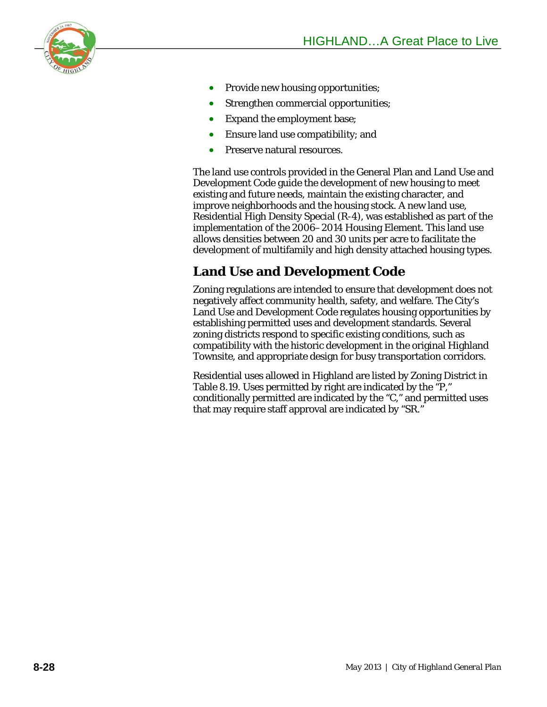

- Provide new housing opportunities;
- Strengthen commercial opportunities;
- Expand the employment base;
- Ensure land use compatibility; and
- Preserve natural resources.

The land use controls provided in the General Plan and Land Use and Development Code guide the development of new housing to meet existing and future needs, maintain the existing character, and improve neighborhoods and the housing stock. A new land use, Residential High Density Special (R-4), was established as part of the implementation of the 2006–2014 Housing Element. This land use allows densities between 20 and 30 units per acre to facilitate the development of multifamily and high density attached housing types.

## **Land Use and Development Code**

Zoning regulations are intended to ensure that development does not negatively affect community health, safety, and welfare. The City's Land Use and Development Code regulates housing opportunities by establishing permitted uses and development standards. Several zoning districts respond to specific existing conditions, such as compatibility with the historic development in the original Highland Townsite, and appropriate design for busy transportation corridors.

Residential uses allowed in Highland are listed by Zoning District in Table 8.19. Uses permitted by right are indicated by the "P," conditionally permitted are indicated by the "C," and permitted uses that may require staff approval are indicated by "SR."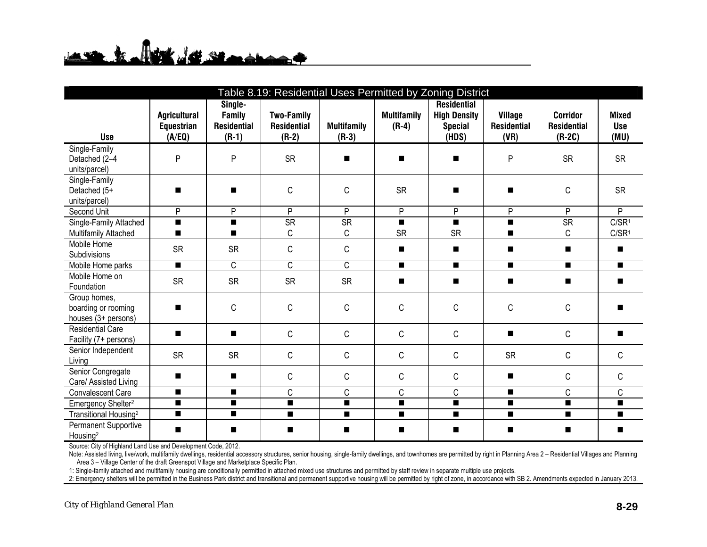| Table 8.19: Residential Uses Permitted by Zoning District    |                                                    |                                                    |                                                    |                               |                               |                                                                      |                                              |                                                   |                                    |
|--------------------------------------------------------------|----------------------------------------------------|----------------------------------------------------|----------------------------------------------------|-------------------------------|-------------------------------|----------------------------------------------------------------------|----------------------------------------------|---------------------------------------------------|------------------------------------|
| <b>Use</b>                                                   | <b>Agricultural</b><br><b>Equestrian</b><br>(A/EQ) | Single-<br>Family<br><b>Residential</b><br>$(R-1)$ | <b>Two-Family</b><br><b>Residential</b><br>$(R-2)$ | <b>Multifamily</b><br>$(R-3)$ | <b>Multifamily</b><br>$(R-4)$ | <b>Residential</b><br><b>High Density</b><br><b>Special</b><br>(HDS) | <b>Village</b><br><b>Residential</b><br>(VR) | <b>Corridor</b><br><b>Residential</b><br>$(R-2C)$ | <b>Mixed</b><br><b>Use</b><br>(MU) |
| Single-Family<br>Detached (2-4<br>units/parcel)              | $\mathsf{P}$                                       | P                                                  | <b>SR</b>                                          | п                             | $\blacksquare$                | п                                                                    | $\mathsf{P}$                                 | <b>SR</b>                                         | <b>SR</b>                          |
| Single-Family<br>Detached (5+<br>units/parcel)               | п                                                  |                                                    | С                                                  | C                             | <b>SR</b>                     | п                                                                    | $\blacksquare$                               | C                                                 | <b>SR</b>                          |
| Second Unit                                                  | P                                                  | P                                                  | P                                                  | P                             | P                             | P                                                                    | P                                            | P                                                 | P                                  |
| Single-Family Attached                                       | $\blacksquare$                                     | $\blacksquare$                                     | <b>SR</b>                                          | <b>SR</b>                     | $\blacksquare$                | $\blacksquare$                                                       | $\blacksquare$                               | <b>SR</b>                                         | C/SR <sup>1</sup>                  |
| Multifamily Attached                                         | $\blacksquare$                                     | $\blacksquare$                                     | C                                                  | $\mathsf C$                   | <b>SR</b>                     | <b>SR</b>                                                            | $\blacksquare$                               | C                                                 | C/SR <sup>1</sup>                  |
| Mobile Home<br>Subdivisions                                  | <b>SR</b>                                          | <b>SR</b>                                          | С                                                  | C                             | п                             | $\blacksquare$                                                       | $\blacksquare$                               | $\blacksquare$                                    | $\blacksquare$                     |
| Mobile Home parks                                            | $\blacksquare$                                     | C                                                  | C                                                  | C                             | п                             | $\blacksquare$                                                       | $\blacksquare$                               | $\blacksquare$                                    | $\blacksquare$                     |
| Mobile Home on<br>Foundation                                 | <b>SR</b>                                          | <b>SR</b>                                          | <b>SR</b>                                          | <b>SR</b>                     | $\blacksquare$                | п                                                                    | $\blacksquare$                               | п                                                 | п                                  |
| Group homes,<br>boarding or rooming<br>houses $(3+$ persons) | $\blacksquare$                                     | C                                                  | C                                                  | C                             | C                             | C                                                                    | C                                            | С                                                 |                                    |
| <b>Residential Care</b><br>Facility (7+ persons)             | п                                                  | $\blacksquare$                                     | C                                                  | C                             | C                             | C                                                                    | $\blacksquare$                               | $\mathsf C$                                       | п                                  |
| Senior Independent<br>Livina                                 | <b>SR</b>                                          | <b>SR</b>                                          | C                                                  | $\mathsf C$                   | C                             | $\mathsf{C}$                                                         | <b>SR</b>                                    | C                                                 | $\mathsf{C}$                       |
| Senior Congregate<br>Care/ Assisted Living                   |                                                    | $\blacksquare$                                     | C                                                  | C                             | C                             | C                                                                    | $\blacksquare$                               | C                                                 | C                                  |
| Convalescent Care                                            | $\blacksquare$                                     | $\blacksquare$                                     | $\overline{C}$                                     | $\overline{C}$                | $\overline{C}$                | $\overline{C}$                                                       | $\blacksquare$                               | C                                                 | $\overline{C}$                     |
| Emergency Shelter <sup>2</sup>                               | $\blacksquare$                                     | ш                                                  | $\blacksquare$                                     | Ξ                             | $\blacksquare$                | п                                                                    | $\blacksquare$                               | $\blacksquare$                                    | $\blacksquare$                     |
| Transitional Housing <sup>2</sup>                            | $\blacksquare$                                     | $\blacksquare$                                     | $\blacksquare$                                     | $\blacksquare$                | $\blacksquare$                | $\blacksquare$                                                       | $\blacksquare$                               | $\blacksquare$                                    | $\blacksquare$                     |
| Permanent Supportive<br>Housing <sup>2</sup>                 | п                                                  | ■                                                  | ■                                                  |                               | п                             | $\blacksquare$                                                       | п                                            | п                                                 |                                    |

Source: City of Highland Land Use and Development Code, 2012.

Note: Assisted living, live/work, multifamily dwellings, residential accessory structures, senior housing, single-family dwellings, and townhomes are permitted by right in Planning Area 2 – Residential Villages and Plannin Area 3 – Village Center of the draft Greenspot Village and Marketplace Specific Plan.

1: Single-family attached and multifamily housing are conditionally permitted in attached mixed use structures and permitted by staff review in separate multiple use projects.

2: Emergency shelters will be permitted in the Business Park district and transitional and permanent supportive housing will be permitted by right of zone, in accordance with SB 2. Amendments expected in January 2013.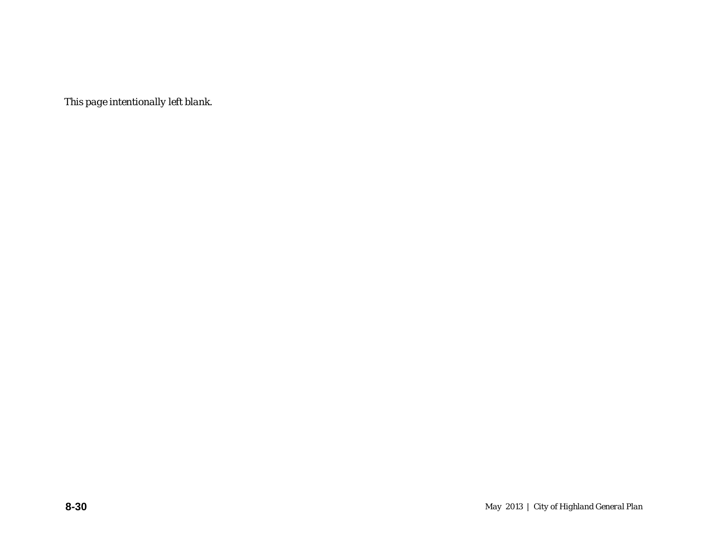*This page intentionally left blank.*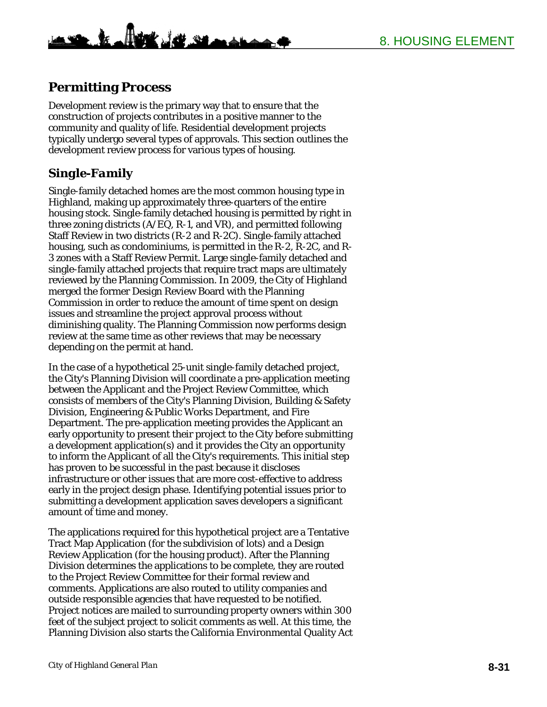

### **Permitting Process**

Development review is the primary way that to ensure that the construction of projects contributes in a positive manner to the community and quality of life. Residential development projects typically undergo several types of approvals. This section outlines the development review process for various types of housing.

#### *Single-Family*

Single-family detached homes are the most common housing type in Highland, making up approximately three-quarters of the entire housing stock. Single-family detached housing is permitted by right in three zoning districts (A/EQ, R-1, and VR), and permitted following Staff Review in two districts (R-2 and R-2C). Single-family attached housing, such as condominiums, is permitted in the R-2, R-2C, and R-3 zones with a Staff Review Permit. Large single-family detached and single-family attached projects that require tract maps are ultimately reviewed by the Planning Commission. In 2009, the City of Highland merged the former Design Review Board with the Planning Commission in order to reduce the amount of time spent on design issues and streamline the project approval process without diminishing quality. The Planning Commission now performs design review at the same time as other reviews that may be necessary depending on the permit at hand.

In the case of a hypothetical 25-unit single-family detached project, the City's Planning Division will coordinate a pre-application meeting between the Applicant and the Project Review Committee, which consists of members of the City's Planning Division, Building & Safety Division, Engineering & Public Works Department, and Fire Department. The pre-application meeting provides the Applicant an early opportunity to present their project to the City before submitting a development application(s) and it provides the City an opportunity to inform the Applicant of all the City's requirements. This initial step has proven to be successful in the past because it discloses infrastructure or other issues that are more cost-effective to address early in the project design phase. Identifying potential issues prior to submitting a development application saves developers a significant amount of time and money.

The applications required for this hypothetical project are a Tentative Tract Map Application (for the subdivision of lots) and a Design Review Application (for the housing product). After the Planning Division determines the applications to be complete, they are routed to the Project Review Committee for their formal review and comments. Applications are also routed to utility companies and outside responsible agencies that have requested to be notified. Project notices are mailed to surrounding property owners within 300 feet of the subject project to solicit comments as well. At this time, the Planning Division also starts the California Environmental Quality Act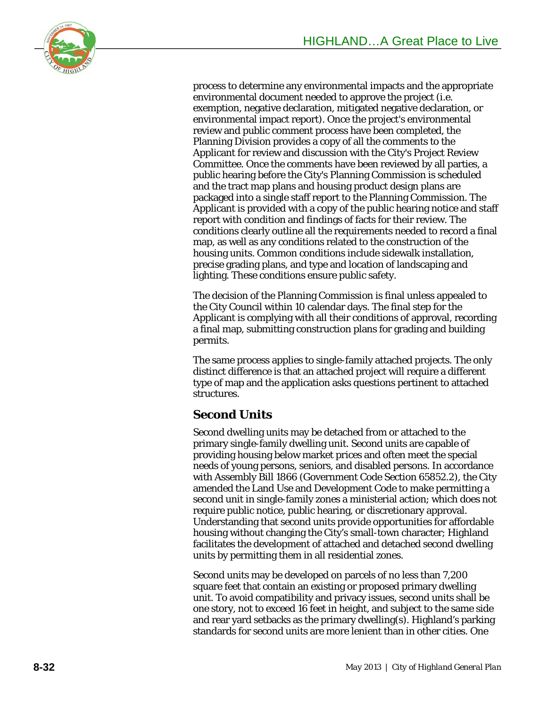

process to determine any environmental impacts and the appropriate environmental document needed to approve the project (i.e. exemption, negative declaration, mitigated negative declaration, or environmental impact report). Once the project's environmental review and public comment process have been completed, the Planning Division provides a copy of all the comments to the Applicant for review and discussion with the City's Project Review Committee. Once the comments have been reviewed by all parties, a public hearing before the City's Planning Commission is scheduled and the tract map plans and housing product design plans are packaged into a single staff report to the Planning Commission. The Applicant is provided with a copy of the public hearing notice and staff report with condition and findings of facts for their review. The conditions clearly outline all the requirements needed to record a final map, as well as any conditions related to the construction of the housing units. Common conditions include sidewalk installation, precise grading plans, and type and location of landscaping and lighting. These conditions ensure public safety.

The decision of the Planning Commission is final unless appealed to the City Council within 10 calendar days. The final step for the Applicant is complying with all their conditions of approval, recording a final map, submitting construction plans for grading and building permits.

The same process applies to single-family attached projects. The only distinct difference is that an attached project will require a different type of map and the application asks questions pertinent to attached structures.

#### *Second Units*

Second dwelling units may be detached from or attached to the primary single-family dwelling unit. Second units are capable of providing housing below market prices and often meet the special needs of young persons, seniors, and disabled persons. In accordance with Assembly Bill 1866 (Government Code Section 65852.2), the City amended the Land Use and Development Code to make permitting a second unit in single-family zones a ministerial action; which does not require public notice, public hearing, or discretionary approval. Understanding that second units provide opportunities for affordable housing without changing the City's small-town character; Highland facilitates the development of attached and detached second dwelling units by permitting them in all residential zones.

Second units may be developed on parcels of no less than 7,200 square feet that contain an existing or proposed primary dwelling unit. To avoid compatibility and privacy issues, second units shall be one story, not to exceed 16 feet in height, and subject to the same side and rear yard setbacks as the primary dwelling(s). Highland's parking standards for second units are more lenient than in other cities. One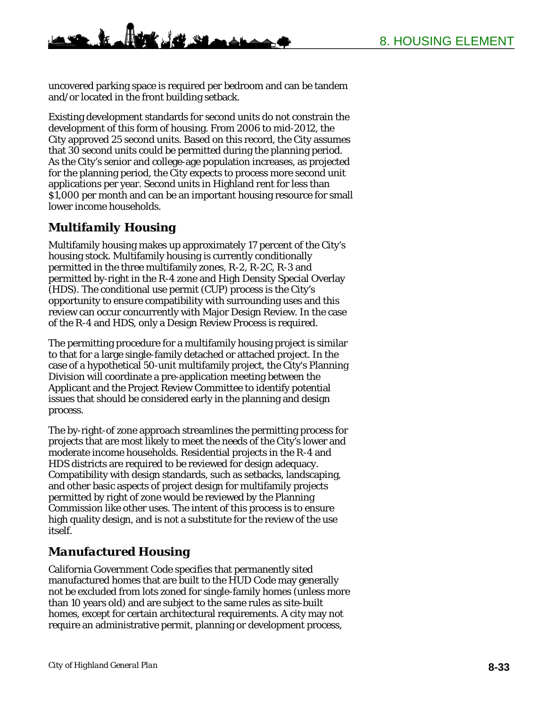uncovered parking space is required per bedroom and can be tandem and/or located in the front building setback.

Existing development standards for second units do not constrain the development of this form of housing. From 2006 to mid-2012, the City approved 25 second units. Based on this record, the City assumes that 30 second units could be permitted during the planning period. As the City's senior and college-age population increases, as projected for the planning period, the City expects to process more second unit applications per year. Second units in Highland rent for less than \$1,000 per month and can be an important housing resource for small lower income households.

#### *Multifamily Housing*

Multifamily housing makes up approximately 17 percent of the City's housing stock. Multifamily housing is currently conditionally permitted in the three multifamily zones, R-2, R-2C, R-3 and permitted by-right in the R-4 zone and High Density Special Overlay (HDS). The conditional use permit (CUP) process is the City's opportunity to ensure compatibility with surrounding uses and this review can occur concurrently with Major Design Review. In the case of the R-4 and HDS, only a Design Review Process is required.

The permitting procedure for a multifamily housing project is similar to that for a large single-family detached or attached project. In the case of a hypothetical 50-unit multifamily project, the City's Planning Division will coordinate a pre-application meeting between the Applicant and the Project Review Committee to identify potential issues that should be considered early in the planning and design process.

The by-right-of zone approach streamlines the permitting process for projects that are most likely to meet the needs of the City's lower and moderate income households. Residential projects in the R-4 and HDS districts are required to be reviewed for design adequacy. Compatibility with design standards, such as setbacks, landscaping, and other basic aspects of project design for multifamily projects permitted by right of zone would be reviewed by the Planning Commission like other uses. The intent of this process is to ensure high quality design, and is not a substitute for the review of the use itself.

### *Manufactured Housing*

California Government Code specifies that permanently sited manufactured homes that are built to the HUD Code may generally not be excluded from lots zoned for single-family homes (unless more than 10 years old) and are subject to the same rules as site-built homes, except for certain architectural requirements. A city may not require an administrative permit, planning or development process,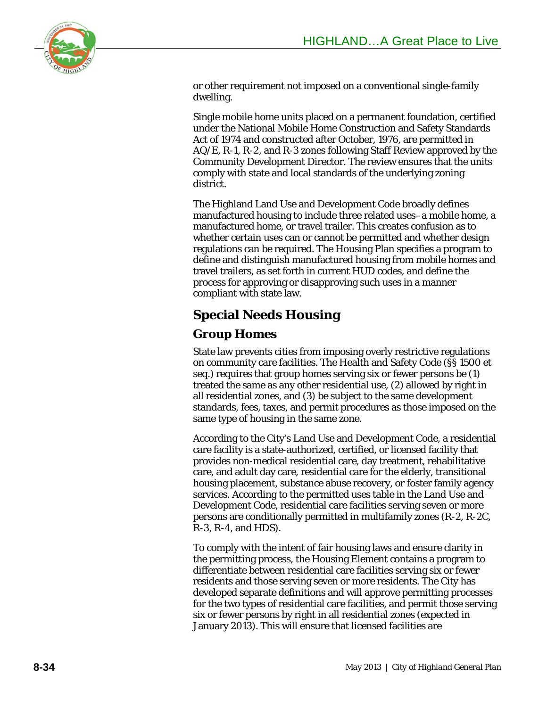

or other requirement not imposed on a conventional single-family dwelling.

Single mobile home units placed on a permanent foundation, certified under the National Mobile Home Construction and Safety Standards Act of 1974 and constructed after October, 1976, are permitted in AQ/E, R-1, R-2, and R-3 zones following Staff Review approved by the Community Development Director. The review ensures that the units comply with state and local standards of the underlying zoning district.

The Highland Land Use and Development Code broadly defines manufactured housing to include three related uses–a mobile home, a manufactured home, or travel trailer. This creates confusion as to whether certain uses can or cannot be permitted and whether design regulations can be required. The Housing Plan specifies a program to define and distinguish manufactured housing from mobile homes and travel trailers, as set forth in current HUD codes, and define the process for approving or disapproving such uses in a manner compliant with state law.

### **Special Needs Housing**

#### *Group Homes*

State law prevents cities from imposing overly restrictive regulations on community care facilities. The Health and Safety Code (§§ 1500 et seq.) requires that group homes serving six or fewer persons be (1) treated the same as any other residential use, (2) allowed by right in all residential zones, and (3) be subject to the same development standards, fees, taxes, and permit procedures as those imposed on the same type of housing in the same zone.

According to the City's Land Use and Development Code, a residential care facility is a state-authorized, certified, or licensed facility that provides non-medical residential care, day treatment, rehabilitative care, and adult day care, residential care for the elderly, transitional housing placement, substance abuse recovery, or foster family agency services. According to the permitted uses table in the Land Use and Development Code, residential care facilities serving seven or more persons are conditionally permitted in multifamily zones (R-2, R-2C, R-3, R-4, and HDS).

To comply with the intent of fair housing laws and ensure clarity in the permitting process, the Housing Element contains a program to differentiate between residential care facilities serving six or fewer residents and those serving seven or more residents. The City has developed separate definitions and will approve permitting processes for the two types of residential care facilities, and permit those serving six or fewer persons by right in all residential zones (expected in January 2013). This will ensure that licensed facilities are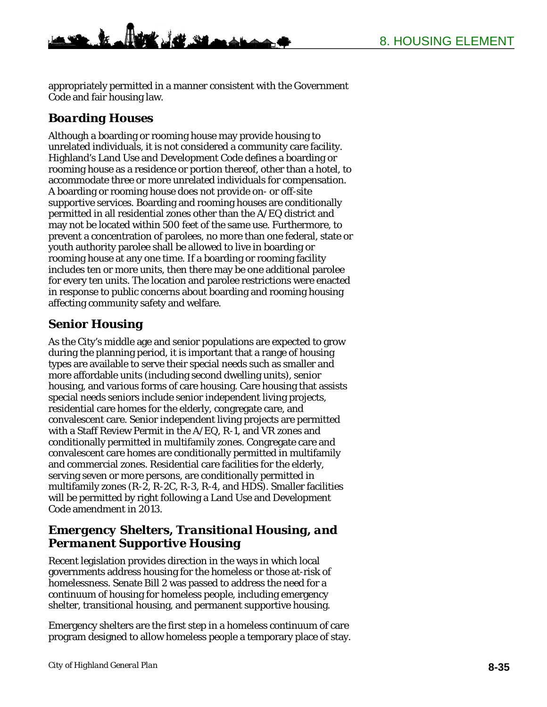appropriately permitted in a manner consistent with the Government Code and fair housing law.

#### *Boarding Houses*

Although a boarding or rooming house may provide housing to unrelated individuals, it is not considered a community care facility. Highland's Land Use and Development Code defines a boarding or rooming house as a residence or portion thereof, other than a hotel, to accommodate three or more unrelated individuals for compensation. A boarding or rooming house does not provide on- or off-site supportive services. Boarding and rooming houses are conditionally permitted in all residential zones other than the A/EQ district and may not be located within 500 feet of the same use. Furthermore, to prevent a concentration of parolees, no more than one federal, state or youth authority parolee shall be allowed to live in boarding or rooming house at any one time. If a boarding or rooming facility includes ten or more units, then there may be one additional parolee for every ten units. The location and parolee restrictions were enacted in response to public concerns about boarding and rooming housing affecting community safety and welfare.

### *Senior Housing*

As the City's middle age and senior populations are expected to grow during the planning period, it is important that a range of housing types are available to serve their special needs such as smaller and more affordable units (including second dwelling units), senior housing, and various forms of care housing. Care housing that assists special needs seniors include senior independent living projects, residential care homes for the elderly, congregate care, and convalescent care. Senior independent living projects are permitted with a Staff Review Permit in the A/EQ, R-1, and VR zones and conditionally permitted in multifamily zones. Congregate care and convalescent care homes are conditionally permitted in multifamily and commercial zones. Residential care facilities for the elderly, serving seven or more persons, are conditionally permitted in multifamily zones (R-2, R-2C, R-3, R-4, and HDS). Smaller facilities will be permitted by right following a Land Use and Development Code amendment in 2013.

#### *Emergency Shelters, Transitional Housing, and Permanent Supportive Housing*

Recent legislation provides direction in the ways in which local governments address housing for the homeless or those at-risk of homelessness. Senate Bill 2 was passed to address the need for a continuum of housing for homeless people, including emergency shelter, transitional housing, and permanent supportive housing.

Emergency shelters are the first step in a homeless continuum of care program designed to allow homeless people a temporary place of stay.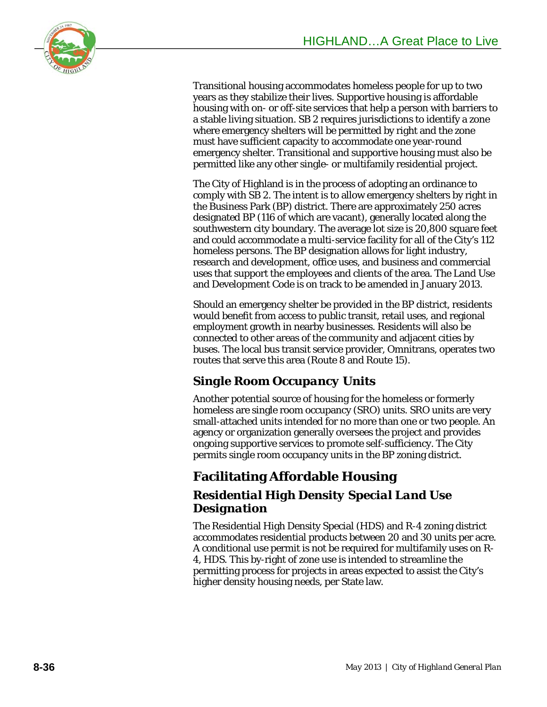

Transitional housing accommodates homeless people for up to two years as they stabilize their lives. Supportive housing is affordable housing with on- or off-site services that help a person with barriers to a stable living situation. SB 2 requires jurisdictions to identify a zone where emergency shelters will be permitted by right and the zone must have sufficient capacity to accommodate one year-round emergency shelter. Transitional and supportive housing must also be permitted like any other single- or multifamily residential project.

The City of Highland is in the process of adopting an ordinance to comply with SB 2. The intent is to allow emergency shelters by right in the Business Park (BP) district. There are approximately 250 acres designated BP (116 of which are vacant), generally located along the southwestern city boundary. The average lot size is 20,800 square feet and could accommodate a multi-service facility for all of the City's 112 homeless persons. The BP designation allows for light industry, research and development, office uses, and business and commercial uses that support the employees and clients of the area. The Land Use and Development Code is on track to be amended in January 2013.

Should an emergency shelter be provided in the BP district, residents would benefit from access to public transit, retail uses, and regional employment growth in nearby businesses. Residents will also be connected to other areas of the community and adjacent cities by buses. The local bus transit service provider, Omnitrans, operates two routes that serve this area (Route 8 and Route 15).

### *Single Room Occupancy Units*

Another potential source of housing for the homeless or formerly homeless are single room occupancy (SRO) units. SRO units are very small-attached units intended for no more than one or two people. An agency or organization generally oversees the project and provides ongoing supportive services to promote self-sufficiency. The City permits single room occupancy units in the BP zoning district.

### **Facilitating Affordable Housing**

#### *Residential High Density Special Land Use Designation*

The Residential High Density Special (HDS) and R-4 zoning district accommodates residential products between 20 and 30 units per acre. A conditional use permit is not be required for multifamily uses on R-4, HDS. This by-right of zone use is intended to streamline the permitting process for projects in areas expected to assist the City's higher density housing needs, per State law.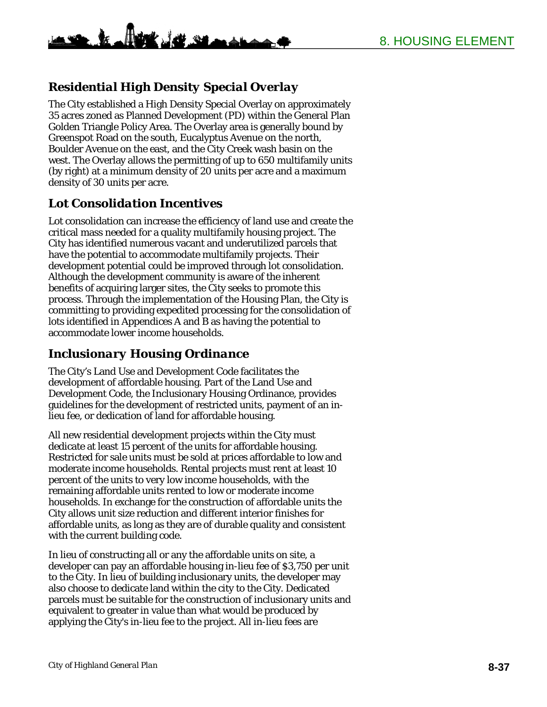

### *Residential High Density Special Overlay*

The City established a High Density Special Overlay on approximately 35 acres zoned as Planned Development (PD) within the General Plan Golden Triangle Policy Area. The Overlay area is generally bound by Greenspot Road on the south, Eucalyptus Avenue on the north, Boulder Avenue on the east, and the City Creek wash basin on the west. The Overlay allows the permitting of up to 650 multifamily units (by right) at a minimum density of 20 units per acre and a maximum density of 30 units per acre.

#### *Lot Consolidation Incentives*

Lot consolidation can increase the efficiency of land use and create the critical mass needed for a quality multifamily housing project. The City has identified numerous vacant and underutilized parcels that have the potential to accommodate multifamily projects. Their development potential could be improved through lot consolidation. Although the development community is aware of the inherent benefits of acquiring larger sites, the City seeks to promote this process. Through the implementation of the Housing Plan, the City is committing to providing expedited processing for the consolidation of lots identified in Appendices A and B as having the potential to accommodate lower income households.

#### *Inclusionary Housing Ordinance*

The City's Land Use and Development Code facilitates the development of affordable housing. Part of the Land Use and Development Code, the Inclusionary Housing Ordinance, provides guidelines for the development of restricted units, payment of an inlieu fee, or dedication of land for affordable housing.

All new residential development projects within the City must dedicate at least 15 percent of the units for affordable housing. Restricted for sale units must be sold at prices affordable to low and moderate income households. Rental projects must rent at least 10 percent of the units to very low income households, with the remaining affordable units rented to low or moderate income households. In exchange for the construction of affordable units the City allows unit size reduction and different interior finishes for affordable units, as long as they are of durable quality and consistent with the current building code.

In lieu of constructing all or any the affordable units on site, a developer can pay an affordable housing in-lieu fee of \$3,750 per unit to the City. In lieu of building inclusionary units, the developer may also choose to dedicate land within the city to the City. Dedicated parcels must be suitable for the construction of inclusionary units and equivalent to greater in value than what would be produced by applying the City's in-lieu fee to the project. All in-lieu fees are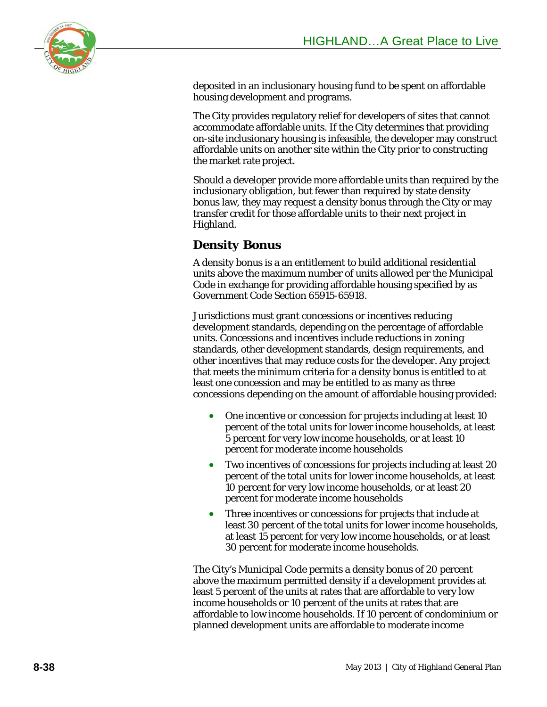

deposited in an inclusionary housing fund to be spent on affordable housing development and programs.

The City provides regulatory relief for developers of sites that cannot accommodate affordable units. If the City determines that providing on-site inclusionary housing is infeasible, the developer may construct affordable units on another site within the City prior to constructing the market rate project.

Should a developer provide more affordable units than required by the inclusionary obligation, but fewer than required by state density bonus law, they may request a density bonus through the City or may transfer credit for those affordable units to their next project in Highland.

#### *Density Bonus*

A density bonus is a an entitlement to build additional residential units above the maximum number of units allowed per the Municipal Code in exchange for providing affordable housing specified by as Government Code Section 65915-65918.

Jurisdictions must grant concessions or incentives reducing development standards, depending on the percentage of affordable units. Concessions and incentives include reductions in zoning standards, other development standards, design requirements, and other incentives that may reduce costs for the developer. Any project that meets the minimum criteria for a density bonus is entitled to at least one concession and may be entitled to as many as three concessions depending on the amount of affordable housing provided:

- One incentive or concession for projects including at least 10 percent of the total units for lower income households, at least 5 percent for very low income households, or at least 10 percent for moderate income households
- Two incentives of concessions for projects including at least 20 percent of the total units for lower income households, at least 10 percent for very low income households, or at least 20 percent for moderate income households
- Three incentives or concessions for projects that include at least 30 percent of the total units for lower income households, at least 15 percent for very low income households, or at least 30 percent for moderate income households.

The City's Municipal Code permits a density bonus of 20 percent above the maximum permitted density if a development provides at least 5 percent of the units at rates that are affordable to very low income households or 10 percent of the units at rates that are affordable to low income households. If 10 percent of condominium or planned development units are affordable to moderate income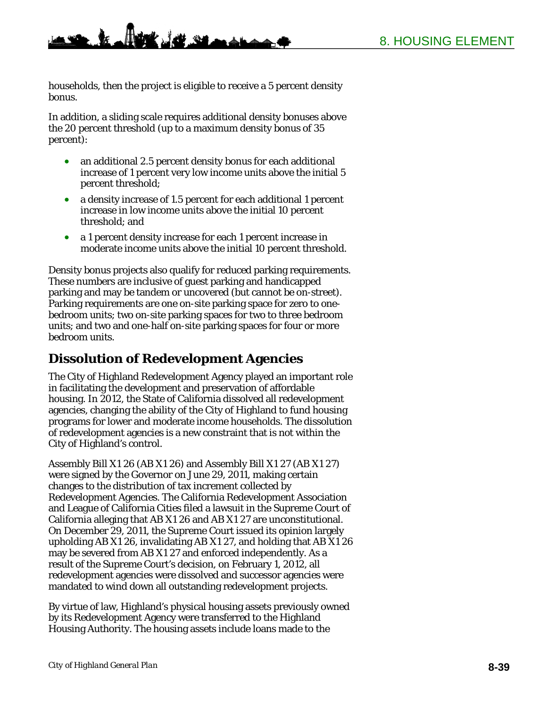households, then the project is eligible to receive a 5 percent density bonus.

In addition, a sliding scale requires additional density bonuses above the 20 percent threshold (up to a maximum density bonus of 35 percent):

- an additional 2.5 percent density bonus for each additional increase of 1 percent very low income units above the initial 5 percent threshold;
- a density increase of 1.5 percent for each additional 1 percent increase in low income units above the initial 10 percent threshold; and
- a 1 percent density increase for each 1 percent increase in moderate income units above the initial 10 percent threshold.

Density bonus projects also qualify for reduced parking requirements. These numbers are inclusive of guest parking and handicapped parking and may be tandem or uncovered (but cannot be on-street). Parking requirements are one on-site parking space for zero to onebedroom units; two on-site parking spaces for two to three bedroom units; and two and one-half on-site parking spaces for four or more bedroom units.

### **Dissolution of Redevelopment Agencies**

The City of Highland Redevelopment Agency played an important role in facilitating the development and preservation of affordable housing. In 2012, the State of California dissolved all redevelopment agencies, changing the ability of the City of Highland to fund housing programs for lower and moderate income households. The dissolution of redevelopment agencies is a new constraint that is not within the City of Highland's control.

Assembly Bill X1 26 (AB X1 26) and Assembly Bill X1 27 (AB X1 27) were signed by the Governor on June 29, 2011, making certain changes to the distribution of tax increment collected by Redevelopment Agencies. The California Redevelopment Association and League of California Cities filed a lawsuit in the Supreme Court of California alleging that AB X1 26 and AB X1 27 are unconstitutional. On December 29, 2011, the Supreme Court issued its opinion largely upholding AB X1 26, invalidating AB X1 27, and holding that AB X1 26 may be severed from AB X1 27 and enforced independently. As a result of the Supreme Court's decision, on February 1, 2012, all redevelopment agencies were dissolved and successor agencies were mandated to wind down all outstanding redevelopment projects.

By virtue of law, Highland's physical housing assets previously owned by its Redevelopment Agency were transferred to the Highland Housing Authority. The housing assets include loans made to the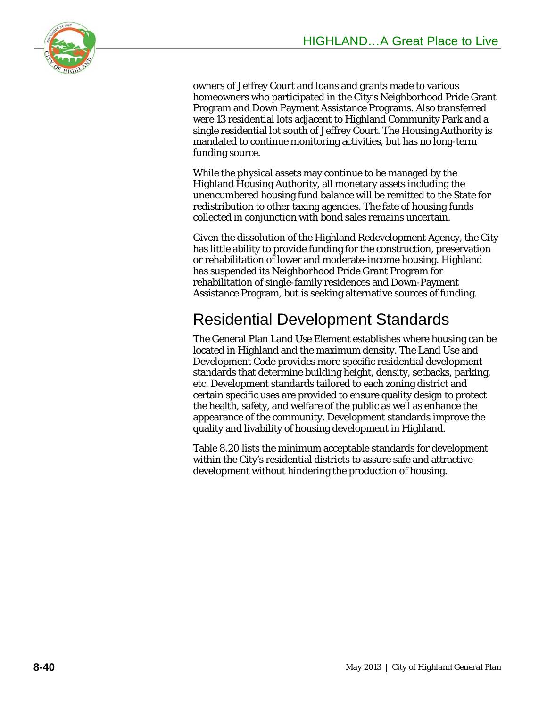

owners of Jeffrey Court and loans and grants made to various homeowners who participated in the City's Neighborhood Pride Grant Program and Down Payment Assistance Programs. Also transferred were 13 residential lots adjacent to Highland Community Park and a single residential lot south of Jeffrey Court. The Housing Authority is mandated to continue monitoring activities, but has no long-term funding source.

While the physical assets may continue to be managed by the Highland Housing Authority, all monetary assets including the unencumbered housing fund balance will be remitted to the State for redistribution to other taxing agencies. The fate of housing funds collected in conjunction with bond sales remains uncertain.

Given the dissolution of the Highland Redevelopment Agency, the City has little ability to provide funding for the construction, preservation or rehabilitation of lower and moderate-income housing. Highland has suspended its Neighborhood Pride Grant Program for rehabilitation of single-family residences and Down-Payment Assistance Program, but is seeking alternative sources of funding.

### Residential Development Standards

The General Plan Land Use Element establishes where housing can be located in Highland and the maximum density. The Land Use and Development Code provides more specific residential development standards that determine building height, density, setbacks, parking, etc. Development standards tailored to each zoning district and certain specific uses are provided to ensure quality design to protect the health, safety, and welfare of the public as well as enhance the appearance of the community. Development standards improve the quality and livability of housing development in Highland.

Table 8.20 lists the minimum acceptable standards for development within the City's residential districts to assure safe and attractive development without hindering the production of housing.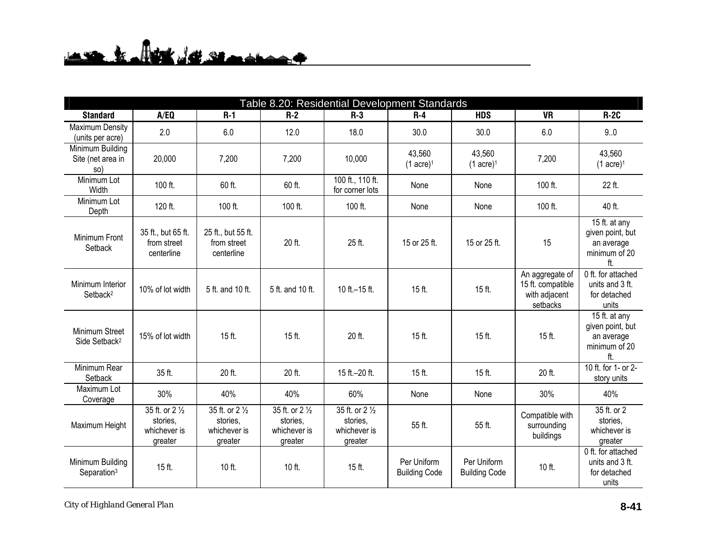|                                              |                                                        |                                                        |                                                        | Table 8.20: Residential Development Standards          |                                     |                                     |                                                                   |                                                                         |
|----------------------------------------------|--------------------------------------------------------|--------------------------------------------------------|--------------------------------------------------------|--------------------------------------------------------|-------------------------------------|-------------------------------------|-------------------------------------------------------------------|-------------------------------------------------------------------------|
| <b>Standard</b>                              | A/EQ                                                   | $R-1$                                                  | $R-2$                                                  | $R-3$                                                  | $R-4$                               | <b>HDS</b>                          | <b>VR</b>                                                         | $R-2C$                                                                  |
| <b>Maximum Density</b><br>(units per acre)   | 2.0                                                    | 6.0                                                    | 12.0                                                   | 18.0                                                   | 30.0                                | 30.0                                | 6.0                                                               | 9.0                                                                     |
| Minimum Building<br>Site (net area in<br>SO) | 20,000                                                 | 7,200                                                  | 7,200                                                  | 10,000                                                 | 43,560<br>$(1 \text{ acre})^1$      | 43,560<br>$(1$ acre) <sup>1</sup>   | 7,200                                                             | 43,560<br>$(1$ acre) <sup>1</sup>                                       |
| Minimum Lot<br>Width                         | 100 ft.                                                | 60 ft.                                                 | 60 ft.                                                 | 100 ft., 110 ft.<br>for corner lots                    | None                                | None                                | 100 ft.                                                           | 22 ft.                                                                  |
| Minimum Lot<br>Depth                         | 120 ft.                                                | 100 ft.                                                | 100 ft.                                                | 100 ft.                                                | None                                | None                                | 100 ft.                                                           | 40 ft.                                                                  |
| Minimum Front<br>Setback                     | 35 ft., but 65 ft.<br>from street<br>centerline        | 25 ft., but 55 ft.<br>from street<br>centerline        | 20 ft.                                                 | 25 ft.                                                 | 15 or 25 ft.                        | 15 or 25 ft.                        | 15                                                                | 15 ft. at any<br>given point, but<br>an average<br>minimum of 20<br>ft. |
| Minimum Interior<br>Setback <sup>2</sup>     | 10% of lot width                                       | 5 ft. and 10 ft.                                       | 5 ft. and 10 ft.                                       | 10 ft.-15 ft.                                          | 15 ft.                              | 15 ft.                              | An aggregate of<br>15 ft. compatible<br>with adjacent<br>setbacks | 0 ft. for attached<br>units and 3 ft.<br>for detached<br>units          |
| Minimum Street<br>Side Setback <sup>2</sup>  | 15% of lot width                                       | 15 ft.                                                 | 15 ft.                                                 | 20 ft.                                                 | 15 ft.                              | 15 ft.                              | 15 ft.                                                            | 15 ft. at any<br>given point, but<br>an average<br>minimum of 20<br>ft. |
| Minimum Rear<br>Setback                      | 35 ft.                                                 | 20 ft.                                                 | 20 ft.                                                 | 15 ft.-20 ft.                                          | 15 ft.                              | 15 ft.                              | 20 ft.                                                            | 10 ft. for 1- or 2-<br>story units                                      |
| Maximum Lot<br>Coverage                      | 30%                                                    | 40%                                                    | 40%                                                    | 60%                                                    | None                                | None                                | 30%                                                               | 40%                                                                     |
| Maximum Height                               | 35 ft. or 2 1/2<br>stories,<br>whichever is<br>greater | 35 ft. or 2 1/2<br>stories,<br>whichever is<br>greater | 35 ft. or 2 1/2<br>stories,<br>whichever is<br>greater | 35 ft. or 2 1/2<br>stories,<br>whichever is<br>greater | 55 ft.                              | 55 ft.                              | Compatible with<br>surrounding<br>buildings                       | 35 ft. or 2<br>stories,<br>whichever is<br>greater                      |
| Minimum Building<br>Separation <sup>3</sup>  | 15 ft.                                                 | 10 ft.                                                 | 10 ft.                                                 | 15 ft.                                                 | Per Uniform<br><b>Building Code</b> | Per Uniform<br><b>Building Code</b> | 10 ft.                                                            | 0 ft. for attached<br>units and 3 ft.<br>for detached<br>units          |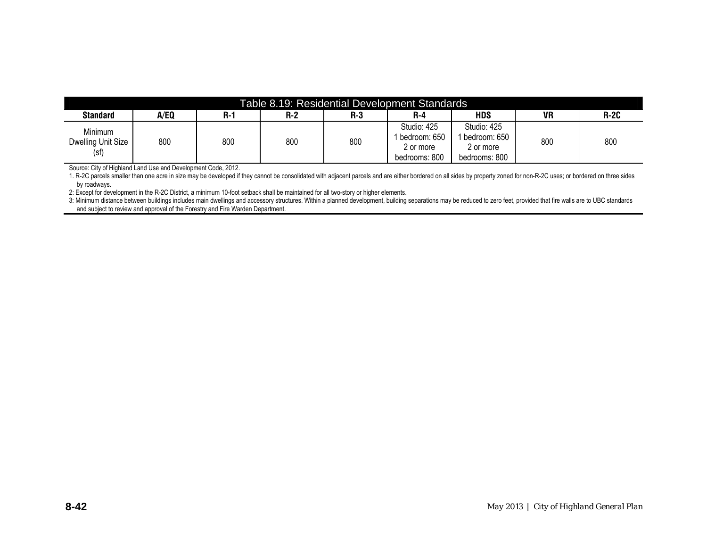| Table 8.19: Residential Development Standards |      |     |       |       |                                                           |                                                             |           |        |  |  |  |
|-----------------------------------------------|------|-----|-------|-------|-----------------------------------------------------------|-------------------------------------------------------------|-----------|--------|--|--|--|
| <b>Standard</b>                               | A/EQ | R-1 | $R-2$ | $R-3$ | $R-4$                                                     | <b>HDS</b>                                                  | <b>VR</b> | $R-2C$ |  |  |  |
| Minimum<br>Dwelling Unit Size<br>(sf)         | 800  | 800 | 800   | 800   | Studio: 425<br>bedroom: 650<br>2 or more<br>bedrooms: 800 | Studio: 425<br>1 bedroom: 650<br>2 or more<br>bedrooms: 800 | 800       | 800    |  |  |  |

Source: City of Highland Land Use and Development Code, 2012.

1. R-2C parcels smaller than one acre in size may be developed if they cannot be consolidated with adjacent parcels and are either bordered on all sides by property zoned for non-R-2C uses; or bordered on three sides by roadways.

2: Except for development in the R-2C District, a minimum 10-foot setback shall be maintained for all two-story or higher elements.

3: Minimum distance between buildings includes main dwellings and accessory structures. Within a planned development, building separations may be reduced to zero feet, provided that fire walls are to UBC standards and subject to review and approval of the Forestry and Fire Warden Department.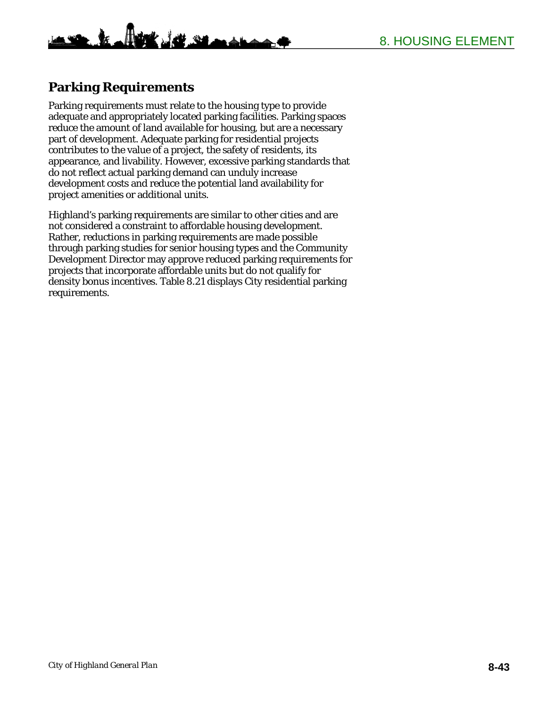

### **Parking Requirements**

Parking requirements must relate to the housing type to provide adequate and appropriately located parking facilities. Parking spaces reduce the amount of land available for housing, but are a necessary part of development. Adequate parking for residential projects contributes to the value of a project, the safety of residents, its appearance, and livability. However, excessive parking standards that do not reflect actual parking demand can unduly increase development costs and reduce the potential land availability for project amenities or additional units.

Highland's parking requirements are similar to other cities and are not considered a constraint to affordable housing development. Rather, reductions in parking requirements are made possible through parking studies for senior housing types and the Community Development Director may approve reduced parking requirements for projects that incorporate affordable units but do not qualify for density bonus incentives. Table 8.21 displays City residential parking requirements.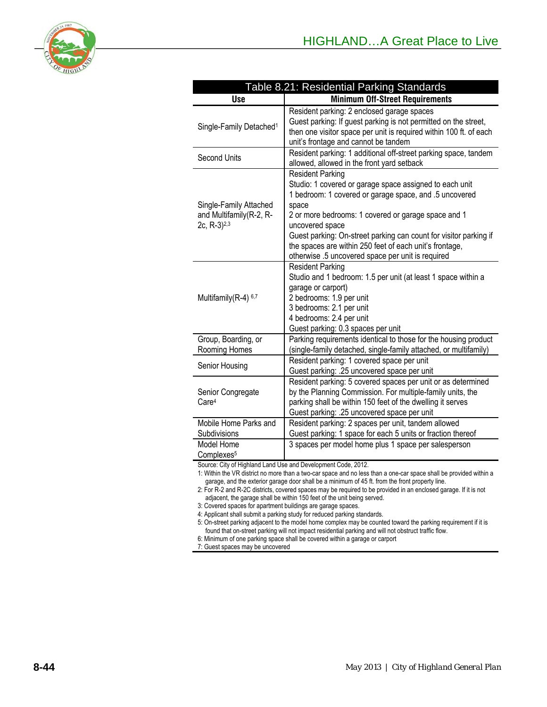

|                                                                               | Table 8.21: Residential Parking Standards                                                                                                                                                                                                                                                                                                                                                                            |
|-------------------------------------------------------------------------------|----------------------------------------------------------------------------------------------------------------------------------------------------------------------------------------------------------------------------------------------------------------------------------------------------------------------------------------------------------------------------------------------------------------------|
| <b>Use</b>                                                                    | <b>Minimum Off-Street Requirements</b>                                                                                                                                                                                                                                                                                                                                                                               |
| Single-Family Detached <sup>1</sup>                                           | Resident parking: 2 enclosed garage spaces<br>Guest parking: If guest parking is not permitted on the street,<br>then one visitor space per unit is required within 100 ft. of each<br>unit's frontage and cannot be tandem                                                                                                                                                                                          |
| Second Units                                                                  | Resident parking: 1 additional off-street parking space, tandem<br>allowed, allowed in the front yard setback                                                                                                                                                                                                                                                                                                        |
| Single-Family Attached<br>and Multifamily (R-2, R-<br>2c, R-3) <sup>2,3</sup> | <b>Resident Parking</b><br>Studio: 1 covered or garage space assigned to each unit<br>1 bedroom: 1 covered or garage space, and .5 uncovered<br>space<br>2 or more bedrooms: 1 covered or garage space and 1<br>uncovered space<br>Guest parking: On-street parking can count for visitor parking if<br>the spaces are within 250 feet of each unit's frontage,<br>otherwise .5 uncovered space per unit is required |
| Multifamily(R-4) 6,7                                                          | <b>Resident Parking</b><br>Studio and 1 bedroom: 1.5 per unit (at least 1 space within a<br>garage or carport)<br>2 bedrooms: 1.9 per unit<br>3 bedrooms: 2.1 per unit<br>4 bedrooms: 2.4 per unit<br>Guest parking: 0.3 spaces per unit                                                                                                                                                                             |
| Group, Boarding, or<br>Rooming Homes                                          | Parking requirements identical to those for the housing product<br>(single-family detached, single-family attached, or multifamily)                                                                                                                                                                                                                                                                                  |
| Senior Housing                                                                | Resident parking: 1 covered space per unit<br>Guest parking: .25 uncovered space per unit                                                                                                                                                                                                                                                                                                                            |
| Senior Congregate<br>Care <sup>4</sup>                                        | Resident parking: 5 covered spaces per unit or as determined<br>by the Planning Commission. For multiple-family units, the<br>parking shall be within 150 feet of the dwelling it serves<br>Guest parking: .25 uncovered space per unit                                                                                                                                                                              |
| Mobile Home Parks and<br>Subdivisions                                         | Resident parking: 2 spaces per unit, tandem allowed<br>Guest parking: 1 space for each 5 units or fraction thereof                                                                                                                                                                                                                                                                                                   |
| Model Home<br>Complexes <sup>5</sup>                                          | 3 spaces per model home plus 1 space per salesperson                                                                                                                                                                                                                                                                                                                                                                 |

Source: City of Highland Land Use and Development Code, 2012.

1: Within the VR district no more than a two-car space and no less than a one-car space shall be provided within a

garage, and the exterior garage door shall be a minimum of 45 ft. from the front property line. 2: For R-2 and R-2C districts, covered spaces may be required to be provided in an enclosed garage. If it is not adjacent, the garage shall be within 150 feet of the unit being served.

3: Covered spaces for apartment buildings are garage spaces.

4: Applicant shall submit a parking study for reduced parking standards.

5: On-street parking adjacent to the model home complex may be counted toward the parking requirement if it is found that on-street parking will not impact residential parking and will not obstruct traffic flow.

6: Minimum of one parking space shall be covered within a garage or carport

7: Guest spaces may be uncovered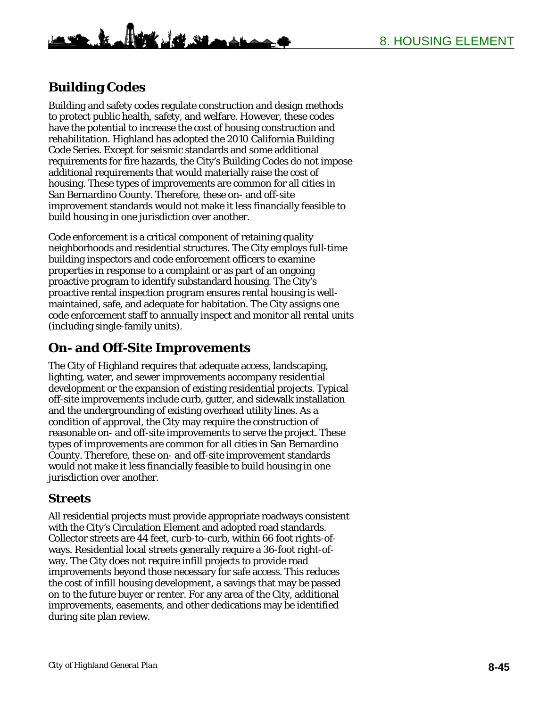

### **Building Codes**

Building and safety codes regulate construction and design methods to protect public health, safety, and welfare. However, these codes have the potential to increase the cost of housing construction and rehabilitation. Highland has adopted the 2010 California Building Code Series. Except for seismic standards and some additional requirements for fire hazards, the City's Building Codes do not impose additional requirements that would materially raise the cost of housing. These types of improvements are common for all cities in San Bernardino County. Therefore, these on- and off-site improvement standards would not make it less financially feasible to build housing in one jurisdiction over another.

Code enforcement is a critical component of retaining quality neighborhoods and residential structures. The City employs full-time building inspectors and code enforcement officers to examine properties in response to a complaint or as part of an ongoing proactive program to identify substandard housing. The City's proactive rental inspection program ensures rental housing is wellmaintained, safe, and adequate for habitation. The City assigns one code enforcement staff to annually inspect and monitor all rental units (including single-family units).

### **On- and Off-Site Improvements**

The City of Highland requires that adequate access, landscaping, lighting, water, and sewer improvements accompany residential development or the expansion of existing residential projects. Typical off-site improvements include curb, gutter, and sidewalk installation and the undergrounding of existing overhead utility lines. As a condition of approval, the City may require the construction of reasonable on- and off-site improvements to serve the project. These types of improvements are common for all cities in San Bernardino County. Therefore, these on- and off-site improvement standards would not make it less financially feasible to build housing in one jurisdiction over another.

#### *Streets*

All residential projects must provide appropriate roadways consistent with the City's Circulation Element and adopted road standards. Collector streets are 44 feet, curb-to-curb, within 66 foot rights-ofways. Residential local streets generally require a 36-foot right-ofway. The City does not require infill projects to provide road improvements beyond those necessary for safe access. This reduces the cost of infill housing development, a savings that may be passed on to the future buyer or renter. For any area of the City, additional improvements, easements, and other dedications may be identified during site plan review.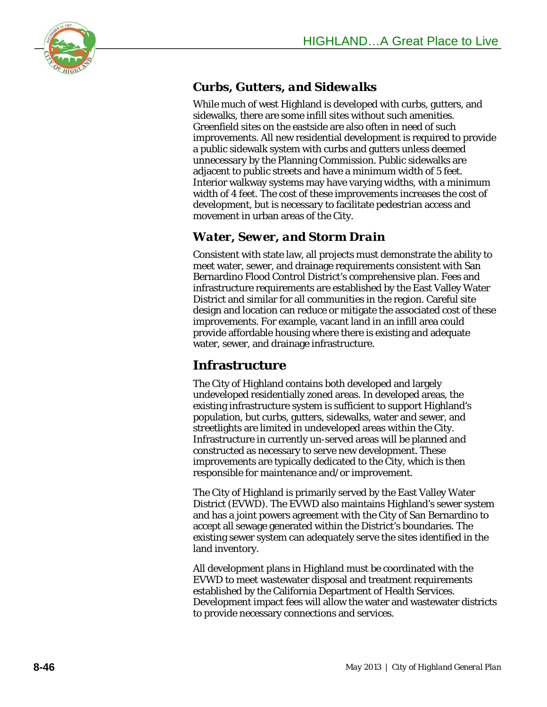

#### *Curbs, Gutters, and Sidewalks*

While much of west Highland is developed with curbs, gutters, and sidewalks, there are some infill sites without such amenities. Greenfield sites on the eastside are also often in need of such improvements. All new residential development is required to provide a public sidewalk system with curbs and gutters unless deemed unnecessary by the Planning Commission. Public sidewalks are adjacent to public streets and have a minimum width of 5 feet. Interior walkway systems may have varying widths, with a minimum width of 4 feet. The cost of these improvements increases the cost of development, but is necessary to facilitate pedestrian access and movement in urban areas of the City.

#### *Water, Sewer, and Storm Drain*

Consistent with state law, all projects must demonstrate the ability to meet water, sewer, and drainage requirements consistent with San Bernardino Flood Control District's comprehensive plan. Fees and infrastructure requirements are established by the East Valley Water District and similar for all communities in the region. Careful site design and location can reduce or mitigate the associated cost of these improvements. For example, vacant land in an infill area could provide affordable housing where there is existing and adequate water, sewer, and drainage infrastructure.

#### **Infrastructure**

The City of Highland contains both developed and largely undeveloped residentially zoned areas. In developed areas, the existing infrastructure system is sufficient to support Highland's population, but curbs, gutters, sidewalks, water and sewer, and streetlights are limited in undeveloped areas within the City. Infrastructure in currently un-served areas will be planned and constructed as necessary to serve new development. These improvements are typically dedicated to the City, which is then responsible for maintenance and/or improvement.

The City of Highland is primarily served by the East Valley Water District (EVWD). The EVWD also maintains Highland's sewer system and has a joint powers agreement with the City of San Bernardino to accept all sewage generated within the District's boundaries. The existing sewer system can adequately serve the sites identified in the land inventory.

All development plans in Highland must be coordinated with the EVWD to meet wastewater disposal and treatment requirements established by the California Department of Health Services. Development impact fees will allow the water and wastewater districts to provide necessary connections and services.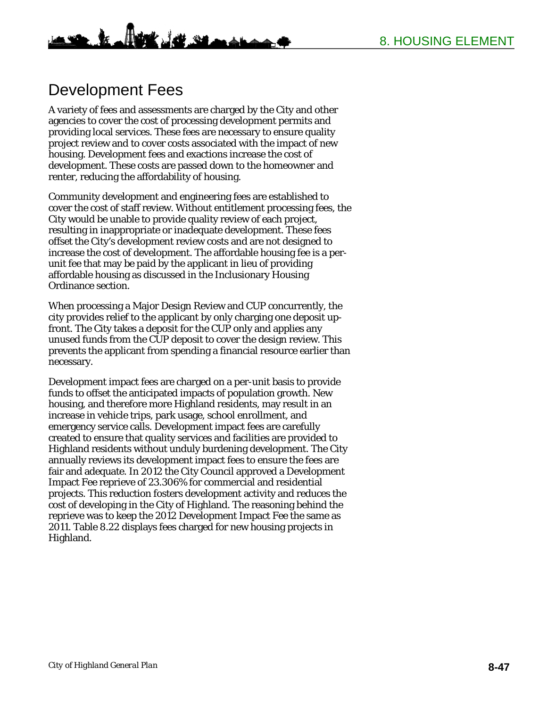### Development Fees

A variety of fees and assessments are charged by the City and other agencies to cover the cost of processing development permits and providing local services. These fees are necessary to ensure quality project review and to cover costs associated with the impact of new housing. Development fees and exactions increase the cost of development. These costs are passed down to the homeowner and renter, reducing the affordability of housing.

Community development and engineering fees are established to cover the cost of staff review. Without entitlement processing fees, the City would be unable to provide quality review of each project, resulting in inappropriate or inadequate development. These fees offset the City's development review costs and are not designed to increase the cost of development. The affordable housing fee is a perunit fee that may be paid by the applicant in lieu of providing affordable housing as discussed in the Inclusionary Housing Ordinance section.

When processing a Major Design Review and CUP concurrently, the city provides relief to the applicant by only charging one deposit upfront. The City takes a deposit for the CUP only and applies any unused funds from the CUP deposit to cover the design review. This prevents the applicant from spending a financial resource earlier than necessary.

Development impact fees are charged on a per-unit basis to provide funds to offset the anticipated impacts of population growth. New housing, and therefore more Highland residents, may result in an increase in vehicle trips, park usage, school enrollment, and emergency service calls. Development impact fees are carefully created to ensure that quality services and facilities are provided to Highland residents without unduly burdening development. The City annually reviews its development impact fees to ensure the fees are fair and adequate. In 2012 the City Council approved a Development Impact Fee reprieve of 23.306% for commercial and residential projects. This reduction fosters development activity and reduces the cost of developing in the City of Highland. The reasoning behind the reprieve was to keep the 2012 Development Impact Fee the same as 2011. Table 8.22 displays fees charged for new housing projects in Highland.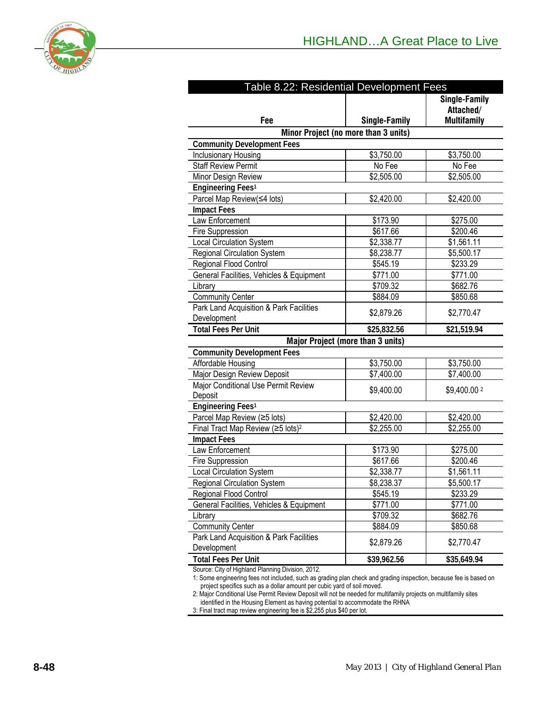

| Table 8.22: Residential Development Fees                                   |                                          |                                                         |  |  |  |  |  |
|----------------------------------------------------------------------------|------------------------------------------|---------------------------------------------------------|--|--|--|--|--|
| Fee                                                                        | <b>Single-Family</b>                     | <b>Single-Family</b><br>Attached/<br><b>Multifamily</b> |  |  |  |  |  |
|                                                                            | Minor Project (no more than 3 units)     |                                                         |  |  |  |  |  |
| <b>Community Development Fees</b>                                          |                                          |                                                         |  |  |  |  |  |
| Inclusionary Housing                                                       | \$3,750.00                               | \$3,750.00                                              |  |  |  |  |  |
| <b>Staff Review Permit</b>                                                 | No Fee                                   | No Fee                                                  |  |  |  |  |  |
| Minor Design Review                                                        | \$2,505.00                               | \$2,505.00                                              |  |  |  |  |  |
| Engineering Fees <sup>1</sup>                                              |                                          |                                                         |  |  |  |  |  |
| Parcel Map Review(≤4 lots)                                                 | \$2,420.00                               | \$2,420.00                                              |  |  |  |  |  |
| <b>Impact Fees</b>                                                         |                                          |                                                         |  |  |  |  |  |
| Law Enforcement                                                            | \$173.90                                 | \$275.00                                                |  |  |  |  |  |
| Fire Suppression                                                           | \$617.66                                 | \$200.46                                                |  |  |  |  |  |
| <b>Local Circulation System</b>                                            | \$2,338.77                               | \$1,561.11                                              |  |  |  |  |  |
| <b>Regional Circulation System</b>                                         | \$8,238.77                               | \$5,500.17                                              |  |  |  |  |  |
| Regional Flood Control                                                     | \$545.19                                 | \$233.29                                                |  |  |  |  |  |
| General Facilities, Vehicles & Equipment                                   | \$771.00                                 | \$771.00                                                |  |  |  |  |  |
| Library                                                                    | \$709.32                                 | \$682.76                                                |  |  |  |  |  |
| <b>Community Center</b>                                                    | \$884.09                                 | \$850.68                                                |  |  |  |  |  |
| Park Land Acquisition & Park Facilities<br>Development                     | \$2,879.26                               | \$2,770.47                                              |  |  |  |  |  |
| <b>Total Fees Per Unit</b>                                                 | \$25,832.56                              | \$21,519.94                                             |  |  |  |  |  |
|                                                                            | <b>Major Project (more than 3 units)</b> |                                                         |  |  |  |  |  |
| <b>Community Development Fees</b>                                          |                                          |                                                         |  |  |  |  |  |
| Affordable Housing                                                         | \$3,750.00                               | \$3,750.00                                              |  |  |  |  |  |
| Major Design Review Deposit                                                | \$7,400.00                               | \$7,400.00                                              |  |  |  |  |  |
| Major Conditional Use Permit Review                                        |                                          |                                                         |  |  |  |  |  |
| Deposit                                                                    | \$9,400.00                               | \$9,400.00 <sup>2</sup>                                 |  |  |  |  |  |
| Engineering Fees <sup>1</sup>                                              |                                          |                                                         |  |  |  |  |  |
|                                                                            |                                          |                                                         |  |  |  |  |  |
| Parcel Map Review (≥5 lots)                                                | \$2,420.00<br>\$2,255.00                 | \$2,420.00<br>\$2,255.00                                |  |  |  |  |  |
| Final Tract Map Review ( $\geq$ 5 lots) <sup>2</sup><br><b>Impact Fees</b> |                                          |                                                         |  |  |  |  |  |
| Law Enforcement                                                            |                                          |                                                         |  |  |  |  |  |
|                                                                            | \$173.90                                 | \$275.00                                                |  |  |  |  |  |
| Fire Suppression                                                           | \$617.66                                 | \$200.46                                                |  |  |  |  |  |
| <b>Local Circulation System</b>                                            | \$2,338.77                               | \$1,561.11                                              |  |  |  |  |  |
| <b>Regional Circulation System</b>                                         | \$8,238.37                               | \$5,500.17                                              |  |  |  |  |  |
| <b>Regional Flood Control</b>                                              | \$545.19                                 | \$233.29                                                |  |  |  |  |  |
| General Facilities, Vehicles & Equipment                                   | \$771.00                                 | \$771.00                                                |  |  |  |  |  |
| Library                                                                    | \$709.32                                 | \$682.76                                                |  |  |  |  |  |
| <b>Community Center</b>                                                    | \$884.09                                 | \$850.68                                                |  |  |  |  |  |
| Park Land Acquisition & Park Facilities<br>Development                     | \$2,879.26                               | \$2,770.47                                              |  |  |  |  |  |
| <b>Total Fees Per Unit</b>                                                 | \$39,962.56                              | \$35,649.94                                             |  |  |  |  |  |

Source: City of Highland Planning Division, 2012.

1: Some engineering fees not included, such as grading plan check and grading inspection, because fee is based on project specifics such as a dollar amount per cubic yard of soil moved.

2: Major Conditional Use Permit Review Deposit will not be needed for multifamily projects on multifamily sites identified in the Housing Element as having potential to accommodate the RHNA

3: Final tract map review engineering fee is \$2,255 plus \$40 per lot.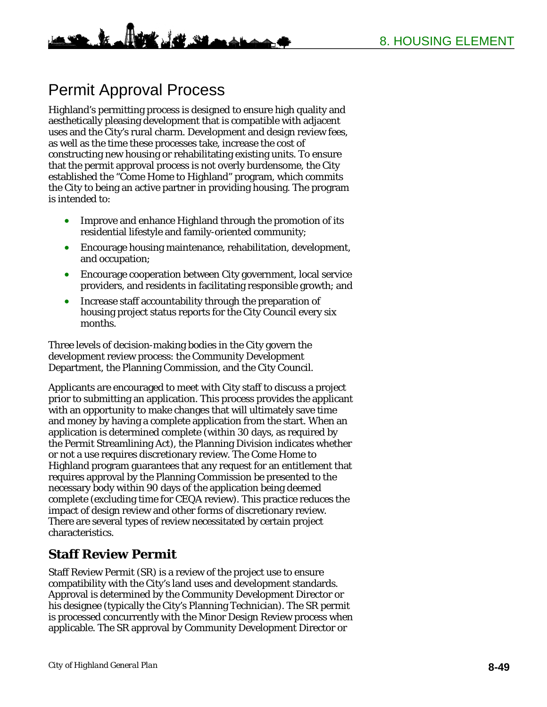8. HOUSING ELEMENT

### Permit Approval Process

Highland's permitting process is designed to ensure high quality and aesthetically pleasing development that is compatible with adjacent uses and the City's rural charm. Development and design review fees, as well as the time these processes take, increase the cost of constructing new housing or rehabilitating existing units. To ensure that the permit approval process is not overly burdensome, the City established the "Come Home to Highland" program, which commits the City to being an active partner in providing housing. The program is intended to:

- Improve and enhance Highland through the promotion of its residential lifestyle and family-oriented community;
- Encourage housing maintenance, rehabilitation, development, and occupation;
- Encourage cooperation between City government, local service providers, and residents in facilitating responsible growth; and
- Increase staff accountability through the preparation of housing project status reports for the City Council every six months.

Three levels of decision-making bodies in the City govern the development review process: the Community Development Department, the Planning Commission, and the City Council.

Applicants are encouraged to meet with City staff to discuss a project prior to submitting an application. This process provides the applicant with an opportunity to make changes that will ultimately save time and money by having a complete application from the start. When an application is determined complete (within 30 days, as required by the Permit Streamlining Act), the Planning Division indicates whether or not a use requires discretionary review. The Come Home to Highland program guarantees that any request for an entitlement that requires approval by the Planning Commission be presented to the necessary body within 90 days of the application being deemed complete (excluding time for CEQA review). This practice reduces the impact of design review and other forms of discretionary review. There are several types of review necessitated by certain project characteristics.

### **Staff Review Permit**

Staff Review Permit (SR) is a review of the project use to ensure compatibility with the City's land uses and development standards. Approval is determined by the Community Development Director or his designee (typically the City's Planning Technician). The SR permit is processed concurrently with the Minor Design Review process when applicable. The SR approval by Community Development Director or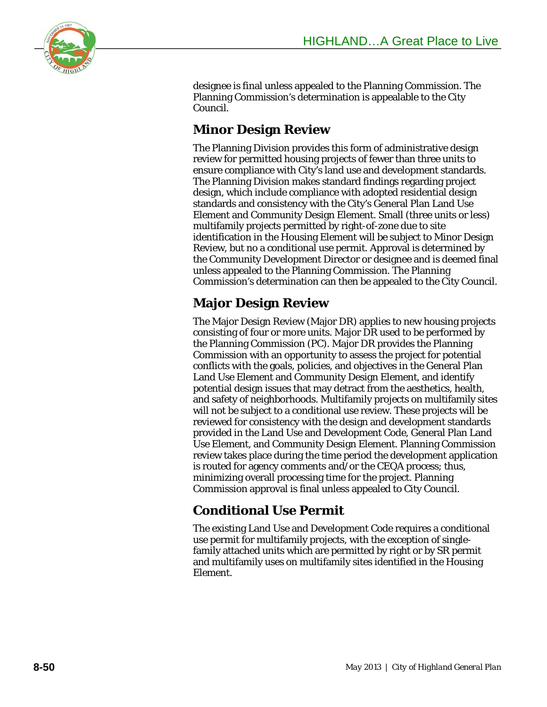

designee is final unless appealed to the Planning Commission. The Planning Commission's determination is appealable to the City Council.

### **Minor Design Review**

The Planning Division provides this form of administrative design review for permitted housing projects of fewer than three units to ensure compliance with City's land use and development standards. The Planning Division makes standard findings regarding project design, which include compliance with adopted residential design standards and consistency with the City's General Plan Land Use Element and Community Design Element. Small (three units or less) multifamily projects permitted by right-of-zone due to site identification in the Housing Element will be subject to Minor Design Review, but no a conditional use permit. Approval is determined by the Community Development Director or designee and is deemed final unless appealed to the Planning Commission. The Planning Commission's determination can then be appealed to the City Council.

### **Major Design Review**

The Major Design Review (Major DR) applies to new housing projects consisting of four or more units. Major DR used to be performed by the Planning Commission (PC). Major DR provides the Planning Commission with an opportunity to assess the project for potential conflicts with the goals, policies, and objectives in the General Plan Land Use Element and Community Design Element, and identify potential design issues that may detract from the aesthetics, health, and safety of neighborhoods. Multifamily projects on multifamily sites will not be subject to a conditional use review. These projects will be reviewed for consistency with the design and development standards provided in the Land Use and Development Code, General Plan Land Use Element, and Community Design Element. Planning Commission review takes place during the time period the development application is routed for agency comments and/or the CEQA process; thus, minimizing overall processing time for the project. Planning Commission approval is final unless appealed to City Council.

### **Conditional Use Permit**

The existing Land Use and Development Code requires a conditional use permit for multifamily projects, with the exception of singlefamily attached units which are permitted by right or by SR permit and multifamily uses on multifamily sites identified in the Housing Element.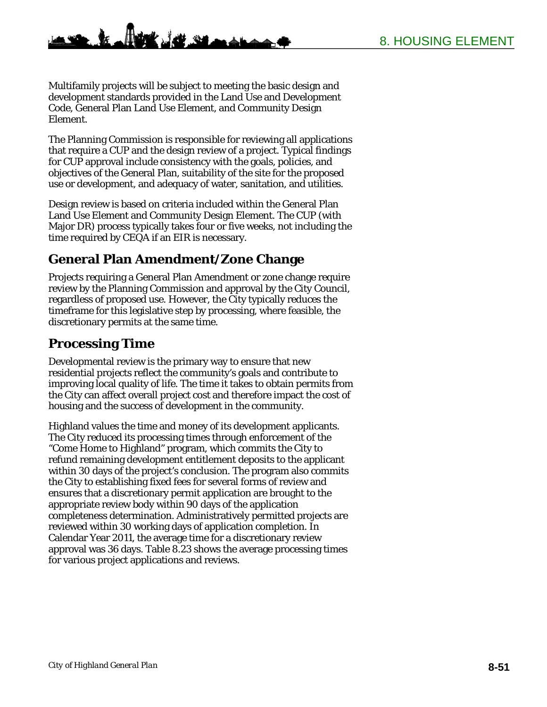Multifamily projects will be subject to meeting the basic design and development standards provided in the Land Use and Development Code, General Plan Land Use Element, and Community Design Element.

The Planning Commission is responsible for reviewing all applications that require a CUP and the design review of a project. Typical findings for CUP approval include consistency with the goals, policies, and objectives of the General Plan, suitability of the site for the proposed use or development, and adequacy of water, sanitation, and utilities.

Design review is based on criteria included within the General Plan Land Use Element and Community Design Element. The CUP (with Major DR) process typically takes four or five weeks, not including the time required by CEQA if an EIR is necessary.

### **General Plan Amendment/Zone Change**

Projects requiring a General Plan Amendment or zone change require review by the Planning Commission and approval by the City Council, regardless of proposed use. However, the City typically reduces the timeframe for this legislative step by processing, where feasible, the discretionary permits at the same time.

#### **Processing Time**

Developmental review is the primary way to ensure that new residential projects reflect the community's goals and contribute to improving local quality of life. The time it takes to obtain permits from the City can affect overall project cost and therefore impact the cost of housing and the success of development in the community.

Highland values the time and money of its development applicants. The City reduced its processing times through enforcement of the "Come Home to Highland" program, which commits the City to refund remaining development entitlement deposits to the applicant within 30 days of the project's conclusion. The program also commits the City to establishing fixed fees for several forms of review and ensures that a discretionary permit application are brought to the appropriate review body within 90 days of the application completeness determination. Administratively permitted projects are reviewed within 30 working days of application completion. In Calendar Year 2011, the average time for a discretionary review approval was 36 days. Table 8.23 shows the average processing times for various project applications and reviews.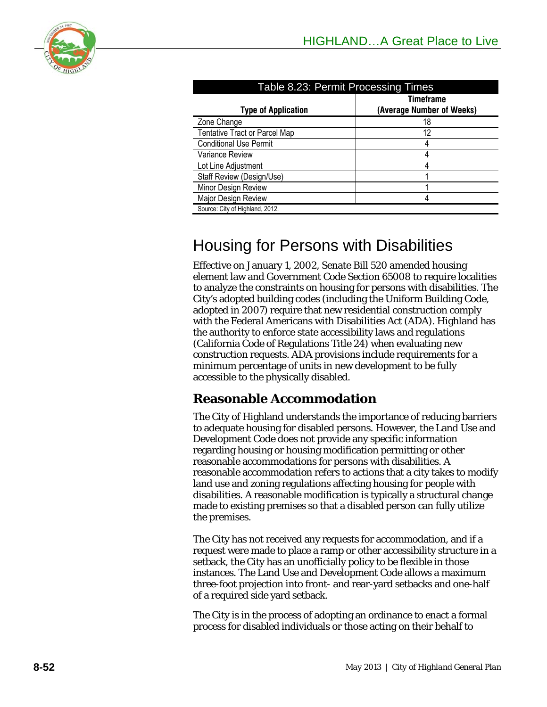

|                                      | Table 8.23: Permit Processing Times    |  |  |  |  |  |
|--------------------------------------|----------------------------------------|--|--|--|--|--|
| <b>Type of Application</b>           | Timeframe<br>(Average Number of Weeks) |  |  |  |  |  |
| Zone Change                          | 18                                     |  |  |  |  |  |
| <b>Tentative Tract or Parcel Map</b> | 12                                     |  |  |  |  |  |
| <b>Conditional Use Permit</b>        |                                        |  |  |  |  |  |
| Variance Review                      |                                        |  |  |  |  |  |
| Lot Line Adjustment                  |                                        |  |  |  |  |  |
| Staff Review (Design/Use)            |                                        |  |  |  |  |  |
| Minor Design Review                  |                                        |  |  |  |  |  |
| Major Design Review                  | 4                                      |  |  |  |  |  |
| Source: City of Highland, 2012.      |                                        |  |  |  |  |  |

### Housing for Persons with Disabilities

Effective on January 1, 2002, Senate Bill 520 amended housing element law and Government Code Section 65008 to require localities to analyze the constraints on housing for persons with disabilities. The City's adopted building codes (including the Uniform Building Code, adopted in 2007) require that new residential construction comply with the Federal Americans with Disabilities Act (ADA). Highland has the authority to enforce state accessibility laws and regulations (California Code of Regulations Title 24) when evaluating new construction requests. ADA provisions include requirements for a minimum percentage of units in new development to be fully accessible to the physically disabled.

#### **Reasonable Accommodation**

The City of Highland understands the importance of reducing barriers to adequate housing for disabled persons. However, the Land Use and Development Code does not provide any specific information regarding housing or housing modification permitting or other reasonable accommodations for persons with disabilities. A reasonable accommodation refers to actions that a city takes to modify land use and zoning regulations affecting housing for people with disabilities. A reasonable modification is typically a structural change made to existing premises so that a disabled person can fully utilize the premises.

The City has not received any requests for accommodation, and if a request were made to place a ramp or other accessibility structure in a setback, the City has an unofficially policy to be flexible in those instances. The Land Use and Development Code allows a maximum three-foot projection into front- and rear-yard setbacks and one-half of a required side yard setback.

The City is in the process of adopting an ordinance to enact a formal process for disabled individuals or those acting on their behalf to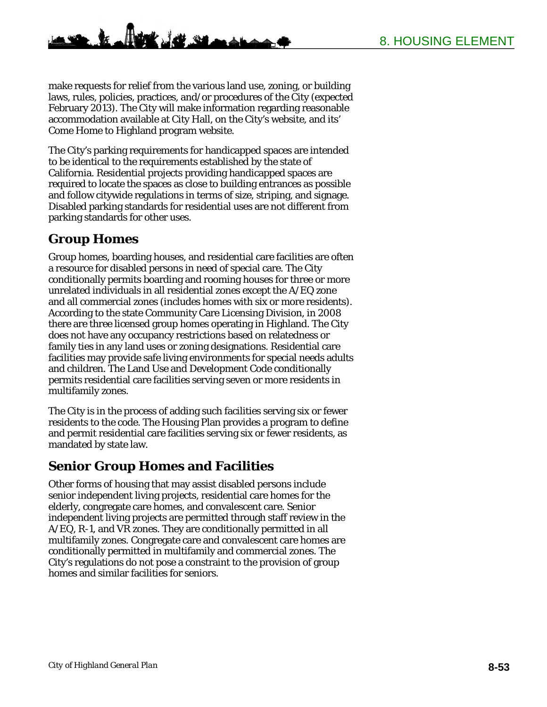make requests for relief from the various land use, zoning, or building laws, rules, policies, practices, and/or procedures of the City (expected February 2013). The City will make information regarding reasonable accommodation available at City Hall, on the City's website, and its' Come Home to Highland program website.

The City's parking requirements for handicapped spaces are intended to be identical to the requirements established by the state of California. Residential projects providing handicapped spaces are required to locate the spaces as close to building entrances as possible and follow citywide regulations in terms of size, striping, and signage. Disabled parking standards for residential uses are not different from parking standards for other uses.

#### **Group Homes**

Group homes, boarding houses, and residential care facilities are often a resource for disabled persons in need of special care. The City conditionally permits boarding and rooming houses for three or more unrelated individuals in all residential zones except the A/EQ zone and all commercial zones (includes homes with six or more residents). According to the state Community Care Licensing Division, in 2008 there are three licensed group homes operating in Highland. The City does not have any occupancy restrictions based on relatedness or family ties in any land uses or zoning designations. Residential care facilities may provide safe living environments for special needs adults and children. The Land Use and Development Code conditionally permits residential care facilities serving seven or more residents in multifamily zones.

The City is in the process of adding such facilities serving six or fewer residents to the code. The Housing Plan provides a program to define and permit residential care facilities serving six or fewer residents, as mandated by state law.

#### **Senior Group Homes and Facilities**

Other forms of housing that may assist disabled persons include senior independent living projects, residential care homes for the elderly, congregate care homes, and convalescent care. Senior independent living projects are permitted through staff review in the A/EQ, R-1, and VR zones. They are conditionally permitted in all multifamily zones. Congregate care and convalescent care homes are conditionally permitted in multifamily and commercial zones. The City's regulations do not pose a constraint to the provision of group homes and similar facilities for seniors.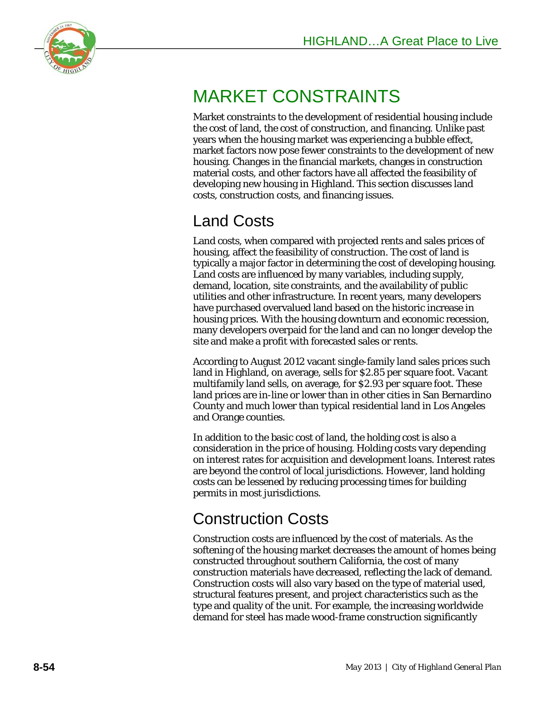

# MARKET CONSTRAINTS

Market constraints to the development of residential housing include the cost of land, the cost of construction, and financing. Unlike past years when the housing market was experiencing a bubble effect, market factors now pose fewer constraints to the development of new housing. Changes in the financial markets, changes in construction material costs, and other factors have all affected the feasibility of developing new housing in Highland. This section discusses land costs, construction costs, and financing issues.

### Land Costs

Land costs, when compared with projected rents and sales prices of housing, affect the feasibility of construction. The cost of land is typically a major factor in determining the cost of developing housing. Land costs are influenced by many variables, including supply, demand, location, site constraints, and the availability of public utilities and other infrastructure. In recent years, many developers have purchased overvalued land based on the historic increase in housing prices. With the housing downturn and economic recession, many developers overpaid for the land and can no longer develop the site and make a profit with forecasted sales or rents.

According to August 2012 vacant single-family land sales prices such land in Highland, on average, sells for \$2.85 per square foot. Vacant multifamily land sells, on average, for \$2.93 per square foot. These land prices are in-line or lower than in other cities in San Bernardino County and much lower than typical residential land in Los Angeles and Orange counties.

In addition to the basic cost of land, the holding cost is also a consideration in the price of housing. Holding costs vary depending on interest rates for acquisition and development loans. Interest rates are beyond the control of local jurisdictions. However, land holding costs can be lessened by reducing processing times for building permits in most jurisdictions.

## Construction Costs

Construction costs are influenced by the cost of materials. As the softening of the housing market decreases the amount of homes being constructed throughout southern California, the cost of many construction materials have decreased, reflecting the lack of demand. Construction costs will also vary based on the type of material used, structural features present, and project characteristics such as the type and quality of the unit. For example, the increasing worldwide demand for steel has made wood-frame construction significantly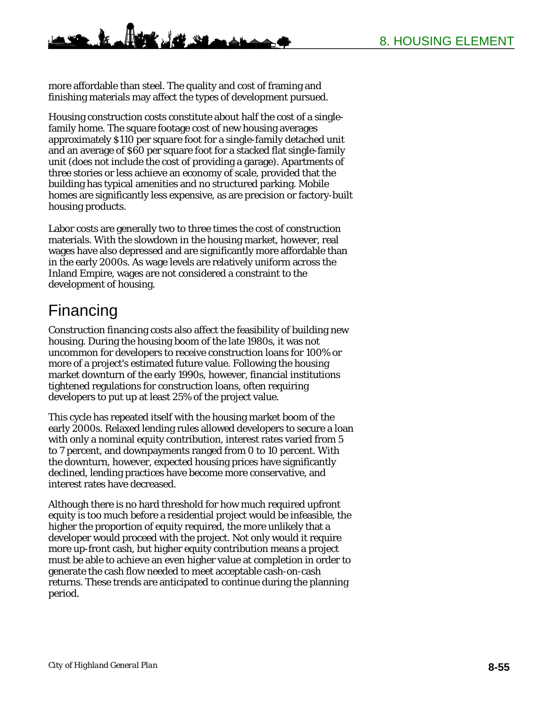more affordable than steel. The quality and cost of framing and finishing materials may affect the types of development pursued.

Housing construction costs constitute about half the cost of a singlefamily home. The square footage cost of new housing averages approximately \$110 per square foot for a single-family detached unit and an average of \$60 per square foot for a stacked flat single-family unit (does not include the cost of providing a garage). Apartments of three stories or less achieve an economy of scale, provided that the building has typical amenities and no structured parking. Mobile homes are significantly less expensive, as are precision or factory-built housing products.

Labor costs are generally two to three times the cost of construction materials. With the slowdown in the housing market, however, real wages have also depressed and are significantly more affordable than in the early 2000s. As wage levels are relatively uniform across the Inland Empire, wages are not considered a constraint to the development of housing.

### Financing

Construction financing costs also affect the feasibility of building new housing. During the housing boom of the late 1980s, it was not uncommon for developers to receive construction loans for 100% or more of a project's estimated future value. Following the housing market downturn of the early 1990s, however, financial institutions tightened regulations for construction loans, often requiring developers to put up at least 25% of the project value.

This cycle has repeated itself with the housing market boom of the early 2000s. Relaxed lending rules allowed developers to secure a loan with only a nominal equity contribution, interest rates varied from 5 to 7 percent, and downpayments ranged from 0 to 10 percent. With the downturn, however, expected housing prices have significantly declined, lending practices have become more conservative, and interest rates have decreased.

Although there is no hard threshold for how much required upfront equity is too much before a residential project would be infeasible, the higher the proportion of equity required, the more unlikely that a developer would proceed with the project. Not only would it require more up-front cash, but higher equity contribution means a project must be able to achieve an even higher value at completion in order to generate the cash flow needed to meet acceptable cash-on-cash returns. These trends are anticipated to continue during the planning period.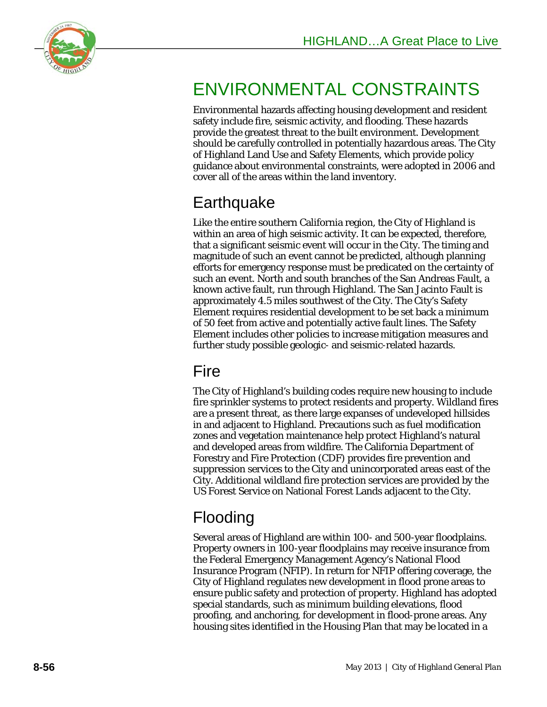

# ENVIRONMENTAL CONSTRAINTS

Environmental hazards affecting housing development and resident safety include fire, seismic activity, and flooding. These hazards provide the greatest threat to the built environment. Development should be carefully controlled in potentially hazardous areas. The City of Highland Land Use and Safety Elements, which provide policy guidance about environmental constraints, were adopted in 2006 and cover all of the areas within the land inventory.

### **Earthquake**

Like the entire southern California region, the City of Highland is within an area of high seismic activity. It can be expected, therefore, that a significant seismic event will occur in the City. The timing and magnitude of such an event cannot be predicted, although planning efforts for emergency response must be predicated on the certainty of such an event. North and south branches of the San Andreas Fault, a known active fault, run through Highland. The San Jacinto Fault is approximately 4.5 miles southwest of the City. The City's Safety Element requires residential development to be set back a minimum of 50 feet from active and potentially active fault lines. The Safety Element includes other policies to increase mitigation measures and further study possible geologic- and seismic-related hazards.

### Fire

The City of Highland's building codes require new housing to include fire sprinkler systems to protect residents and property. Wildland fires are a present threat, as there large expanses of undeveloped hillsides in and adjacent to Highland. Precautions such as fuel modification zones and vegetation maintenance help protect Highland's natural and developed areas from wildfire. The California Department of Forestry and Fire Protection (CDF) provides fire prevention and suppression services to the City and unincorporated areas east of the City. Additional wildland fire protection services are provided by the US Forest Service on National Forest Lands adjacent to the City.

## Flooding

Several areas of Highland are within 100- and 500-year floodplains. Property owners in 100-year floodplains may receive insurance from the Federal Emergency Management Agency's National Flood Insurance Program (NFIP). In return for NFIP offering coverage, the City of Highland regulates new development in flood prone areas to ensure public safety and protection of property. Highland has adopted special standards, such as minimum building elevations, flood proofing, and anchoring, for development in flood-prone areas. Any housing sites identified in the Housing Plan that may be located in a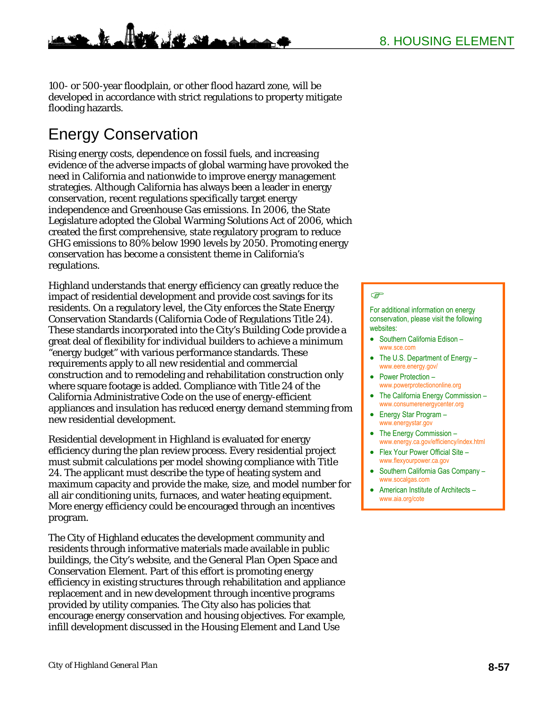100- or 500-year floodplain, or other flood hazard zone, will be developed in accordance with strict regulations to property mitigate flooding hazards.

### Energy Conservation

Rising energy costs, dependence on fossil fuels, and increasing evidence of the adverse impacts of global warming have provoked the need in California and nationwide to improve energy management strategies. Although California has always been a leader in energy conservation, recent regulations specifically target energy independence and Greenhouse Gas emissions. In 2006, the State Legislature adopted the Global Warming Solutions Act of 2006, which created the first comprehensive, state regulatory program to reduce GHG emissions to 80% below 1990 levels by 2050. Promoting energy conservation has become a consistent theme in California's regulations.

Highland understands that energy efficiency can greatly reduce the impact of residential development and provide cost savings for its residents. On a regulatory level, the City enforces the State Energy Conservation Standards (California Code of Regulations Title 24). These standards incorporated into the City's Building Code provide a great deal of flexibility for individual builders to achieve a minimum "energy budget" with various performance standards. These requirements apply to all new residential and commercial construction and to remodeling and rehabilitation construction only where square footage is added. Compliance with Title 24 of the California Administrative Code on the use of energy-efficient appliances and insulation has reduced energy demand stemming from new residential development.

Residential development in Highland is evaluated for energy efficiency during the plan review process. Every residential project must submit calculations per model showing compliance with Title 24. The applicant must describe the type of heating system and maximum capacity and provide the make, size, and model number for all air conditioning units, furnaces, and water heating equipment. More energy efficiency could be encouraged through an incentives program.

The City of Highland educates the development community and residents through informative materials made available in public buildings, the City's website, and the General Plan Open Space and Conservation Element. Part of this effort is promoting energy efficiency in existing structures through rehabilitation and appliance replacement and in new development through incentive programs provided by utility companies. The City also has policies that encourage energy conservation and housing objectives. For example, infill development discussed in the Housing Element and Land Use

#### **P**

For additional information on energy conservation, please visit the following websites:

- Southern California Edison www.sce.com
- The U.S. Department of Energy www.eere.energy.gov/
- Power Protection www.powerprotectiononline.org
- The California Energy Commission www.consumerenergycenter.org
- Energy Star Program www.energystar.gov
- The Energy Commission www.energy.ca.gov/efficiency/index.html
- Flex Your Power Official Site www.flexyourpower.ca.gov
- Southern California Gas Company www.socalgas.com
- American Institute of Architects www.aia.org/cote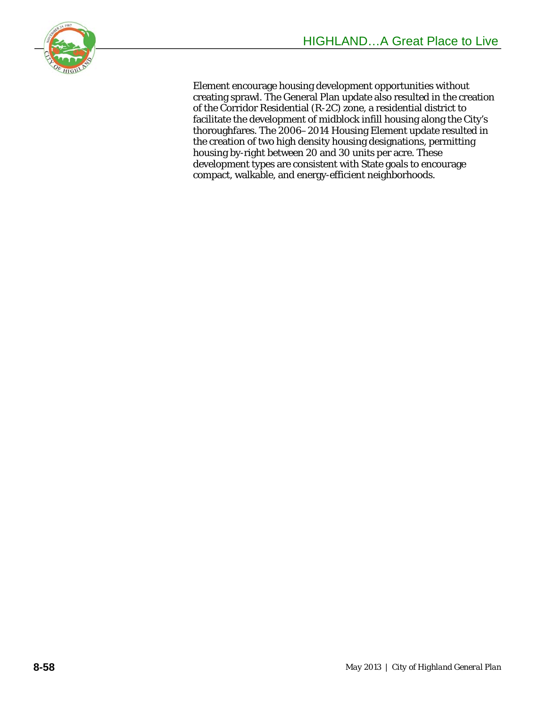

Element encourage housing development opportunities without creating sprawl. The General Plan update also resulted in the creation of the Corridor Residential (R-2C) zone, a residential district to facilitate the development of midblock infill housing along the City's thoroughfares. The 2006–2014 Housing Element update resulted in the creation of two high density housing designations, permitting housing by-right between 20 and 30 units per acre. These development types are consistent with State goals to encourage compact, walkable, and energy-efficient neighborhoods.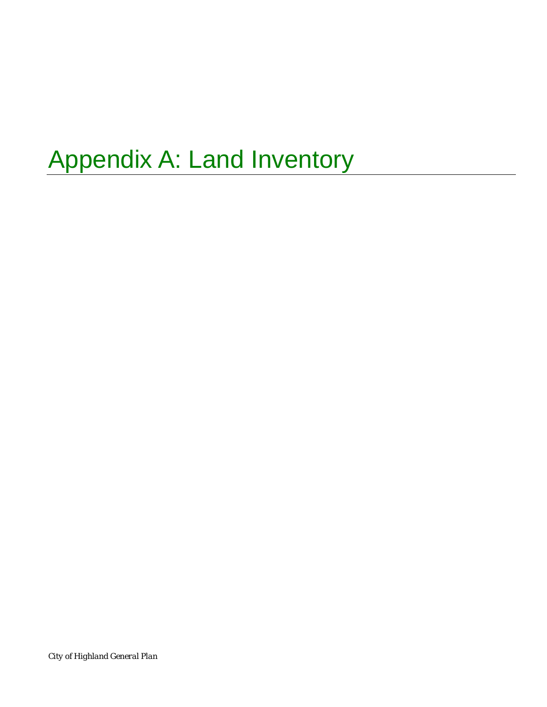Appendix A: Land Inventory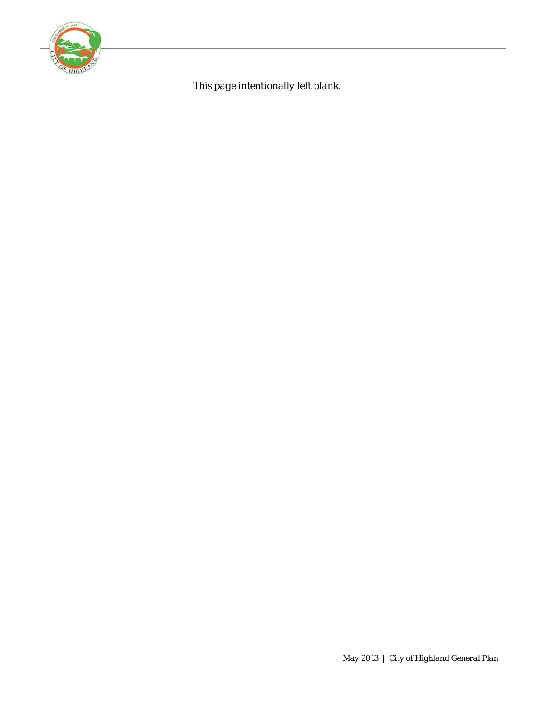

*This page intentionally left blank.*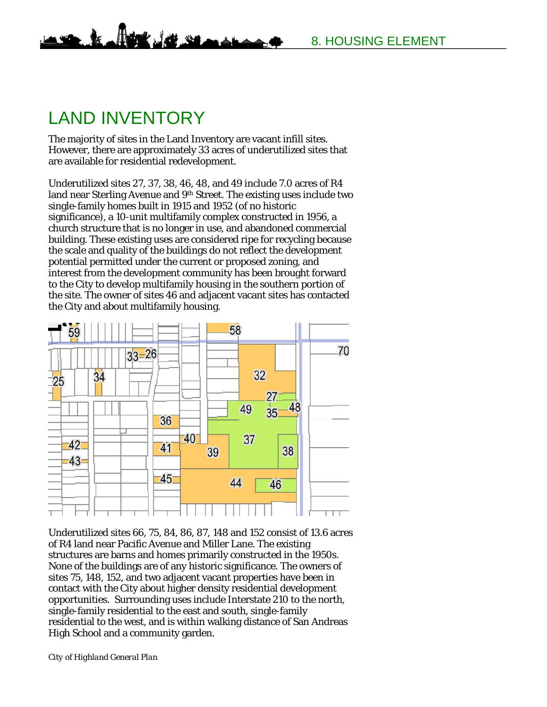## LAND INVENTORY

**The School of Seconds** 

The majority of sites in the Land Inventory are vacant infill sites. However, there are approximately 33 acres of underutilized sites that are available for residential redevelopment.

Underutilized sites 27, 37, 38, 46, 48, and 49 include 7.0 acres of R4 land near Sterling Avenue and 9<sup>th</sup> Street. The existing uses include two single-family homes built in 1915 and 1952 (of no historic significance), a 10-unit multifamily complex constructed in 1956, a church structure that is no longer in use, and abandoned commercial building. These existing uses are considered ripe for recycling because the scale and quality of the buildings do not reflect the development potential permitted under the current or proposed zoning, and interest from the development community has been brought forward to the City to develop multifamily housing in the southern portion of the site. The owner of sites 46 and adjacent vacant sites has contacted the City and about multifamily housing.



Underutilized sites 66, 75, 84, 86, 87, 148 and 152 consist of 13.6 acres of R4 land near Pacific Avenue and Miller Lane. The existing structures are barns and homes primarily constructed in the 1950s. None of the buildings are of any historic significance. The owners of sites 75, 148, 152, and two adjacent vacant properties have been in contact with the City about higher density residential development opportunities. Surrounding uses include Interstate 210 to the north, single-family residential to the east and south, single-family residential to the west, and is within walking distance of San Andreas High School and a community garden.

*City of Highland General Plan*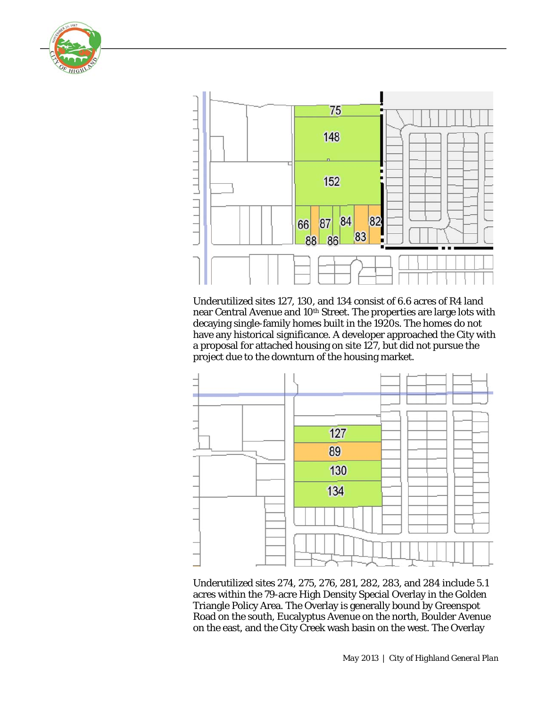



Underutilized sites 127, 130, and 134 consist of 6.6 acres of R4 land near Central Avenue and 10<sup>th</sup> Street. The properties are large lots with decaying single-family homes built in the 1920s. The homes do not have any historical significance. A developer approached the City with a proposal for attached housing on site 127, but did not pursue the project due to the downturn of the housing market.



Underutilized sites 274, 275, 276, 281, 282, 283, and 284 include 5.1 acres within the 79-acre High Density Special Overlay in the Golden Triangle Policy Area. The Overlay is generally bound by Greenspot Road on the south, Eucalyptus Avenue on the north, Boulder Avenue on the east, and the City Creek wash basin on the west. The Overlay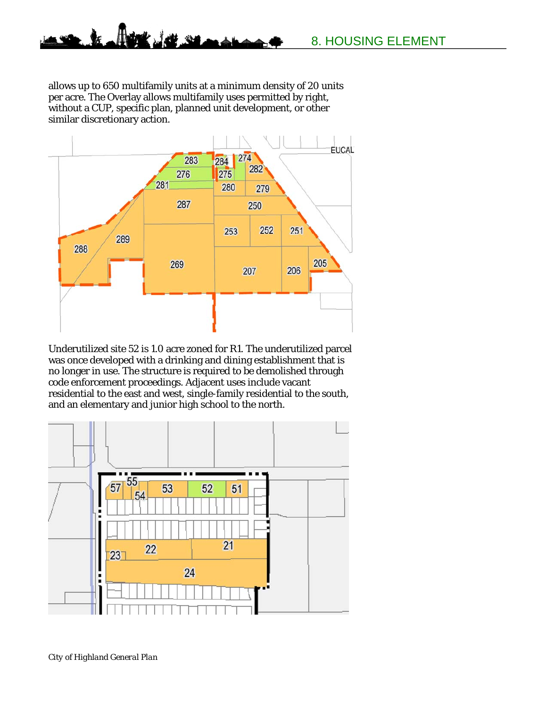allows up to 650 multifamily units at a minimum density of 20 units per acre. The Overlay allows multifamily uses permitted by right, without a CUP, specific plan, planned unit development, or other similar discretionary action.

Jan 34



Underutilized site 52 is 1.0 acre zoned for R1. The underutilized parcel was once developed with a drinking and dining establishment that is no longer in use. The structure is required to be demolished through code enforcement proceedings. Adjacent uses include vacant residential to the east and west, single-family residential to the south, and an elementary and junior high school to the north.

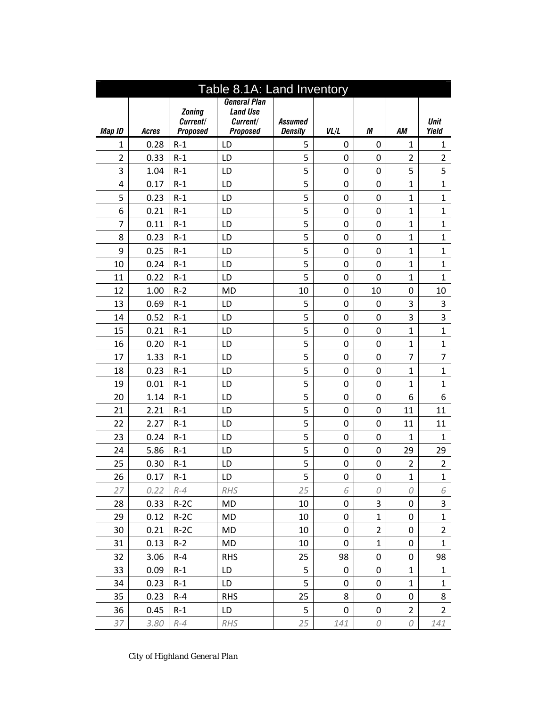| Table 8.1A: Land Inventory |       |                           |                             |                |             |                |                |                |  |  |
|----------------------------|-------|---------------------------|-----------------------------|----------------|-------------|----------------|----------------|----------------|--|--|
|                            |       |                           | <b>General Plan</b>         |                |             |                |                |                |  |  |
|                            |       | <b>Zoning</b><br>Current/ | <b>Land Use</b><br>Current/ | <b>Assumed</b> |             |                |                | Unit           |  |  |
| Map ID                     | Acres | <b>Proposed</b>           | <b>Proposed</b>             | <b>Density</b> | VL/L        | М              | AМ             | Yield          |  |  |
| $\mathbf{1}$               | 0.28  | $R-1$                     | LD                          | 5              | 0           | 0              | 1              | 1              |  |  |
| $\overline{2}$             | 0.33  | $R-1$                     | LD                          | 5              | 0           | 0              | $\overline{2}$ | $\overline{2}$ |  |  |
| 3                          | 1.04  | $R-1$                     | LD                          | 5              | 0           | 0              | 5              | 5              |  |  |
| 4                          | 0.17  | $R-1$                     | LD                          | 5              | 0           | 0              | $\mathbf{1}$   | $\mathbf{1}$   |  |  |
| 5                          | 0.23  | $R-1$                     | LD                          | 5              | 0           | 0              | $\mathbf{1}$   | $\mathbf{1}$   |  |  |
| 6                          | 0.21  | $R-1$                     | LD                          | 5              | $\mathbf 0$ | 0              | $\mathbf{1}$   | $\mathbf{1}$   |  |  |
| 7                          | 0.11  | $R-1$                     | LD                          | 5              | 0           | 0              | $\mathbf{1}$   | $\mathbf{1}$   |  |  |
| 8                          | 0.23  | $R-1$                     | LD                          | 5              | 0           | 0              | $\mathbf{1}$   | $\mathbf 1$    |  |  |
| 9                          | 0.25  | $R-1$                     | LD                          | 5              | 0           | 0              | 1              | $\mathbf 1$    |  |  |
| 10                         | 0.24  | $R-1$                     | LD                          | 5              | 0           | 0              | $\mathbf{1}$   | $\mathbf{1}$   |  |  |
| 11                         | 0.22  | $R-1$                     | LD                          | 5              | $\mathbf 0$ | 0              | $\mathbf{1}$   | $\mathbf{1}$   |  |  |
| 12                         | 1.00  | $R-2$                     | <b>MD</b>                   | 10             | $\mathbf 0$ | 10             | 0              | 10             |  |  |
| 13                         | 0.69  | $R-1$                     | LD                          | 5              | 0           | 0              | 3              | 3              |  |  |
| 14                         | 0.52  | $R-1$                     | LD                          | 5              | 0           | 0              | 3              | 3              |  |  |
| 15                         | 0.21  | $R-1$                     | LD                          | 5              | 0           | 0              | $\mathbf{1}$   | $\mathbf{1}$   |  |  |
| 16                         | 0.20  | $R-1$                     | LD                          | 5              | 0           | 0              | $\mathbf{1}$   | $\mathbf{1}$   |  |  |
| 17                         | 1.33  | $R-1$                     | LD                          | 5              | 0           | 0              | $\overline{7}$ | $\overline{7}$ |  |  |
| 18                         | 0.23  | $R-1$                     | LD                          | 5              | 0           | 0              | $\mathbf{1}$   | $\mathbf{1}$   |  |  |
| 19                         | 0.01  | $R-1$                     | LD                          | 5              | 0           | 0              | $\mathbf{1}$   | $\mathbf{1}$   |  |  |
| 20                         | 1.14  | $R-1$                     | LD                          | 5              | 0           | 0              | 6              | 6              |  |  |
| 21                         | 2.21  | $R-1$                     | LD                          | 5              | $\mathbf 0$ | 0              | 11             | 11             |  |  |
| 22                         | 2.27  | $R-1$                     | LD                          | 5              | 0           | 0              | 11             | 11             |  |  |
| 23                         | 0.24  | $R-1$                     | LD                          | 5              | 0           | 0              | $\mathbf{1}$   | $\mathbf{1}$   |  |  |
| 24                         | 5.86  | $R-1$                     | LD                          | 5              | 0           | 0              | 29             | 29             |  |  |
| 25                         | 0.30  | $R-1$                     | LD                          | 5              | 0           | 0              | $\overline{2}$ | $\overline{2}$ |  |  |
| 26                         | 0.17  | $R-1$                     | LD                          | 5              | 0           | 0              | $\mathbf{1}$   | $\mathbf{1}$   |  |  |
| 27                         | 0.22  | $R-4$                     | <b>RHS</b>                  | 25             | 6           | 0              | 0              | 6              |  |  |
| 28                         | 0.33  | $R-2C$                    | MD                          | 10             | 0           | 3              | 0              | 3              |  |  |
| 29                         | 0.12  | $R-2C$                    | MD                          | 10             | 0           | $\mathbf{1}$   | 0              | $\mathbf{1}$   |  |  |
| 30                         | 0.21  | $R-2C$                    | MD                          | 10             | 0           | $\overline{c}$ | 0              | $\overline{2}$ |  |  |
| 31                         | 0.13  | $R-2$                     | MD                          | 10             | 0           | $\mathbf{1}$   | 0              | $\mathbf{1}$   |  |  |
| 32                         | 3.06  | $R - 4$                   | <b>RHS</b>                  | 25             | 98          | 0              | 0              | 98             |  |  |
| 33                         | 0.09  | $R-1$                     | LD                          | 5              | 0           | 0              | $\mathbf{1}$   | $\mathbf{1}$   |  |  |
| 34                         | 0.23  | $R-1$                     | LD                          | 5              | 0           | 0              | $\mathbf 1$    | $\mathbf{1}$   |  |  |
| 35                         | 0.23  | $R - 4$                   | <b>RHS</b>                  | 25             | 8           | 0              | 0              | 8              |  |  |
| 36                         | 0.45  | $R-1$                     | LD                          | 5              | 0           | 0              | $\overline{2}$ | $\overline{2}$ |  |  |
| 37                         | 3.80  | $R - 4$                   | <b>RHS</b>                  | 25             | 141         | 0              | 0              | 141            |  |  |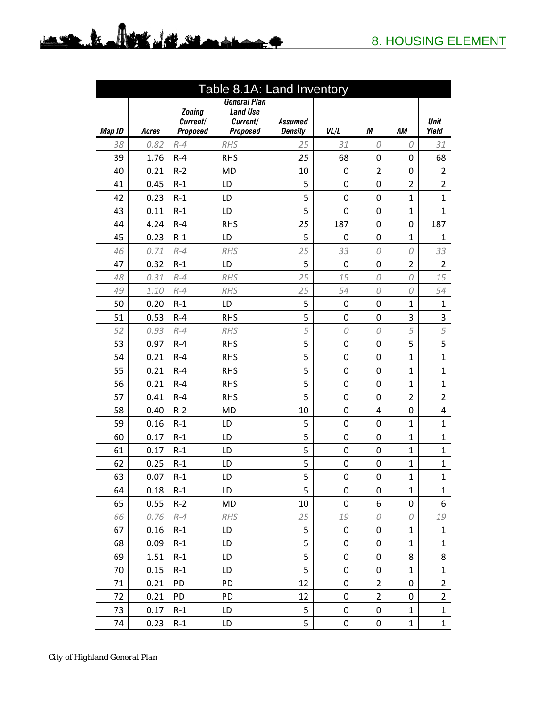|        | Table 8.1A: Land Inventory |                                              |                                                                       |                                  |      |                |                |                |  |  |  |  |
|--------|----------------------------|----------------------------------------------|-----------------------------------------------------------------------|----------------------------------|------|----------------|----------------|----------------|--|--|--|--|
| Map ID | Acres                      | <b>Zoning</b><br>Current/<br><b>Proposed</b> | <b>General Plan</b><br><b>Land Use</b><br>Current/<br><b>Proposed</b> | <b>Assumed</b><br><b>Density</b> | VL/L | М              | AM             | Unit<br>Yield  |  |  |  |  |
| 38     | 0.82                       | $R - 4$                                      | <b>RHS</b>                                                            | 25                               | 31   | 0              | 0              | 31             |  |  |  |  |
| 39     | 1.76                       | $R-4$                                        | <b>RHS</b>                                                            | 25                               | 68   | 0              | 0              | 68             |  |  |  |  |
| 40     | 0.21                       | $R-2$                                        | <b>MD</b>                                                             | 10                               | 0    | $\overline{2}$ | 0              | 2              |  |  |  |  |
| 41     | 0.45                       | $R-1$                                        | LD                                                                    | 5                                | 0    | 0              | $\overline{2}$ | $\overline{2}$ |  |  |  |  |
| 42     | 0.23                       | $R-1$                                        | LD                                                                    | 5                                | 0    | 0              | 1              | $\mathbf{1}$   |  |  |  |  |
| 43     | 0.11                       | $R-1$                                        | LD                                                                    | 5                                | 0    | 0              | $\mathbf{1}$   | $\mathbf{1}$   |  |  |  |  |
| 44     | 4.24                       | $R - 4$                                      | <b>RHS</b>                                                            | 25                               | 187  | 0              | 0              | 187            |  |  |  |  |
| 45     | 0.23                       | $R-1$                                        | LD                                                                    | 5                                | 0    | 0              | $\mathbf{1}$   | $\mathbf{1}$   |  |  |  |  |
| 46     | 0.71                       | $R - 4$                                      | <b>RHS</b>                                                            | 25                               | 33   | 0              | 0              | 33             |  |  |  |  |
| 47     | 0.32                       | $R-1$                                        | LD                                                                    | 5                                | 0    | 0              | $\overline{2}$ | $\overline{2}$ |  |  |  |  |
| 48     | 0.31                       | $R - 4$                                      | <b>RHS</b>                                                            | 25                               | 15   | 0              | 0              | 15             |  |  |  |  |
| 49     | 1.10                       | $R - 4$                                      | <b>RHS</b>                                                            | 25                               | 54   | 0              | 0              | 54             |  |  |  |  |
| 50     | 0.20                       | $R-1$                                        | LD                                                                    | 5                                | 0    | 0              | 1              | $\mathbf{1}$   |  |  |  |  |
| 51     | 0.53                       | $R - 4$                                      | <b>RHS</b>                                                            | 5                                | 0    | 0              | 3              | 3              |  |  |  |  |
| 52     | 0.93                       | $R - 4$                                      | <b>RHS</b>                                                            | 5                                | 0    | 0              | 5              | 5              |  |  |  |  |
| 53     | 0.97                       | $R - 4$                                      | <b>RHS</b>                                                            | 5                                | 0    | 0              | 5              | 5              |  |  |  |  |
| 54     | 0.21                       | $R - 4$                                      | <b>RHS</b>                                                            | 5                                | 0    | 0              | $\mathbf{1}$   | $\mathbf{1}$   |  |  |  |  |
| 55     | 0.21                       | $R - 4$                                      | <b>RHS</b>                                                            | 5                                | 0    | 0              | $\mathbf{1}$   | $\mathbf{1}$   |  |  |  |  |
| 56     | 0.21                       | $R - 4$                                      | <b>RHS</b>                                                            | 5                                | 0    | 0              | $\mathbf{1}$   | $\mathbf{1}$   |  |  |  |  |
| 57     | 0.41                       | $R - 4$                                      | <b>RHS</b>                                                            | 5                                | 0    | 0              | $\overline{2}$ | $\overline{2}$ |  |  |  |  |
| 58     | 0.40                       | $R-2$                                        | <b>MD</b>                                                             | 10                               | 0    | 4              | 0              | 4              |  |  |  |  |
| 59     | 0.16                       | $R-1$                                        | LD                                                                    | 5                                | 0    | 0              | $\mathbf{1}$   | $\mathbf{1}$   |  |  |  |  |
| 60     | 0.17                       | $R-1$                                        | LD                                                                    | 5                                | 0    | 0              | $\mathbf{1}$   | $\mathbf{1}$   |  |  |  |  |
| 61     | 0.17                       | $R-1$                                        | LD                                                                    | 5                                | 0    | 0              | 1              | $\mathbf{1}$   |  |  |  |  |
| 62     | 0.25                       | $R-1$                                        | LD                                                                    | 5                                | 0    | 0              | $\mathbf{1}$   | $\mathbf{1}$   |  |  |  |  |
| 63     | 0.07                       | $R-1$                                        | LD                                                                    | 5                                | 0    | 0              | $\mathbf 1$    | $\mathbf 1$    |  |  |  |  |
| 64     | 0.18                       | $R-1$                                        | LD                                                                    | 5                                | 0    | 0              | $\mathbf{1}$   | $\mathbf{1}$   |  |  |  |  |
| 65     | 0.55                       | $R-2$                                        | MD                                                                    | 10                               | 0    | 6              | 0              | 6              |  |  |  |  |
| 66     | 0.76                       | $R - 4$                                      | <b>RHS</b>                                                            | 25                               | 19   | 0              | 0              | 19             |  |  |  |  |
| 67     | 0.16                       | $R-1$                                        | LD                                                                    | 5                                | 0    | 0              | $\mathbf 1$    | $\mathbf{1}$   |  |  |  |  |
| 68     | 0.09                       | $R-1$                                        | LD                                                                    | 5                                | 0    | 0              | $\mathbf{1}$   | $\mathbf 1$    |  |  |  |  |
| 69     | 1.51                       | $R-1$                                        | LD                                                                    | 5                                | 0    | 0              | 8              | 8              |  |  |  |  |
| 70     | 0.15                       | $R-1$                                        | LD                                                                    | 5                                | 0    | 0              | $\mathbf{1}$   | $\mathbf 1$    |  |  |  |  |
| 71     | 0.21                       | PD                                           | PD                                                                    | 12                               | 0    | $\overline{2}$ | 0              | $\overline{2}$ |  |  |  |  |
| 72     | 0.21                       | PD                                           | PD                                                                    | 12                               | 0    | $\overline{2}$ | 0              | $\overline{2}$ |  |  |  |  |
| 73     | 0.17                       | $R-1$                                        | LD                                                                    | 5                                | 0    | 0              | 1              | $\mathbf{1}$   |  |  |  |  |
| 74     | 0.23                       | $R-1$                                        | LD                                                                    | 5                                | 0    | 0              | $\mathbf 1$    | $\mathbf{1}$   |  |  |  |  |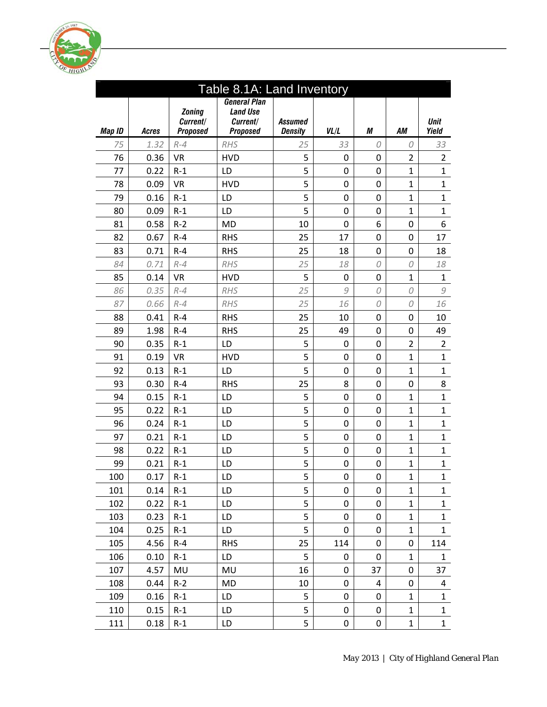

|        | Table 8.1A: Land Inventory |                           |                             |                |      |    |                |                |  |  |  |  |
|--------|----------------------------|---------------------------|-----------------------------|----------------|------|----|----------------|----------------|--|--|--|--|
|        |                            |                           | <b>General Plan</b>         |                |      |    |                |                |  |  |  |  |
|        |                            | <b>Zoning</b><br>Current/ | <b>Land Use</b><br>Current/ | <b>Assumed</b> |      |    |                | <b>Unit</b>    |  |  |  |  |
| Map ID | Acres                      | <b>Proposed</b>           | <b>Proposed</b>             | <b>Density</b> | VL/L | М  | AМ             | Yield          |  |  |  |  |
| 75     | 1.32                       | $R - 4$                   | <b>RHS</b>                  | 25             | 33   | 0  | 0              | 33             |  |  |  |  |
| 76     | 0.36                       | <b>VR</b>                 | <b>HVD</b>                  | 5              | 0    | 0  | $\overline{2}$ | $\overline{2}$ |  |  |  |  |
| 77     | 0.22                       | $R-1$                     | LD                          | 5              | 0    | 0  | $\mathbf{1}$   | $\mathbf{1}$   |  |  |  |  |
| 78     | 0.09                       | VR                        | <b>HVD</b>                  | 5              | 0    | 0  | $\mathbf{1}$   | $\mathbf{1}$   |  |  |  |  |
| 79     | 0.16                       | $R-1$                     | LD                          | 5              | 0    | 0  | 1              | $\mathbf{1}$   |  |  |  |  |
| 80     | 0.09                       | $R-1$                     | LD                          | 5              | 0    | 0  | $\mathbf{1}$   | $\mathbf{1}$   |  |  |  |  |
| 81     | 0.58                       | $R-2$                     | MD                          | 10             | 0    | 6  | 0              | 6              |  |  |  |  |
| 82     | 0.67                       | $R - 4$                   | <b>RHS</b>                  | 25             | 17   | 0  | 0              | 17             |  |  |  |  |
| 83     | 0.71                       | $R - 4$                   | <b>RHS</b>                  | 25             | 18   | 0  | 0              | 18             |  |  |  |  |
| 84     | 0.71                       | $R - 4$                   | <b>RHS</b>                  | 25             | 18   | 0  | 0              | 18             |  |  |  |  |
| 85     | 0.14                       | <b>VR</b>                 | <b>HVD</b>                  | 5              | 0    | 0  | $\mathbf{1}$   | $\mathbf{1}$   |  |  |  |  |
| 86     | 0.35                       | $R - 4$                   | <b>RHS</b>                  | 25             | 9    | 0  | 0              | 9              |  |  |  |  |
| 87     | 0.66                       | $R - 4$                   | <b>RHS</b>                  | 25             | 16   | 0  | 0              | 16             |  |  |  |  |
| 88     | 0.41                       | $R - 4$                   | <b>RHS</b>                  | 25             | 10   | 0  | 0              | 10             |  |  |  |  |
| 89     | 1.98                       | $R - 4$                   | <b>RHS</b>                  | 25             | 49   | 0  | 0              | 49             |  |  |  |  |
| 90     | 0.35                       | $R-1$                     | LD                          | 5              | 0    | 0  | $\overline{2}$ | $\overline{2}$ |  |  |  |  |
| 91     | 0.19                       | VR                        | <b>HVD</b>                  | 5              | 0    | 0  | $\mathbf{1}$   | $\mathbf{1}$   |  |  |  |  |
| 92     | 0.13                       | $R-1$                     | LD                          | 5              | 0    | 0  | $\mathbf{1}$   | $\mathbf{1}$   |  |  |  |  |
| 93     | 0.30                       | $R - 4$                   | <b>RHS</b>                  | 25             | 8    | 0  | 0              | 8              |  |  |  |  |
| 94     | 0.15                       | $R-1$                     | LD                          | 5              | 0    | 0  | $\mathbf{1}$   | $\mathbf{1}$   |  |  |  |  |
| 95     | 0.22                       | $R-1$                     | LD                          | 5              | 0    | 0  | $\mathbf{1}$   | $\mathbf{1}$   |  |  |  |  |
| 96     | 0.24                       | $R-1$                     | LD                          | 5              | 0    | 0  | $\mathbf{1}$   | $\mathbf{1}$   |  |  |  |  |
| 97     | 0.21                       | $R-1$                     | LD                          | 5              | 0    | 0  | $\mathbf{1}$   | $\mathbf{1}$   |  |  |  |  |
| 98     | 0.22                       | $R-1$                     | LD                          | 5              | 0    | 0  | $\mathbf{1}$   | $\mathbf{1}$   |  |  |  |  |
| 99     | 0.21                       | $R-1$                     | LD                          | 5              | 0    | 0  | $\mathbf{1}$   | $\mathbf{1}$   |  |  |  |  |
| 100    | 0.17                       | $R-1$                     | LD                          | 5              | 0    | 0  | $\mathbf{1}$   | $\mathbf{1}$   |  |  |  |  |
| 101    | 0.14                       | $R-1$                     | LD                          | 5              | 0    | 0  | $\mathbf{1}$   | $\mathbf{1}$   |  |  |  |  |
| 102    | 0.22                       | $R-1$                     | LD                          | 5              | 0    | 0  | $\mathbf{1}$   | $\mathbf{1}$   |  |  |  |  |
| 103    | 0.23                       | $R-1$                     | LD                          | 5              | 0    | 0  | $\mathbf{1}$   | $\mathbf{1}$   |  |  |  |  |
| 104    | 0.25                       | $R-1$                     | LD                          | 5              | 0    | 0  | $\mathbf{1}$   | $\mathbf{1}$   |  |  |  |  |
| 105    | 4.56                       | $R - 4$                   | <b>RHS</b>                  | 25             | 114  | 0  | 0              | 114            |  |  |  |  |
| 106    | 0.10                       | $R-1$                     | LD                          | 5              | 0    | 0  | $\mathbf{1}$   | $\mathbf{1}$   |  |  |  |  |
| 107    | 4.57                       | MU                        | MU                          | 16             | 0    | 37 | 0              | 37             |  |  |  |  |
| 108    | 0.44                       | $R-2$                     | MD                          | 10             | 0    | 4  | 0              | 4              |  |  |  |  |
| 109    | 0.16                       | $R-1$                     | LD                          | 5              | 0    | 0  | $\mathbf{1}$   | $\mathbf 1$    |  |  |  |  |
| 110    | 0.15                       | $R-1$                     | LD                          | 5              | 0    | 0  | $\mathbf{1}$   | $\mathbf{1}$   |  |  |  |  |
| 111    | 0.18                       | $R-1$                     | LD                          | 5              | 0    | 0  | $\mathbf{1}$   | $\mathbf{1}$   |  |  |  |  |

*May 2013 | City of Highland General Plan*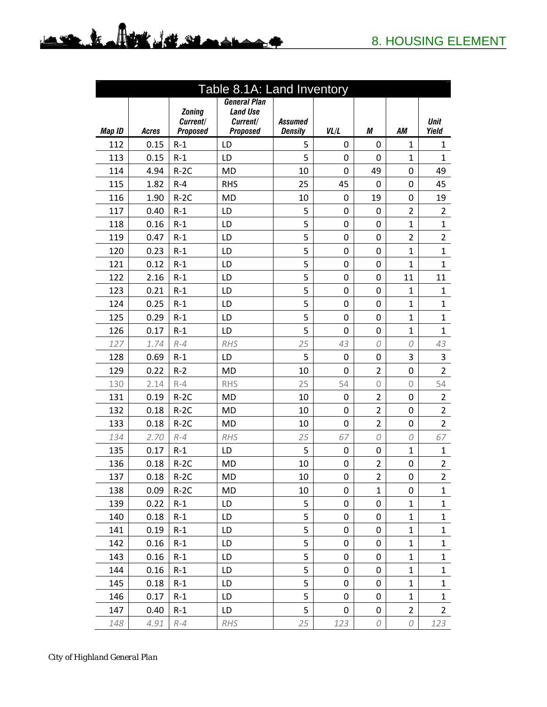|        | Table 8.1A: Land Inventory |                           |                                                    |                |      |                |                |                |  |  |  |
|--------|----------------------------|---------------------------|----------------------------------------------------|----------------|------|----------------|----------------|----------------|--|--|--|
|        |                            | <b>Zoning</b><br>Current/ | <b>General Plan</b><br><b>Land Use</b><br>Current/ | <b>Assumed</b> |      |                |                | Unit           |  |  |  |
| Map ID | Acres                      | <b>Proposed</b>           | <b>Proposed</b>                                    | <b>Density</b> | VL/L | М              | AМ             | Yield          |  |  |  |
| 112    | 0.15                       | $R-1$                     | LD                                                 | 5              | 0    | 0              | 1              | $\mathbf{1}$   |  |  |  |
| 113    | 0.15                       | $R-1$                     | LD                                                 | 5              | 0    | 0              | $\mathbf{1}$   | $\mathbf{1}$   |  |  |  |
| 114    | 4.94                       | $R-2C$                    | <b>MD</b>                                          | 10             | 0    | 49             | 0              | 49             |  |  |  |
| 115    | 1.82                       | $R - 4$                   | <b>RHS</b>                                         | 25             | 45   | 0              | 0              | 45             |  |  |  |
| 116    | 1.90                       | $R-2C$                    | <b>MD</b>                                          | 10             | 0    | 19             | 0              | 19             |  |  |  |
| 117    | 0.40                       | $R-1$                     | LD                                                 | 5              | 0    | $\mathbf 0$    | $\overline{2}$ | $\overline{2}$ |  |  |  |
| 118    | 0.16                       | $R-1$                     | LD                                                 | 5              | 0    | $\mathbf 0$    | $\mathbf{1}$   | $\mathbf{1}$   |  |  |  |
| 119    | 0.47                       | $R-1$                     | LD                                                 | 5              | 0    | 0              | $\overline{2}$ | $\overline{2}$ |  |  |  |
| 120    | 0.23                       | $R-1$                     | LD                                                 | 5              | 0    | 0              | $\mathbf{1}$   | $\mathbf{1}$   |  |  |  |
| 121    | 0.12                       | $R-1$                     | LD                                                 | 5              | 0    | 0              | $\mathbf{1}$   | $\mathbf{1}$   |  |  |  |
| 122    | 2.16                       | $R-1$                     | LD                                                 | 5              | 0    | $\mathbf 0$    | 11             | 11             |  |  |  |
| 123    | 0.21                       | $R-1$                     | LD                                                 | 5              | 0    | 0              | $\mathbf{1}$   | $\mathbf{1}$   |  |  |  |
| 124    | 0.25                       | $R-1$                     | LD                                                 | 5              | 0    | $\mathbf 0$    | $\mathbf{1}$   | $\mathbf{1}$   |  |  |  |
| 125    | 0.29                       | $R-1$                     | LD                                                 | 5              | 0    | 0              | $\mathbf{1}$   | $\mathbf{1}$   |  |  |  |
| 126    | 0.17                       | $R-1$                     | LD                                                 | 5              | 0    | $\Omega$       | $\mathbf{1}$   | $\mathbf{1}$   |  |  |  |
| 127    | 1.74                       | $R - 4$                   | <b>RHS</b>                                         | 25             | 43   | 0              | 0              | 43             |  |  |  |
| 128    | 0.69                       | $R-1$                     | LD                                                 | 5              | 0    | 0              | 3              | 3              |  |  |  |
| 129    | 0.22                       | $R-2$                     | <b>MD</b>                                          | 10             | 0    | $\overline{2}$ | 0              | $\overline{2}$ |  |  |  |
| 130    | 2.14                       | $R-4$                     | <b>RHS</b>                                         | 25             | 54   | 0              | $\Omega$       | 54             |  |  |  |
| 131    | 0.19                       | $R-2C$                    | <b>MD</b>                                          | 10             | 0    | $\overline{2}$ | 0              | $\overline{2}$ |  |  |  |
| 132    | 0.18                       | $R-2C$                    | <b>MD</b>                                          | 10             | 0    | $\overline{2}$ | 0              | $\overline{2}$ |  |  |  |
| 133    | 0.18                       | $R-2C$                    | <b>MD</b>                                          | 10             | 0    | $\overline{2}$ | 0              | $\overline{2}$ |  |  |  |
| 134    | 2.70                       | $R - 4$                   | <b>RHS</b>                                         | 25             | 67   | $\cal O$       | 0              | 67             |  |  |  |
| 135    | 0.17                       | $R-1$                     | LD                                                 | 5              | 0    | 0              | 1              | 1              |  |  |  |
| 136    | 0.18                       | $R-2C$                    | <b>MD</b>                                          | 10             | 0    | $\overline{2}$ | 0              | $\overline{2}$ |  |  |  |
| 137    | 0.18                       | $R-2C$                    | <b>MD</b>                                          | 10             | 0    | $\overline{2}$ | 0              | $\overline{2}$ |  |  |  |
| 138    | 0.09                       | $R-2C$                    | <b>MD</b>                                          | 10             | 0    | $\mathbf{1}$   | 0              | $\mathbf{1}$   |  |  |  |
| 139    | 0.22                       | $R-1$                     | LD                                                 | 5              | 0    | 0              | 1              | $\mathbf{1}$   |  |  |  |
| 140    | 0.18                       | $R-1$                     | LD                                                 | 5              | 0    | 0              | $\mathbf{1}$   | $\mathbf{1}$   |  |  |  |
| 141    | 0.19                       | $R-1$                     | LD                                                 | 5              | 0    | 0              | $\mathbf{1}$   | $\mathbf{1}$   |  |  |  |
| 142    | 0.16                       | $R-1$                     | LD                                                 | 5              | 0    | 0              | 1              | $\mathbf{1}$   |  |  |  |
| 143    | 0.16                       | $R-1$                     | LD                                                 | 5              | 0    | 0              | $\mathbf{1}$   | $\mathbf{1}$   |  |  |  |
| 144    | 0.16                       | $R-1$                     | LD                                                 | 5              | 0    | 0              | $\mathbf{1}$   | $\mathbf 1$    |  |  |  |
| 145    | 0.18                       | $R-1$                     | LD                                                 | 5              | 0    | 0              | $\mathbf 1$    | $\mathbf{1}$   |  |  |  |
| 146    | 0.17                       | $R-1$                     | LD                                                 | 5              | 0    | 0              | $\mathbf{1}$   | $\mathbf 1$    |  |  |  |
| 147    | 0.40                       | $R-1$                     | LD                                                 | 5              | 0    | 0              | $\overline{2}$ | $\overline{2}$ |  |  |  |
| 148    | 4.91                       | $R - 4$                   | <b>RHS</b>                                         | 25             | 123  | 0              | 0              | 123            |  |  |  |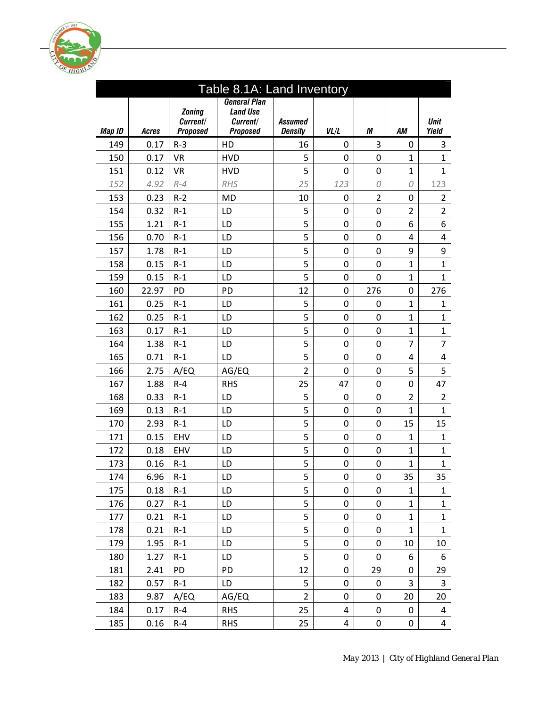

|        | Table 8.1A: Land Inventory |                                              |                                                                       |                                  |      |                |                |                |  |  |  |  |
|--------|----------------------------|----------------------------------------------|-----------------------------------------------------------------------|----------------------------------|------|----------------|----------------|----------------|--|--|--|--|
| Map ID | Acres                      | <b>Zoning</b><br>Current/<br><b>Proposed</b> | <b>General Plan</b><br><b>Land Use</b><br>Current/<br><b>Proposed</b> | <b>Assumed</b><br><b>Density</b> | VL/L | M              | AM             | Unit<br>Yield  |  |  |  |  |
| 149    | 0.17                       | $R-3$                                        | HD                                                                    | 16                               | 0    | 3              | 0              | 3              |  |  |  |  |
| 150    | 0.17                       | <b>VR</b>                                    | <b>HVD</b>                                                            | 5                                | 0    | 0              | $\mathbf{1}$   | $\mathbf{1}$   |  |  |  |  |
| 151    | 0.12                       | <b>VR</b>                                    | <b>HVD</b>                                                            | 5                                | 0    | $\mathbf 0$    | $\mathbf{1}$   | $\mathbf{1}$   |  |  |  |  |
| 152    | 4.92                       | $R - 4$                                      | <b>RHS</b>                                                            | 25                               | 123  | 0              | 0              | 123            |  |  |  |  |
| 153    | 0.23                       | $R-2$                                        | MD                                                                    | 10                               | 0    | $\overline{2}$ | 0              | $\overline{2}$ |  |  |  |  |
| 154    | 0.32                       | $R-1$                                        | LD                                                                    | 5                                | 0    | $\mathbf 0$    | $\overline{2}$ | $\overline{2}$ |  |  |  |  |
| 155    | 1.21                       | $R-1$                                        | LD                                                                    | 5                                | 0    | 0              | 6              | 6              |  |  |  |  |
| 156    | 0.70                       | $R-1$                                        | LD                                                                    | 5                                | 0    | 0              | 4              | 4              |  |  |  |  |
| 157    | 1.78                       | $R-1$                                        | LD                                                                    | 5                                | 0    | 0              | 9              | 9              |  |  |  |  |
| 158    | 0.15                       | $R-1$                                        | LD                                                                    | 5                                | 0    | 0              | $\mathbf{1}$   | $\mathbf{1}$   |  |  |  |  |
| 159    | 0.15                       | $R-1$                                        | LD                                                                    | 5                                | 0    | 0              | $\mathbf{1}$   | $\mathbf{1}$   |  |  |  |  |
| 160    | 22.97                      | PD                                           | PD                                                                    | 12                               | 0    | 276            | 0              | 276            |  |  |  |  |
| 161    | 0.25                       | $R-1$                                        | LD                                                                    | 5                                | 0    | 0              | $\mathbf{1}$   | $\mathbf{1}$   |  |  |  |  |
| 162    | 0.25                       | $R-1$                                        | LD                                                                    | 5                                | 0    | 0              | $\mathbf{1}$   | $\mathbf{1}$   |  |  |  |  |
| 163    | 0.17                       | $R-1$                                        | LD                                                                    | 5                                | 0    | $\mathbf 0$    | $\mathbf{1}$   | $\mathbf{1}$   |  |  |  |  |
| 164    | 1.38                       | $R-1$                                        | LD                                                                    | 5                                | 0    | 0              | $\overline{7}$ | $\overline{7}$ |  |  |  |  |
| 165    | 0.71                       | $R-1$                                        | LD                                                                    | 5                                | 0    | 0              | 4              | 4              |  |  |  |  |
| 166    | 2.75                       | A/EQ                                         | AG/EQ                                                                 | $\overline{2}$                   | 0    | 0              | 5              | 5              |  |  |  |  |
| 167    | 1.88                       | $R - 4$                                      | <b>RHS</b>                                                            | 25                               | 47   | 0              | 0              | 47             |  |  |  |  |
| 168    | 0.33                       | $R-1$                                        | LD                                                                    | 5                                | 0    | 0              | $\overline{2}$ | $\overline{2}$ |  |  |  |  |
| 169    | 0.13                       | $R-1$                                        | LD                                                                    | 5                                | 0    | 0              | $\mathbf{1}$   | $\mathbf{1}$   |  |  |  |  |
| 170    | 2.93                       | $R-1$                                        | LD                                                                    | 5                                | 0    | 0              | 15             | 15             |  |  |  |  |
| 171    | 0.15                       | EHV                                          | LD                                                                    | 5                                | 0    | 0              | $\mathbf{1}$   | $\mathbf{1}$   |  |  |  |  |
| 172    | 0.18                       | EHV                                          | LD                                                                    | 5                                | 0    | 0              | $\mathbf{1}$   | $\mathbf{1}$   |  |  |  |  |
| 173    | 0.16                       | $R-1$                                        | LD                                                                    | 5                                | 0    | 0              | $\mathbf{1}$   | $\mathbf{1}$   |  |  |  |  |
| 174    | 6.96                       | $R-1$                                        | LD                                                                    | 5                                | 0    | $\mathbf 0$    | 35             | 35             |  |  |  |  |
| 175    | 0.18                       | $R-1$                                        | LD                                                                    | 5                                | 0    | 0              | $\mathbf{1}$   | $\mathbf{1}$   |  |  |  |  |
| 176    | 0.27                       | $R-1$                                        | LD                                                                    | 5                                | 0    | 0              | $\mathbf 1$    | $\mathbf{1}$   |  |  |  |  |
| 177    | 0.21                       | $R-1$                                        | LD                                                                    | 5                                | 0    | $\pmb{0}$      | $\mathbf{1}$   | $\mathbf 1$    |  |  |  |  |
| 178    | 0.21                       | $R-1$                                        | LD                                                                    | 5                                | 0    | $\pmb{0}$      | $\mathbf 1$    | $\mathbf{1}$   |  |  |  |  |
| 179    | 1.95                       | $R-1$                                        | LD                                                                    | 5                                | 0    | 0              | 10             | 10             |  |  |  |  |
| 180    | 1.27                       | $R-1$                                        | LD                                                                    | 5                                | 0    | 0              | 6              | 6              |  |  |  |  |
| 181    | 2.41                       | PD                                           | PD                                                                    | 12                               | 0    | 29             | 0              | 29             |  |  |  |  |
| 182    | 0.57                       | $R-1$                                        | LD                                                                    | 5                                | 0    | $\mathbf 0$    | 3              | 3              |  |  |  |  |
| 183    | 9.87                       | A/EQ                                         | AG/EQ                                                                 | $\overline{2}$                   | 0    | 0              | 20             | 20             |  |  |  |  |
| 184    | 0.17                       | $R - 4$                                      | <b>RHS</b>                                                            | 25                               | 4    | 0              | 0              | 4              |  |  |  |  |
| 185    | 0.16                       | $R - 4$                                      | <b>RHS</b>                                                            | 25                               | 4    | 0              | 0              | 4              |  |  |  |  |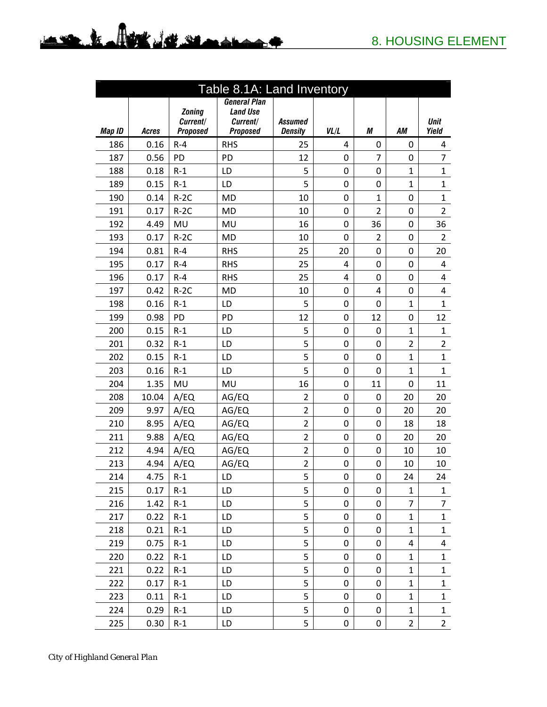|        | Table 8.1A: Land Inventory |                           |                                                    |                |      |                |                |                |  |  |  |
|--------|----------------------------|---------------------------|----------------------------------------------------|----------------|------|----------------|----------------|----------------|--|--|--|
|        |                            | <b>Zoning</b><br>Current/ | <b>General Plan</b><br><b>Land Use</b><br>Current/ | <b>Assumed</b> |      |                |                | Unit           |  |  |  |
| Map ID | Acres                      | <b>Proposed</b>           | <b>Proposed</b>                                    | <b>Density</b> | VL/L | М              | AM             | Yield          |  |  |  |
| 186    | 0.16                       | $R - 4$                   | <b>RHS</b>                                         | 25             | 4    | 0              | 0              | 4              |  |  |  |
| 187    | 0.56                       | PD                        | PD                                                 | 12             | 0    | 7              | 0              | $\overline{7}$ |  |  |  |
| 188    | 0.18                       | $R-1$                     | LD                                                 | 5              | 0    | 0              | $\mathbf{1}$   | $\mathbf{1}$   |  |  |  |
| 189    | 0.15                       | $R-1$                     | LD                                                 | 5              | 0    | 0              | $\mathbf{1}$   | $\mathbf{1}$   |  |  |  |
| 190    | 0.14                       | $R-2C$                    | <b>MD</b>                                          | 10             | 0    | $\mathbf{1}$   | 0              | $\mathbf{1}$   |  |  |  |
| 191    | 0.17                       | $R-2C$                    | <b>MD</b>                                          | 10             | 0    | $\overline{2}$ | 0              | $\overline{2}$ |  |  |  |
| 192    | 4.49                       | MU                        | MU                                                 | 16             | 0    | 36             | 0              | 36             |  |  |  |
| 193    | 0.17                       | $R-2C$                    | <b>MD</b>                                          | 10             | 0    | $\overline{2}$ | 0              | $\overline{2}$ |  |  |  |
| 194    | 0.81                       | $R - 4$                   | <b>RHS</b>                                         | 25             | 20   | 0              | 0              | 20             |  |  |  |
| 195    | 0.17                       | $R-4$                     | <b>RHS</b>                                         | 25             | 4    | 0              | 0              | 4              |  |  |  |
| 196    | 0.17                       | $R - 4$                   | <b>RHS</b>                                         | 25             | 4    | 0              | 0              | 4              |  |  |  |
| 197    | 0.42                       | $R-2C$                    | <b>MD</b>                                          | 10             | 0    | 4              | 0              | 4              |  |  |  |
| 198    | 0.16                       | $R-1$                     | LD                                                 | 5              | 0    | 0              | $\mathbf{1}$   | $\mathbf{1}$   |  |  |  |
| 199    | 0.98                       | PD                        | PD                                                 | 12             | 0    | 12             | 0              | 12             |  |  |  |
| 200    | 0.15                       | $R-1$                     | LD                                                 | 5              | 0    | 0              | $\mathbf{1}$   | $\mathbf{1}$   |  |  |  |
| 201    | 0.32                       | $R-1$                     | LD                                                 | 5              | 0    | 0              | $\overline{2}$ | $\overline{2}$ |  |  |  |
| 202    | 0.15                       | $R-1$                     | LD                                                 | 5              | 0    | 0              | $\mathbf{1}$   | $\mathbf{1}$   |  |  |  |
| 203    | 0.16                       | $R-1$                     | LD                                                 | 5              | 0    | 0              | $\mathbf{1}$   | $\mathbf{1}$   |  |  |  |
| 204    | 1.35                       | MU                        | MU                                                 | 16             | 0    | 11             | 0              | 11             |  |  |  |
| 208    | 10.04                      | A/EQ                      | AG/EQ                                              | $\overline{2}$ | 0    | 0              | 20             | 20             |  |  |  |
| 209    | 9.97                       | A/EQ                      | AG/EQ                                              | $\overline{2}$ | 0    | 0              | 20             | 20             |  |  |  |
| 210    | 8.95                       | A/EQ                      | AG/EQ                                              | $\overline{2}$ | 0    | 0              | 18             | 18             |  |  |  |
| 211    | 9.88                       | A/EQ                      | AG/EQ                                              | $\overline{2}$ | 0    | 0              | 20             | 20             |  |  |  |
| 212    | 4.94                       | A/EQ                      | AG/EQ                                              | $\overline{2}$ | 0    | 0              | 10             | 10             |  |  |  |
| 213    | 4.94                       | A/EQ                      | AG/EQ                                              | $\overline{2}$ | 0    | 0              | 10             | 10             |  |  |  |
| 214    | 4.75                       | $R-1$                     | LD                                                 | 5              | 0    | 0              | 24             | 24             |  |  |  |
| 215    | 0.17                       | $R-1$                     | LD                                                 | 5              | 0    | 0              | 1              | $\mathbf{1}$   |  |  |  |
| 216    | 1.42                       | $R-1$                     | LD                                                 | 5              | 0    | 0              | 7              | $\overline{7}$ |  |  |  |
| 217    | 0.22                       | $R-1$                     | LD                                                 | 5              | 0    | 0              | $\mathbf{1}$   | $\mathbf{1}$   |  |  |  |
| 218    | 0.21                       | $R-1$                     | LD                                                 | 5              | 0    | 0              | $\mathbf{1}$   | $\mathbf{1}$   |  |  |  |
| 219    | 0.75                       | $R-1$                     | LD                                                 | 5              | 0    | 0              | 4              | 4              |  |  |  |
| 220    | 0.22                       | $R-1$                     | LD                                                 | 5              | 0    | 0              | 1              | $\mathbf{1}$   |  |  |  |
| 221    | 0.22                       | $R-1$                     | LD                                                 | 5              | 0    | 0              | $\mathbf{1}$   | $\mathbf{1}$   |  |  |  |
| 222    | 0.17                       | $R-1$                     | LD                                                 | 5              | 0    | 0              | $\mathbf 1$    | $\mathbf{1}$   |  |  |  |
| 223    | 0.11                       | $R-1$                     | LD                                                 | 5              | 0    | 0              | $\mathbf{1}$   | $\mathbf{1}$   |  |  |  |
| 224    | 0.29                       | $R-1$                     | LD                                                 | 5              | 0    | 0              | $\mathbf 1$    | $\mathbf{1}$   |  |  |  |
| 225    | 0.30                       | $R-1$                     | LD                                                 | 5              | 0    | 0              | $\overline{2}$ | $\overline{2}$ |  |  |  |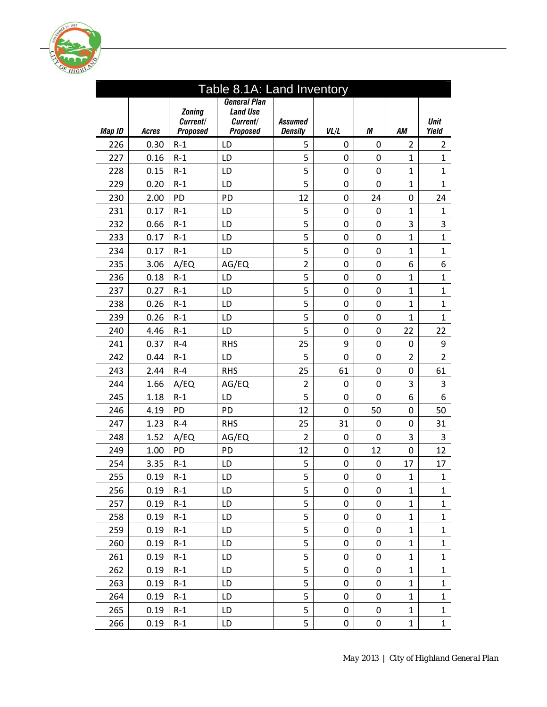

|               |       |                                              | Table 8.1A: Land Inventory                                            |                                  |      |             |                |                |
|---------------|-------|----------------------------------------------|-----------------------------------------------------------------------|----------------------------------|------|-------------|----------------|----------------|
| <b>Map ID</b> | Acres | <b>Zoning</b><br>Current/<br><b>Proposed</b> | <b>General Plan</b><br><b>Land Use</b><br>Current/<br><b>Proposed</b> | <b>Assumed</b><br><b>Density</b> | VL/L | M           | AМ             | Unit<br>Yield  |
| 226           | 0.30  | $R-1$                                        | LD                                                                    | 5                                | 0    | 0           | $\overline{2}$ | $\overline{2}$ |
| 227           | 0.16  | $R-1$                                        | LD                                                                    | 5                                | 0    | 0           | $\mathbf{1}$   | $\mathbf{1}$   |
| 228           | 0.15  | $R-1$                                        | LD                                                                    | 5                                | 0    | $\mathbf 0$ | $\mathbf{1}$   | $\mathbf{1}$   |
| 229           | 0.20  | $R-1$                                        | LD                                                                    | 5                                | 0    | $\mathbf 0$ | $\mathbf{1}$   | $\mathbf{1}$   |
| 230           | 2.00  | PD                                           | PD                                                                    | 12                               | 0    | 24          | 0              | 24             |
| 231           | 0.17  | $R-1$                                        | LD                                                                    | 5                                | 0    | 0           | $\mathbf{1}$   | $\mathbf 1$    |
| 232           | 0.66  | $R-1$                                        | LD                                                                    | 5                                | 0    | 0           | 3              | 3              |
| 233           | 0.17  | $R-1$                                        | LD                                                                    | 5                                | 0    | 0           | $\mathbf{1}$   | $\mathbf{1}$   |
| 234           | 0.17  | $R-1$                                        | LD                                                                    | 5                                | 0    | 0           | 1              | $\mathbf{1}$   |
| 235           | 3.06  | A/EQ                                         | AG/EQ                                                                 | $\overline{2}$                   | 0    | 0           | 6              | 6              |
| 236           | 0.18  | $R-1$                                        | LD                                                                    | 5                                | 0    | 0           | $\mathbf{1}$   | $\mathbf{1}$   |
| 237           | 0.27  | $R-1$                                        | LD                                                                    | 5                                | 0    | 0           | $\mathbf{1}$   | $\mathbf{1}$   |
| 238           | 0.26  | $R-1$                                        | LD                                                                    | 5                                | 0    | 0           | $\mathbf{1}$   | $\mathbf{1}$   |
| 239           | 0.26  | $R-1$                                        | LD                                                                    | 5                                | 0    | 0           | $\mathbf{1}$   | $\mathbf{1}$   |
| 240           | 4.46  | $R-1$                                        | LD                                                                    | 5                                | 0    | 0           | 22             | 22             |
| 241           | 0.37  | $R - 4$                                      | <b>RHS</b>                                                            | 25                               | 9    | 0           | 0              | 9              |
| 242           | 0.44  | $R-1$                                        | LD                                                                    | 5                                | 0    | $\mathbf 0$ | $\overline{2}$ | $\overline{2}$ |
| 243           | 2.44  | $R - 4$                                      | <b>RHS</b>                                                            | 25                               | 61   | 0           | 0              | 61             |
| 244           | 1.66  | A/EQ                                         | AG/EQ                                                                 | $\overline{2}$                   | 0    | 0           | 3              | 3              |
| 245           | 1.18  | $R-1$                                        | LD                                                                    | 5                                | 0    | 0           | 6              | 6              |
| 246           | 4.19  | PD                                           | PD                                                                    | 12                               | 0    | 50          | 0              | 50             |
| 247           | 1.23  | $R - 4$                                      | <b>RHS</b>                                                            | 25                               | 31   | 0           | 0              | 31             |
| 248           | 1.52  | A/EQ                                         | AG/EQ                                                                 | $\overline{2}$                   | 0    | 0           | 3              | 3              |
| 249           | 1.00  | PD                                           | PD                                                                    | 12                               | 0    | 12          | 0              | 12             |
| 254           | 3.35  | $R-1$                                        | LD                                                                    | 5                                | 0    | 0           | 17             | 17             |
| 255           | 0.19  | $R-1$                                        | LD                                                                    | 5                                | 0    | $\mathbf 0$ | $\mathbf{1}$   | $\mathbf 1$    |
| 256           | 0.19  | $R-1$                                        | LD                                                                    | 5                                | 0    | 0           | $\mathbf{1}$   | $\mathbf{1}$   |
| 257           | 0.19  | $R-1$                                        | LD                                                                    | 5                                | 0    | 0           | $\mathbf{1}$   | $\mathbf{1}$   |
| 258           | 0.19  | $R-1$                                        | LD                                                                    | 5                                | 0    | 0           | $\mathbf{1}$   | $\mathbf{1}$   |
| 259           | 0.19  | $R-1$                                        | LD                                                                    | 5                                | 0    | $\pmb{0}$   | $\mathbf{1}$   | $\mathbf{1}$   |
| 260           | 0.19  | $R-1$                                        | LD                                                                    | 5                                | 0    | 0           | $\mathbf{1}$   | $\mathbf{1}$   |
| 261           | 0.19  | $R-1$                                        | LD                                                                    | 5                                | 0    | 0           | $\mathbf{1}$   | $\mathbf{1}$   |
| 262           | 0.19  | $R-1$                                        | LD                                                                    | 5                                | 0    | 0           | $\mathbf{1}$   | $\mathbf 1$    |
| 263           | 0.19  | $R-1$                                        | LD                                                                    | 5                                | 0    | $\mathbf 0$ | $\mathbf{1}$   | $\mathbf{1}$   |
| 264           | 0.19  | $R-1$                                        | LD                                                                    | 5                                | 0    | 0           | $\mathbf{1}$   | $\mathbf{1}$   |
| 265           | 0.19  | $R-1$                                        | LD                                                                    | 5                                | 0    | 0           | $\mathbf 1$    | $\mathbf{1}$   |
| 266           | 0.19  | $R-1$                                        | LD                                                                    | 5                                | 0    | 0           | $\mathbf{1}$   | $\mathbf{1}$   |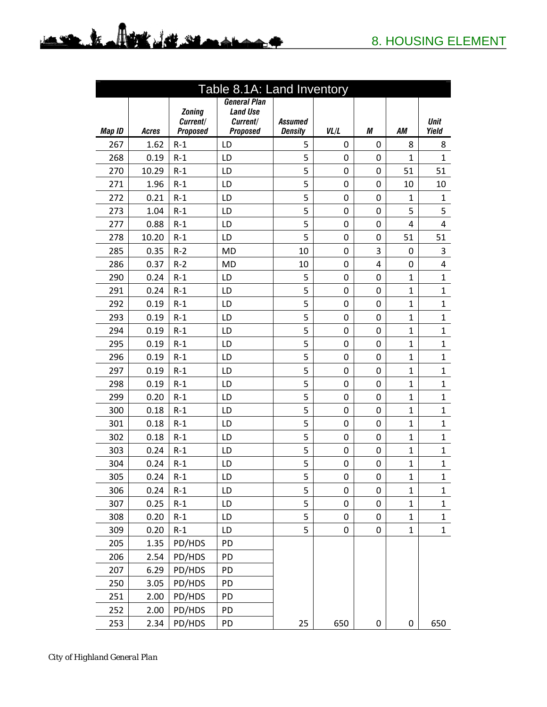| Table 8.1A: Land Inventory |       |                           |                                                    |                |      |           |              |              |  |  |
|----------------------------|-------|---------------------------|----------------------------------------------------|----------------|------|-----------|--------------|--------------|--|--|
|                            |       | <b>Zoning</b><br>Current/ | <b>General Plan</b><br><b>Land Use</b><br>Current/ | <b>Assumed</b> |      |           |              | Unit         |  |  |
| <b>Map ID</b>              | Acres | <b>Proposed</b>           | <b>Proposed</b>                                    | <b>Density</b> | VL/L | M         | AМ           | Yield        |  |  |
| 267                        | 1.62  | $R-1$                     | LD                                                 | 5              | 0    | 0         | 8            | 8            |  |  |
| 268                        | 0.19  | $R-1$                     | LD                                                 | 5              | 0    | 0         | $\mathbf{1}$ | $\mathbf{1}$ |  |  |
| 270                        | 10.29 | $R-1$                     | LD                                                 | 5              | 0    | 0         | 51           | 51           |  |  |
| 271                        | 1.96  | $R-1$                     | LD                                                 | 5              | 0    | 0         | 10           | 10           |  |  |
| 272                        | 0.21  | $R-1$                     | LD                                                 | 5              | 0    | 0         | 1            | 1            |  |  |
| 273                        | 1.04  | $R-1$                     | LD                                                 | 5              | 0    | 0         | 5            | 5            |  |  |
| 277                        | 0.88  | $R-1$                     | LD                                                 | 5              | 0    | 0         | 4            | 4            |  |  |
| 278                        | 10.20 | $R-1$                     | LD                                                 | 5              | 0    | 0         | 51           | 51           |  |  |
| 285                        | 0.35  | $R-2$                     | <b>MD</b>                                          | 10             | 0    | 3         | 0            | 3            |  |  |
| 286                        | 0.37  | $R-2$                     | <b>MD</b>                                          | 10             | 0    | 4         | 0            | 4            |  |  |
| 290                        | 0.24  | $R-1$                     | LD                                                 | 5              | 0    | 0         | $\mathbf{1}$ | $\mathbf{1}$ |  |  |
| 291                        | 0.24  | $R-1$                     | LD                                                 | 5              | 0    | 0         | $\mathbf{1}$ | $\mathbf 1$  |  |  |
| 292                        | 0.19  | $R-1$                     | LD                                                 | 5              | 0    | 0         | $\mathbf{1}$ | $\mathbf 1$  |  |  |
| 293                        | 0.19  | $R-1$                     | LD                                                 | 5              | 0    | 0         | $\mathbf{1}$ | $\mathbf{1}$ |  |  |
| 294                        | 0.19  | $R-1$                     | LD                                                 | 5              | 0    | $\Omega$  | $\mathbf 1$  | $\mathbf{1}$ |  |  |
| 295                        | 0.19  | $R-1$                     | LD                                                 | 5              | 0    | 0         | $\mathbf{1}$ | $\mathbf{1}$ |  |  |
| 296                        | 0.19  | $R-1$                     | LD                                                 | 5              | 0    | 0         | $\mathbf{1}$ | $\mathbf{1}$ |  |  |
| 297                        | 0.19  | $R-1$                     | LD                                                 | 5              | 0    | 0         | $\mathbf{1}$ | $\mathbf{1}$ |  |  |
| 298                        | 0.19  | $R-1$                     | LD                                                 | 5              | 0    | 0         | $\mathbf{1}$ | $\mathbf{1}$ |  |  |
| 299                        | 0.20  | $R-1$                     | LD                                                 | 5              | 0    | 0         | 1            | $\mathbf{1}$ |  |  |
| 300                        | 0.18  | $R-1$                     | LD                                                 | 5              | 0    | 0         | 1            | $\mathbf{1}$ |  |  |
| 301                        | 0.18  | $R-1$                     | LD                                                 | 5              | 0    | 0         | $\mathbf{1}$ | $\mathbf{1}$ |  |  |
| 302                        | 0.18  | $R-1$                     | LD                                                 | 5              | 0    | 0         | $\mathbf{1}$ | $\mathbf{1}$ |  |  |
| 303                        | 0.24  | $R-1$                     | LD                                                 | 5              | 0    | 0         | $\mathbf{1}$ | $\mathbf{1}$ |  |  |
| 304                        | 0.24  | $R-1$                     | LD                                                 | 5              | 0    | 0         | 1            | $\mathbf{1}$ |  |  |
| 305                        | 0.24  | $R-1$                     | LD                                                 | 5              | 0    | 0         | $\mathbf{1}$ | $\mathbf{1}$ |  |  |
| 306                        | 0.24  | $R-1$                     | LD                                                 | 5              | 0    | 0         | $\mathbf{1}$ | $\mathbf{1}$ |  |  |
| 307                        | 0.25  | $R-1$                     | LD                                                 | 5              | 0    | 0         | $\mathbf{1}$ | $\mathbf{1}$ |  |  |
| 308                        | 0.20  | $R-1$                     | LD                                                 | 5              | 0    | 0         | $\mathbf{1}$ | $\mathbf{1}$ |  |  |
| 309                        | 0.20  | $R-1$                     | LD                                                 | 5              | 0    | 0         | $\mathbf{1}$ | $\mathbf{1}$ |  |  |
| 205                        | 1.35  | PD/HDS                    | PD                                                 |                |      |           |              |              |  |  |
| 206                        | 2.54  | PD/HDS                    | PD                                                 |                |      |           |              |              |  |  |
| 207                        | 6.29  | PD/HDS                    | PD                                                 |                |      |           |              |              |  |  |
| 250                        | 3.05  | PD/HDS                    | PD                                                 |                |      |           |              |              |  |  |
| 251                        | 2.00  | PD/HDS                    | PD                                                 |                |      |           |              |              |  |  |
| 252                        | 2.00  | PD/HDS                    | PD                                                 |                |      |           |              |              |  |  |
| 253                        | 2.34  | PD/HDS                    | PD                                                 | 25             | 650  | $\pmb{0}$ | 0            | 650          |  |  |